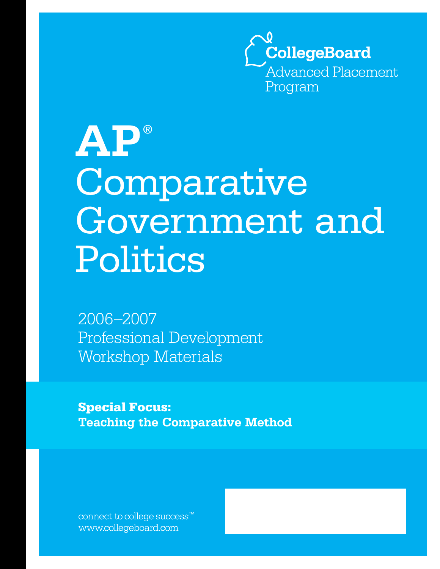

# **AP** ® Comparative Government and Politics

2006–2007 Professional Development Workshop Materials

**Special Focus: Teaching the Comparative Method**

connect to college success $\mathbf{v}$ www.collegeboard.com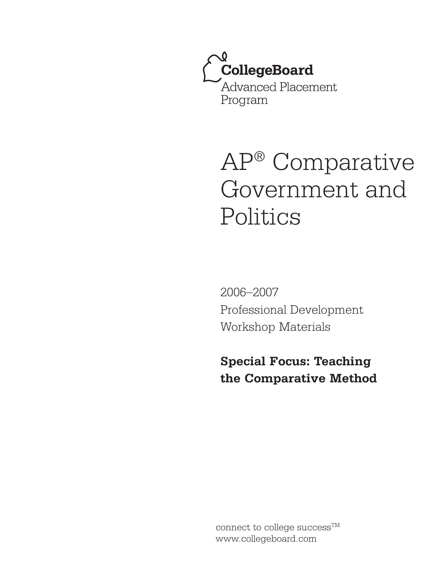

# AP® Comparative Government and Politics

2006–2007 Professional Development Workshop Materials

**Special Focus: Teaching the Comparative Method**

connect to college success<sup>TM</sup> www.collegeboard.com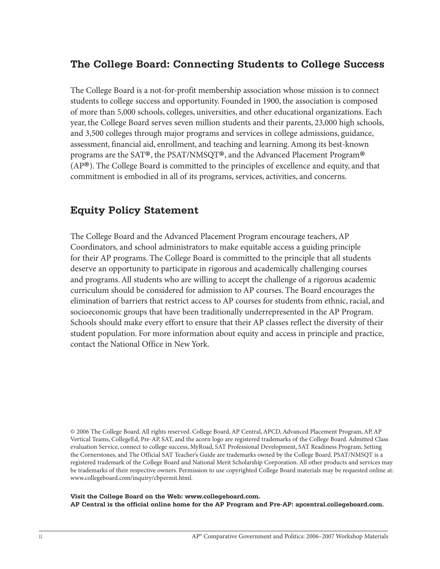### **The College Board: Connecting Students to College Success**

The College Board is a not-for-profit membership association whose mission is to connect students to college success and opportunity. Founded in 1900, the association is composed of more than 5,000 schools, colleges, universities, and other educational organizations. Each year, the College Board serves seven million students and their parents, 23,000 high schools, and 3,500 colleges through major programs and services in college admissions, guidance, assessment, financial aid, enrollment, and teaching and learning. Among its best-known programs are the SAT®, the PSAT/NMSQT®, and the Advanced Placement Program® (AP®). The College Board is committed to the principles of excellence and equity, and that commitment is embodied in all of its programs, services, activities, and concerns.

# **Equity Policy Statement**

The College Board and the Advanced Placement Program encourage teachers, AP Coordinators, and school administrators to make equitable access a guiding principle for their AP programs. The College Board is committed to the principle that all students deserve an opportunity to participate in rigorous and academically challenging courses and programs. All students who are willing to accept the challenge of a rigorous academic curriculum should be considered for admission to AP courses. The Board encourages the elimination of barriers that restrict access to AP courses for students from ethnic, racial, and socioeconomic groups that have been traditionally underrepresented in the AP Program. Schools should make every effort to ensure that their AP classes reflect the diversity of their student population. For more information about equity and access in principle and practice, contact the National Office in New York.

© 2006 The College Board. All rights reserved. College Board, AP Central, APCD, Advanced Placement Program, AP, AP Vertical Teams, CollegeEd, Pre-AP, SAT, and the acorn logo are registered trademarks of the College Board. Admitted Class evaluation Service, connect to college success, MyRoad, SAT Professional Development, SAT Readiness Program, Setting the Cornerstones, and The Official SAT Teacher's Guide are trademarks owned by the College Board. PSAT/NMSQT is a registered trademark of the College Board and National Merit Scholarship Corporation. All other products and services may be trademarks of their respective owners. Permission to use copyrighted College Board materials may be requested online at: www.collegeboard.com/inquiry/cbpermit.html.

**Visit the College Board on the Web: www.collegeboard.com. AP Central is the official online home for the AP Program and Pre-AP: apcentral.collegeboard.com.**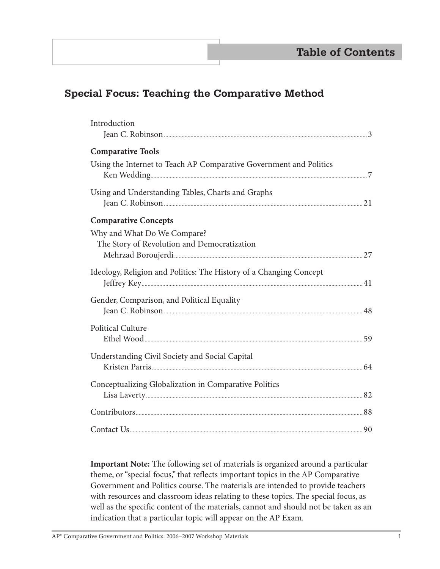# **Special Focus: Teaching the Comparative Method**

| Introduction                                                                                                                                                                                                                   |  |
|--------------------------------------------------------------------------------------------------------------------------------------------------------------------------------------------------------------------------------|--|
|                                                                                                                                                                                                                                |  |
| <b>Comparative Tools</b>                                                                                                                                                                                                       |  |
| Using the Internet to Teach AP Comparative Government and Politics                                                                                                                                                             |  |
| Using and Understanding Tables, Charts and Graphs                                                                                                                                                                              |  |
|                                                                                                                                                                                                                                |  |
| <b>Comparative Concepts</b>                                                                                                                                                                                                    |  |
| Why and What Do We Compare?                                                                                                                                                                                                    |  |
| The Story of Revolution and Democratization                                                                                                                                                                                    |  |
|                                                                                                                                                                                                                                |  |
| Ideology, Religion and Politics: The History of a Changing Concept                                                                                                                                                             |  |
| Gender, Comparison, and Political Equality                                                                                                                                                                                     |  |
|                                                                                                                                                                                                                                |  |
| <b>Political Culture</b>                                                                                                                                                                                                       |  |
|                                                                                                                                                                                                                                |  |
| Understanding Civil Society and Social Capital                                                                                                                                                                                 |  |
|                                                                                                                                                                                                                                |  |
| Conceptualizing Globalization in Comparative Politics                                                                                                                                                                          |  |
|                                                                                                                                                                                                                                |  |
| Example to the summary service of the service of the service of the service of the service of the service of the service of the service of the service of the service of the service of the service of the service of the serv |  |
|                                                                                                                                                                                                                                |  |
|                                                                                                                                                                                                                                |  |

**Important Note:** The following set of materials is organized around a particular theme, or "special focus," that reflects important topics in the AP Comparative Government and Politics course. The materials are intended to provide teachers with resources and classroom ideas relating to these topics. The special focus, as well as the specific content of the materials, cannot and should not be taken as an indication that a particular topic will appear on the AP Exam.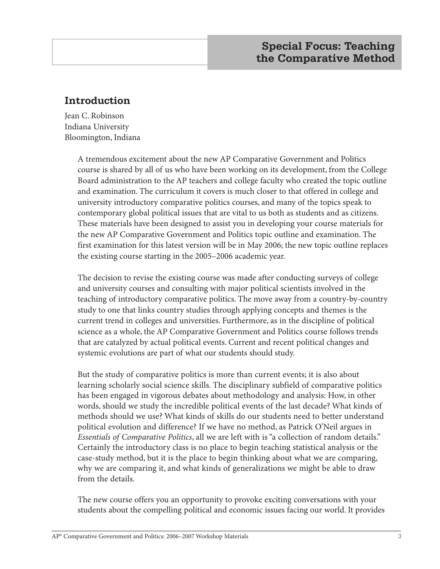# **Introduction**

Jean C. Robinson Indiana University Bloomington, Indiana

> A tremendous excitement about the new AP Comparative Government and Politics course is shared by all of us who have been working on its development, from the College Board administration to the AP teachers and college faculty who created the topic outline and examination. The curriculum it covers is much closer to that offered in college and university introductory comparative politics courses, and many of the topics speak to contemporary global political issues that are vital to us both as students and as citizens. These materials have been designed to assist you in developing your course materials for the new AP Comparative Government and Politics topic outline and examination. The first examination for this latest version will be in May 2006; the new topic outline replaces the existing course starting in the 2005–2006 academic year.

> The decision to revise the existing course was made after conducting surveys of college and university courses and consulting with major political scientists involved in the teaching of introductory comparative politics. The move away from a country-by-country study to one that links country studies through applying concepts and themes is the current trend in colleges and universities. Furthermore, as in the discipline of political science as a whole, the AP Comparative Government and Politics course follows trends that are catalyzed by actual political events. Current and recent political changes and systemic evolutions are part of what our students should study.

But the study of comparative politics is more than current events; it is also about learning scholarly social science skills. The disciplinary subfield of comparative politics has been engaged in vigorous debates about methodology and analysis: How, in other words, should we study the incredible political events of the last decade? What kinds of methods should we use? What kinds of skills do our students need to better understand political evolution and difference? If we have no method, as Patrick O'Neil argues in *Essentials of Comparative Politics*, all we are left with is "a collection of random details." Certainly the introductory class is no place to begin teaching statistical analysis or the case-study method, but it is the place to begin thinking about what we are comparing, why we are comparing it, and what kinds of generalizations we might be able to draw from the details.

The new course offers you an opportunity to provoke exciting conversations with your students about the compelling political and economic issues facing our world. It provides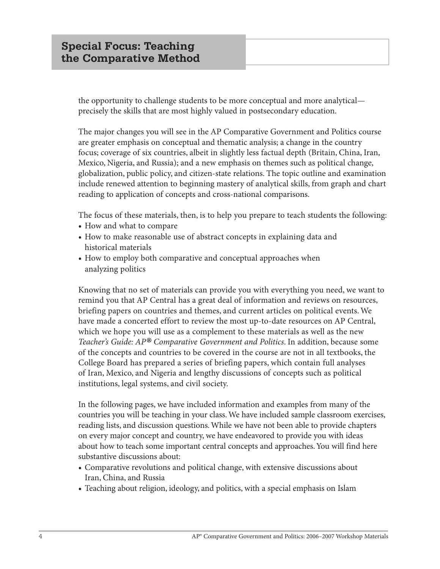the opportunity to challenge students to be more conceptual and more analytical precisely the skills that are most highly valued in postsecondary education.

The major changes you will see in the AP Comparative Government and Politics course are greater emphasis on conceptual and thematic analysis; a change in the country focus; coverage of six countries, albeit in slightly less factual depth (Britain, China, Iran, Mexico, Nigeria, and Russia); and a new emphasis on themes such as political change, globalization, public policy, and citizen-state relations. The topic outline and examination include renewed attention to beginning mastery of analytical skills, from graph and chart reading to application of concepts and cross-national comparisons.

The focus of these materials, then, is to help you prepare to teach students the following:

- **•** How and what to compare
- **•** How to make reasonable use of abstract concepts in explaining data and historical materials
- **•** How to employ both comparative and conceptual approaches when analyzing politics

Knowing that no set of materials can provide you with everything you need, we want to remind you that AP Central has a great deal of information and reviews on resources, briefing papers on countries and themes, and current articles on political events. We have made a concerted effort to review the most up-to-date resources on AP Central, which we hope you will use as a complement to these materials as well as the new *Teacher's Guide: AP® Comparative Government and Politics*. In addition, because some of the concepts and countries to be covered in the course are not in all textbooks, the College Board has prepared a series of briefing papers, which contain full analyses of Iran, Mexico, and Nigeria and lengthy discussions of concepts such as political institutions, legal systems, and civil society.

In the following pages, we have included information and examples from many of the countries you will be teaching in your class. We have included sample classroom exercises, reading lists, and discussion questions. While we have not been able to provide chapters on every major concept and country, we have endeavored to provide you with ideas about how to teach some important central concepts and approaches. You will find here substantive discussions about:

- **•** Comparative revolutions and political change, with extensive discussions about Iran, China, and Russia
- **•** Teaching about religion, ideology, and politics, with a special emphasis on Islam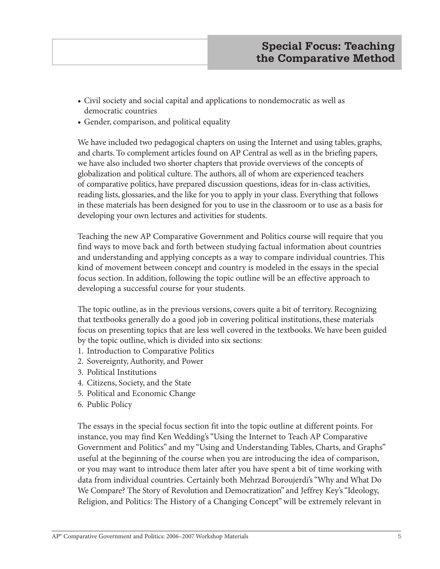- **•** Civil society and social capital and applications to nondemocratic as well as democratic countries
- **•** Gender, comparison, and political equality

We have included two pedagogical chapters on using the Internet and using tables, graphs, and charts. To complement articles found on AP Central as well as in the briefing papers, we have also included two shorter chapters that provide overviews of the concepts of globalization and political culture. The authors, all of whom are experienced teachers of comparative politics, have prepared discussion questions, ideas for in-class activities, reading lists, glossaries, and the like for you to apply in your class. Everything that follows in these materials has been designed for you to use in the classroom or to use as a basis for developing your own lectures and activities for students.

Teaching the new AP Comparative Government and Politics course will require that you find ways to move back and forth between studying factual information about countries and understanding and applying concepts as a way to compare individual countries. This kind of movement between concept and country is modeled in the essays in the special focus section. In addition, following the topic outline will be an effective approach to developing a successful course for your students.

The topic outline, as in the previous versions, covers quite a bit of territory. Recognizing that textbooks generally do a good job in covering political institutions, these materials focus on presenting topics that are less well covered in the textbooks. We have been guided by the topic outline, which is divided into six sections:

- 1. Introduction to Comparative Politics
- 2. Sovereignty, Authority, and Power
- 3. Political Institutions
- 4. Citizens, Society, and the State
- 5. Political and Economic Change
- 6. Public Policy

The essays in the special focus section fit into the topic outline at different points. For instance, you may find Ken Wedding's "Using the Internet to Teach AP Comparative Government and Politics" and my "Using and Understanding Tables, Charts, and Graphs" useful at the beginning of the course when you are introducing the idea of comparison, or you may want to introduce them later after you have spent a bit of time working with data from individual countries. Certainly both Mehrzad Boroujerdi's "Why and What Do We Compare? The Story of Revolution and Democratization" and Jeffrey Key's "Ideology, Religion, and Politics: The History of a Changing Concept" will be extremely relevant in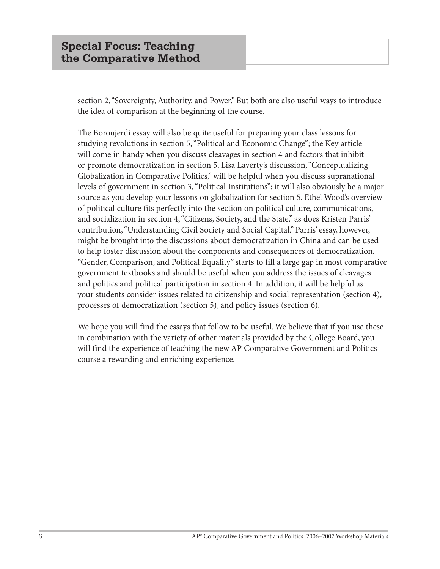section 2, "Sovereignty, Authority, and Power." But both are also useful ways to introduce the idea of comparison at the beginning of the course.

The Boroujerdi essay will also be quite useful for preparing your class lessons for studying revolutions in section 5, "Political and Economic Change"; the Key article will come in handy when you discuss cleavages in section 4 and factors that inhibit or promote democratization in section 5. Lisa Laverty's discussion, "Conceptualizing Globalization in Comparative Politics," will be helpful when you discuss supranational levels of government in section 3, "Political Institutions"; it will also obviously be a major source as you develop your lessons on globalization for section 5. Ethel Wood's overview of political culture fits perfectly into the section on political culture, communications, and socialization in section 4, "Citizens, Society, and the State," as does Kristen Parris' contribution, "Understanding Civil Society and Social Capital." Parris' essay, however, might be brought into the discussions about democratization in China and can be used to help foster discussion about the components and consequences of democratization. "Gender, Comparison, and Political Equality" starts to fill a large gap in most comparative government textbooks and should be useful when you address the issues of cleavages and politics and political participation in section 4. In addition, it will be helpful as your students consider issues related to citizenship and social representation (section 4), processes of democratization (section 5), and policy issues (section 6).

We hope you will find the essays that follow to be useful. We believe that if you use these in combination with the variety of other materials provided by the College Board, you will find the experience of teaching the new AP Comparative Government and Politics course a rewarding and enriching experience.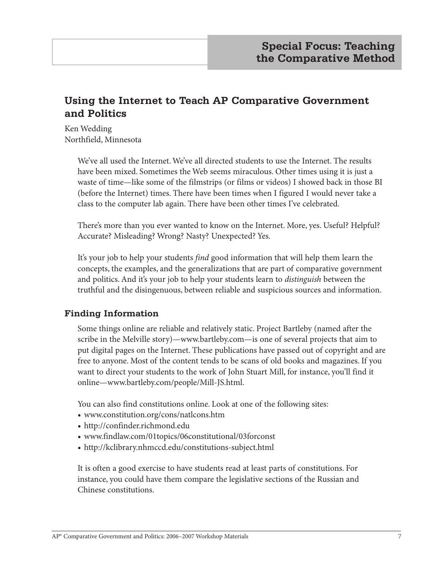# **Using the Internet to Teach AP Comparative Government and Politics**

Ken Wedding Northfield, Minnesota

> We've all used the Internet. We've all directed students to use the Internet. The results have been mixed. Sometimes the Web seems miraculous. Other times using it is just a waste of time—like some of the filmstrips (or films or videos) I showed back in those BI (before the Internet) times. There have been times when I figured I would never take a class to the computer lab again. There have been other times I've celebrated.

> There's more than you ever wanted to know on the Internet. More, yes. Useful? Helpful? Accurate? Misleading? Wrong? Nasty? Unexpected? Yes.

> It's your job to help your students *find* good information that will help them learn the concepts, the examples, and the generalizations that are part of comparative government and politics. And it's your job to help your students learn to *distinguish* between the truthful and the disingenuous, between reliable and suspicious sources and information.

#### **Finding Information**

Some things online are reliable and relatively static. Project Bartleby (named after the scribe in the Melville story)—www.bartleby.com—is one of several projects that aim to put digital pages on the Internet. These publications have passed out of copyright and are free to anyone. Most of the content tends to be scans of old books and magazines. If you want to direct your students to the work of John Stuart Mill, for instance, you'll find it online—www.bartleby.com/people/Mill-JS.html.

You can also find constitutions online. Look at one of the following sites:

- **•** www.constitution.org/cons/natlcons.htm
- **•** http://confinder.richmond.edu
- **•** www.findlaw.com/01topics/06constitutional/03forconst
- **•** http://kclibrary.nhmccd.edu/constitutions-subject.html

It is often a good exercise to have students read at least parts of constitutions. For instance, you could have them compare the legislative sections of the Russian and Chinese constitutions.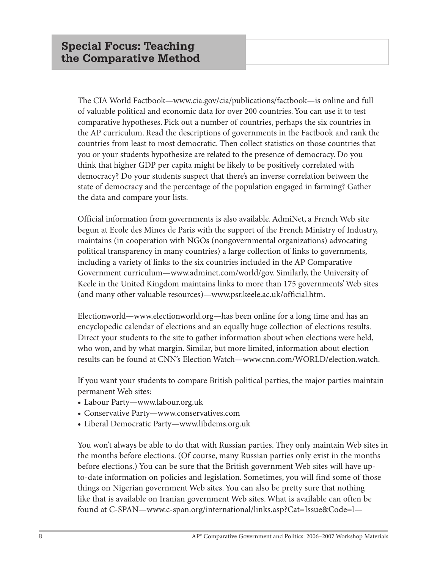The CIA World Factbook—www.cia.gov/cia/publications/factbook—is online and full of valuable political and economic data for over 200 countries. You can use it to test comparative hypotheses. Pick out a number of countries, perhaps the six countries in the AP curriculum. Read the descriptions of governments in the Factbook and rank the countries from least to most democratic. Then collect statistics on those countries that you or your students hypothesize are related to the presence of democracy. Do you think that higher GDP per capita might be likely to be positively correlated with democracy? Do your students suspect that there's an inverse correlation between the state of democracy and the percentage of the population engaged in farming? Gather the data and compare your lists.

Official information from governments is also available. AdmiNet, a French Web site begun at Ecole des Mines de Paris with the support of the French Ministry of Industry, maintains (in cooperation with NGOs (nongovernmental organizations) advocating political transparency in many countries) a large collection of links to governments, including a variety of links to the six countries included in the AP Comparative Government curriculum—www.adminet.com/world/gov. Similarly, the University of Keele in the United Kingdom maintains links to more than 175 governments' Web sites (and many other valuable resources)—www.psr.keele.ac.uk/official.htm.

Electionworld—www.electionworld.org—has been online for a long time and has an encyclopedic calendar of elections and an equally huge collection of elections results. Direct your students to the site to gather information about when elections were held, who won, and by what margin. Similar, but more limited, information about election results can be found at CNN's Election Watch—www.cnn.com/WORLD/election.watch.

If you want your students to compare British political parties, the major parties maintain permanent Web sites:

- **•** Labour Party—www.labour.org.uk
- **•** Conservative Party—www.conservatives.com
- **•** Liberal Democratic Party—www.libdems.org.uk

You won't always be able to do that with Russian parties. They only maintain Web sites in the months before elections. (Of course, many Russian parties only exist in the months before elections.) You can be sure that the British government Web sites will have upto-date information on policies and legislation. Sometimes, you will find some of those things on Nigerian government Web sites. You can also be pretty sure that nothing like that is available on Iranian government Web sites. What is available can often be found at C-SPAN—www.c-span.org/international/links.asp?Cat=Issue&Code=l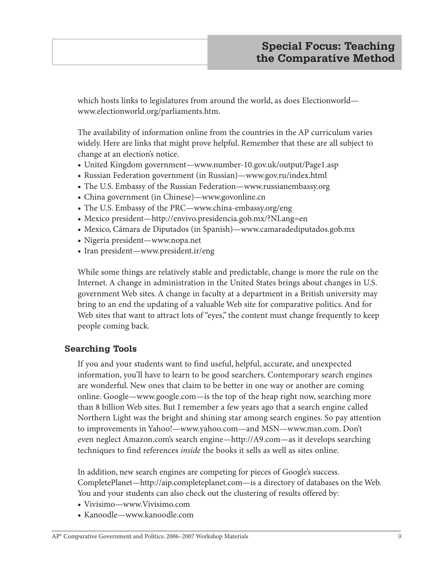which hosts links to legislatures from around the world, as does Electionworld www.electionworld.org/parliaments.htm.

The availability of information online from the countries in the AP curriculum varies widely. Here are links that might prove helpful. Remember that these are all subject to change at an election's notice.

- **•** United Kingdom government—www.number-10.gov.uk/output/Page1.asp
- **•** Russian Federation government (in Russian)—www.gov.ru/index.html
- **•** The U.S. Embassy of the Russian Federation—www.russianembassy.org
- **•** China government (in Chinese)—www.govonline.cn
- **•** The U.S. Embassy of the PRC—www.china-embassy.org/eng
- **•** Mexico president—http://envivo.presidencia.gob.mx/?NLang=en
- **•** Mexico, Cámara de Diputados (in Spanish)—www.camaradediputados.gob.mx
- **•** Nigeria president—www.nopa.net
- **•** Iran president—www.president.ir/eng

While some things are relatively stable and predictable, change is more the rule on the Internet. A change in administration in the United States brings about changes in U.S. government Web sites. A change in faculty at a department in a British university may bring to an end the updating of a valuable Web site for comparative politics. And for Web sites that want to attract lots of "eyes," the content must change frequently to keep people coming back.

#### **Searching Tools**

If you and your students want to find useful, helpful, accurate, and unexpected information, you'll have to learn to be good searchers. Contemporary search engines are wonderful. New ones that claim to be better in one way or another are coming online. Google—www.google.com—is the top of the heap right now, searching more than 8 billion Web sites. But I remember a few years ago that a search engine called Northern Light was the bright and shining star among search engines. So pay attention to improvements in Yahoo!—www.yahoo.com—and MSN—www.msn.com. Don't even neglect Amazon.com's search engine—http://A9.com—as it develops searching techniques to find references *inside* the books it sells as well as sites online.

In addition, new search engines are competing for pieces of Google's success. CompletePlanet—http://aip.completeplanet.com—is a directory of databases on the Web. You and your students can also check out the clustering of results offered by:

- **•** Vivísimo—www.Vivisimo.com
- **•** Kanoodle—www.kanoodle.com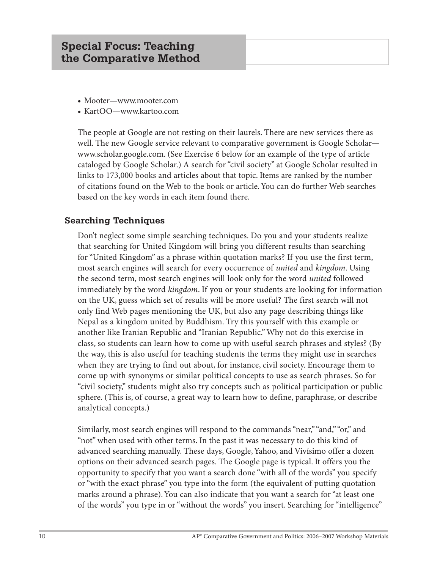- **•** Mooter—www.mooter.com
- **•** KartOO—www.kartoo.com

The people at Google are not resting on their laurels. There are new services there as well. The new Google service relevant to comparative government is Google Scholar www.scholar.google.com. (See Exercise 6 below for an example of the type of article cataloged by Google Scholar.) A search for "civil society" at Google Scholar resulted in links to 173,000 books and articles about that topic. Items are ranked by the number of citations found on the Web to the book or article. You can do further Web searches based on the key words in each item found there.

#### **Searching Techniques**

Don't neglect some simple searching techniques. Do you and your students realize that searching for United Kingdom will bring you different results than searching for "United Kingdom" as a phrase within quotation marks? If you use the first term, most search engines will search for every occurrence of *united* and *kingdom*. Using the second term, most search engines will look only for the word *united* followed immediately by the word *kingdom*. If you or your students are looking for information on the UK, guess which set of results will be more useful? The first search will not only find Web pages mentioning the UK, but also any page describing things like Nepal as a kingdom united by Buddhism. Try this yourself with this example or another like Iranian Republic and "Iranian Republic." Why not do this exercise in class, so students can learn how to come up with useful search phrases and styles? (By the way, this is also useful for teaching students the terms they might use in searches when they are trying to find out about, for instance, civil society. Encourage them to come up with synonyms or similar political concepts to use as search phrases. So for "civil society," students might also try concepts such as political participation or public sphere. (This is, of course, a great way to learn how to define, paraphrase, or describe analytical concepts.)

Similarly, most search engines will respond to the commands "near," "and," "or," and "not" when used with other terms. In the past it was necessary to do this kind of advanced searching manually. These days, Google, Yahoo, and Vivísimo offer a dozen options on their advanced search pages. The Google page is typical. It offers you the opportunity to specify that you want a search done "with all of the words" you specify or "with the exact phrase" you type into the form (the equivalent of putting quotation marks around a phrase). You can also indicate that you want a search for "at least one of the words" you type in or "without the words" you insert. Searching for "intelligence"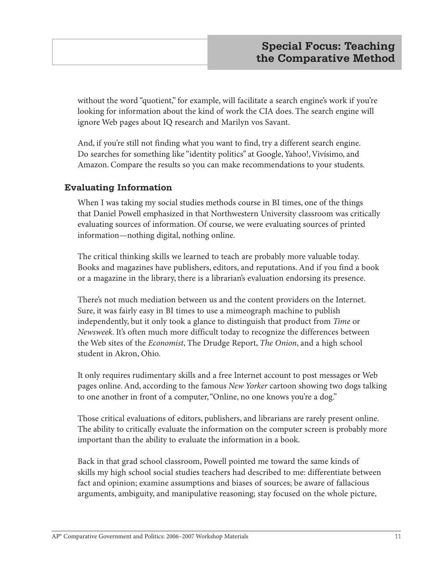without the word "quotient," for example, will facilitate a search engine's work if you're looking for information about the kind of work the CIA does. The search engine will ignore Web pages about IQ research and Marilyn vos Savant.

And, if you're still not finding what you want to find, try a different search engine. Do searches for something like "identity politics" at Google, Yahoo!, Vivísimo, and Amazon. Compare the results so you can make recommendations to your students.

#### **Evaluating Information**

When I was taking my social studies methods course in BI times, one of the things that Daniel Powell emphasized in that Northwestern University classroom was critically evaluating sources of information. Of course, we were evaluating sources of printed information—nothing digital, nothing online.

The critical thinking skills we learned to teach are probably more valuable today. Books and magazines have publishers, editors, and reputations. And if you find a book or a magazine in the library, there is a librarian's evaluation endorsing its presence.

There's not much mediation between us and the content providers on the Internet. Sure, it was fairly easy in BI times to use a mimeograph machine to publish independently, but it only took a glance to distinguish that product from *Time* or *Newsweek*. It's often much more difficult today to recognize the differences between the Web sites of the *Economist*, The Drudge Report, *The Onion*, and a high school student in Akron, Ohio.

It only requires rudimentary skills and a free Internet account to post messages or Web pages online. And, according to the famous *New Yorker* cartoon showing two dogs talking to one another in front of a computer, "Online, no one knows you're a dog."

Those critical evaluations of editors, publishers, and librarians are rarely present online. The ability to critically evaluate the information on the computer screen is probably more important than the ability to evaluate the information in a book.

Back in that grad school classroom, Powell pointed me toward the same kinds of skills my high school social studies teachers had described to me: differentiate between fact and opinion; examine assumptions and biases of sources; be aware of fallacious arguments, ambiguity, and manipulative reasoning; stay focused on the whole picture,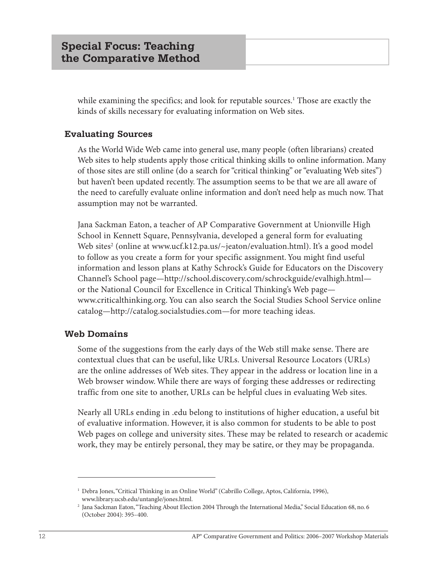while examining the specifics; and look for reputable sources.<sup>1</sup> Those are exactly the kinds of skills necessary for evaluating information on Web sites.

#### **Evaluating Sources**

As the World Wide Web came into general use, many people (often librarians) created Web sites to help students apply those critical thinking skills to online information. Many of those sites are still online (do a search for "critical thinking" or "evaluating Web sites") but haven't been updated recently. The assumption seems to be that we are all aware of the need to carefully evaluate online information and don't need help as much now. That assumption may not be warranted.

Jana Sackman Eaton, a teacher of AP Comparative Government at Unionville High School in Kennett Square, Pennsylvania, developed a general form for evaluating Web sites<sup>2</sup> (online at www.ucf.k12.pa.us/~jeaton/evaluation.html). It's a good model to follow as you create a form for your specific assignment. You might find useful information and lesson plans at Kathy Schrock's Guide for Educators on the Discovery Channel's School page—http://school.discovery.com/schrockguide/evalhigh.html or the National Council for Excellence in Critical Thinking's Web page www.criticalthinking.org. You can also search the Social Studies School Service online catalog—http://catalog.socialstudies.com—for more teaching ideas.

#### **Web Domains**

Some of the suggestions from the early days of the Web still make sense. There are contextual clues that can be useful, like URLs. Universal Resource Locators (URLs) are the online addresses of Web sites. They appear in the address or location line in a Web browser window. While there are ways of forging these addresses or redirecting traffic from one site to another, URLs can be helpful clues in evaluating Web sites.

Nearly all URLs ending in .edu belong to institutions of higher education, a useful bit of evaluative information. However, it is also common for students to be able to post Web pages on college and university sites. These may be related to research or academic work, they may be entirely personal, they may be satire, or they may be propaganda.

<sup>&</sup>lt;sup>1</sup> Debra Jones, "Critical Thinking in an Online World" (Cabrillo College, Aptos, California, 1996), www.library.ucsb.edu/untangle/jones.html.

<sup>2</sup> Jana Sackman Eaton, "Teaching About Election 2004 Through the International Media," Social Education 68, no. 6 (October 2004): 395–400.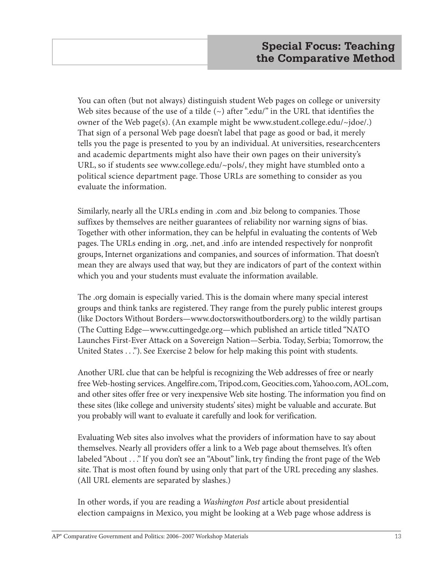You can often (but not always) distinguish student Web pages on college or university Web sites because of the use of a tilde  $(\sim)$  after "edu/" in the URL that identifies the owner of the Web page(s). (An example might be www.student.college.edu/~jdoe/.) That sign of a personal Web page doesn't label that page as good or bad, it merely tells you the page is presented to you by an individual. At universities, researchcenters and academic departments might also have their own pages on their university's URL, so if students see www.college.edu/~pols/, they might have stumbled onto a political science department page. Those URLs are something to consider as you evaluate the information.

Similarly, nearly all the URLs ending in .com and .biz belong to companies. Those suffixes by themselves are neither guarantees of reliability nor warning signs of bias. Together with other information, they can be helpful in evaluating the contents of Web pages. The URLs ending in .org, .net, and .info are intended respectively for nonprofit groups, Internet organizations and companies, and sources of information. That doesn't mean they are always used that way, but they are indicators of part of the context within which you and your students must evaluate the information available.

The .org domain is especially varied. This is the domain where many special interest groups and think tanks are registered. They range from the purely public interest groups (like Doctors Without Borders—www.doctorswithoutborders.org) to the wildly partisan (The Cutting Edge—www.cuttingedge.org—which published an article titled "NATO Launches First-Ever Attack on a Sovereign Nation—Serbia. Today, Serbia; Tomorrow, the United States . . ."). See Exercise 2 below for help making this point with students.

Another URL clue that can be helpful is recognizing the Web addresses of free or nearly free Web-hosting services. Angelfire.com, Tripod.com, Geocities.com, Yahoo.com, AOL.com, and other sites offer free or very inexpensive Web site hosting. The information you find on these sites (like college and university students' sites) might be valuable and accurate. But you probably will want to evaluate it carefully and look for verification.

Evaluating Web sites also involves what the providers of information have to say about themselves. Nearly all providers offer a link to a Web page about themselves. It's often labeled "About . . ." If you don't see an "About" link, try finding the front page of the Web site. That is most often found by using only that part of the URL preceding any slashes. (All URL elements are separated by slashes.)

In other words, if you are reading a *Washington Post* article about presidential election campaigns in Mexico, you might be looking at a Web page whose address is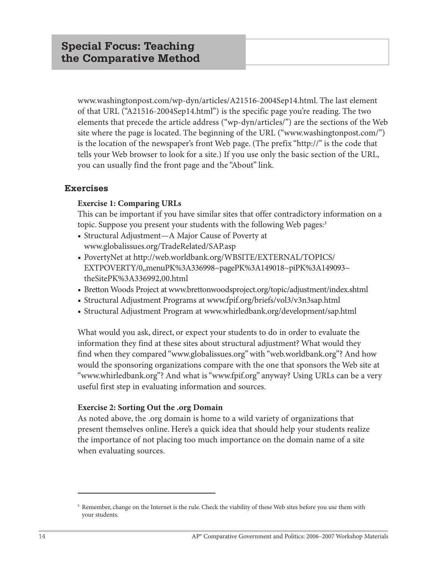www.washingtonpost.com/wp-dyn/articles/A21516-2004Sep14.html. The last element of that URL ("A21516-2004Sep14.html") is the specific page you're reading. The two elements that precede the article address ("wp-dyn/articles/") are the sections of the Web site where the page is located. The beginning of the URL ("www.washingtonpost.com/") is the location of the newspaper's front Web page. (The prefix "http://" is the code that tells your Web browser to look for a site.) If you use only the basic section of the URL, you can usually find the front page and the "About" link.

#### **Exercises**

#### **Exercise 1: Comparing URLs**

This can be important if you have similar sites that offer contradictory information on a topic. Suppose you present your students with the following Web pages:<sup>3</sup>

- **•** Structural Adjustment—A Major Cause of Poverty at www.globalissues.org/TradeRelated/SAP.asp
- **•** PovertyNet at http://web.worldbank.org/WBSITE/EXTERNAL/TOPICS/ EXTPOVERTY/0,,menuPK%3A336998~pagePK%3A149018~piPK%3A149093~ theSitePK%3A336992,00.html
- **•** Bretton Woods Project atwww.brettonwoodsproject.org/topic/adjustment/index.shtml
- **•** Structural Adjustment Programs at www.fpif.org/briefs/vol3/v3n3sap.html
- **•** Structural Adjustment Program at www.whirledbank.org/development/sap.html

What would you ask, direct, or expect your students to do in order to evaluate the information they find at these sites about structural adjustment? What would they find when they compared "www.globalissues.org" with "web.worldbank.org"? And how would the sponsoring organizations compare with the one that sponsors the Web site at "www.whirledbank.org"? And what is "www.fpif.org" anyway? Using URLs can be a very useful first step in evaluating information and sources.

#### **Exercise 2: Sorting Out the .org Domain**

As noted above, the .org domain is home to a wild variety of organizations that present themselves online. Here's a quick idea that should help your students realize the importance of not placing too much importance on the domain name of a site when evaluating sources.

<sup>&</sup>lt;sup>3</sup> Remember, change on the Internet is the rule. Check the viability of these Web sites before you use them with your students.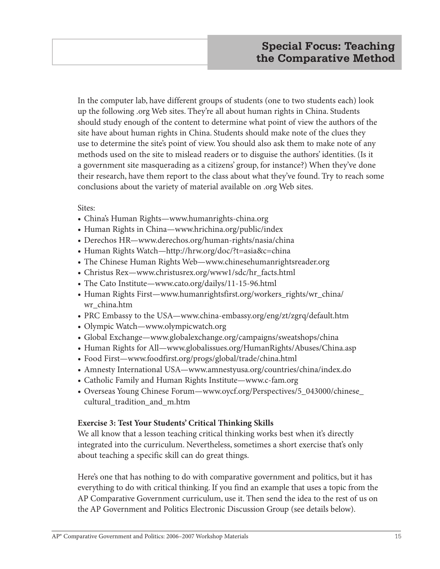In the computer lab, have different groups of students (one to two students each) look up the following .org Web sites. They're all about human rights in China. Students should study enough of the content to determine what point of view the authors of the site have about human rights in China. Students should make note of the clues they use to determine the site's point of view. You should also ask them to make note of any methods used on the site to mislead readers or to disguise the authors' identities. (Is it a government site masquerading as a citizens' group, for instance?) When they've done their research, have them report to the class about what they've found. Try to reach some conclusions about the variety of material available on .org Web sites.

#### Sites:

- **•** China's Human Rights—www.humanrights-china.org
- **•** Human Rights in China—www.hrichina.org/public/index
- **•** Derechos HR—www.derechos.org/human-rights/nasia/china
- **•** Human Rights Watch—http://hrw.org/doc/?t=asia&c=china
- **•** The Chinese Human Rights Web—www.chinesehumanrightsreader.org
- **•** Christus Rex—www.christusrex.org/www1/sdc/hr\_facts.html
- **•** The Cato Institute—www.cato.org/dailys/11-15-96.html
- **•** Human Rights First—www.humanrightsfirst.org/workers\_rights/wr\_china/ wr\_china.htm
- **•** PRC Embassy to the USA—www.china-embassy.org/eng/zt/zgrq/default.htm
- **•** Olympic Watch—www.olympicwatch.org
- **•** Global Exchange—www.globalexchange.org/campaigns/sweatshops/china
- **•** Human Rights for All—www.globalissues.org/HumanRights/Abuses/China.asp
- **•** Food First—www.foodfirst.org/progs/global/trade/china.html
- **•** Amnesty International USA—www.amnestyusa.org/countries/china/index.do
- **•** Catholic Family and Human Rights Institute—www.c-fam.org
- **•** Overseas Young Chinese Forum—www.oycf.org/Perspectives/5\_043000/chinese\_ cultural\_tradition\_and\_m.htm

#### **Exercise 3: Test Your Students' Critical Thinking Skills**

We all know that a lesson teaching critical thinking works best when it's directly integrated into the curriculum. Nevertheless, sometimes a short exercise that's only about teaching a specific skill can do great things.

Here's one that has nothing to do with comparative government and politics, but it has everything to do with critical thinking. If you find an example that uses a topic from the AP Comparative Government curriculum, use it. Then send the idea to the rest of us on the AP Government and Politics Electronic Discussion Group (see details below).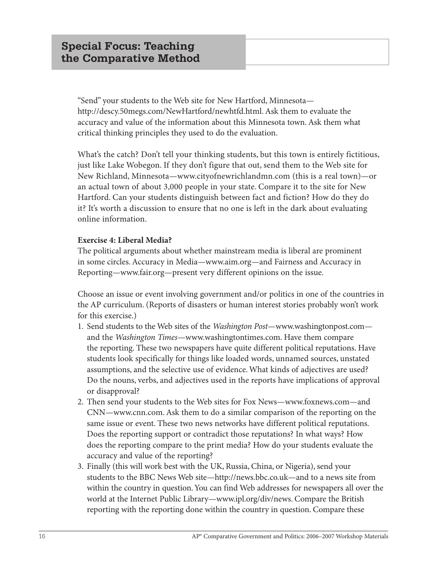"Send" your students to the Web site for New Hartford, Minnesota http://descy.50megs.com/NewHartford/newhtfd.html. Ask them to evaluate the accuracy and value of the information about this Minnesota town. Ask them what critical thinking principles they used to do the evaluation.

What's the catch? Don't tell your thinking students, but this town is entirely fictitious, just like Lake Wobegon. If they don't figure that out, send them to the Web site for New Richland, Minnesota—www.cityofnewrichlandmn.com (this is a real town)—or an actual town of about 3,000 people in your state. Compare it to the site for New Hartford. Can your students distinguish between fact and fiction? How do they do it? It's worth a discussion to ensure that no one is left in the dark about evaluating online information.

#### **Exercise 4: Liberal Media?**

The political arguments about whether mainstream media is liberal are prominent in some circles. Accuracy in Media—www.aim.org—and Fairness and Accuracy in Reporting—www.fair.org—present very different opinions on the issue.

Choose an issue or event involving government and/or politics in one of the countries in the AP curriculum. (Reports of disasters or human interest stories probably won't work for this exercise.)

- 1. Send students to the Web sites of the *Washington Post*—www.washingtonpost.com and the *Washington Times*—www.washingtontimes.com. Have them compare the reporting. These two newspapers have quite different political reputations. Have students look specifically for things like loaded words, unnamed sources, unstated assumptions, and the selective use of evidence. What kinds of adjectives are used? Do the nouns, verbs, and adjectives used in the reports have implications of approval or disapproval?
- 2. Then send your students to the Web sites for Fox News—www.foxnews.com—and CNN—www.cnn.com. Ask them to do a similar comparison of the reporting on the same issue or event. These two news networks have different political reputations. Does the reporting support or contradict those reputations? In what ways? How does the reporting compare to the print media? How do your students evaluate the accuracy and value of the reporting?
- 3. Finally (this will work best with the UK, Russia, China, or Nigeria), send your students to the BBC News Web site—http://news.bbc.co.uk—and to a news site from within the country in question. You can find Web addresses for newspapers all over the world at the Internet Public Library—www.ipl.org/div/news. Compare the British reporting with the reporting done within the country in question. Compare these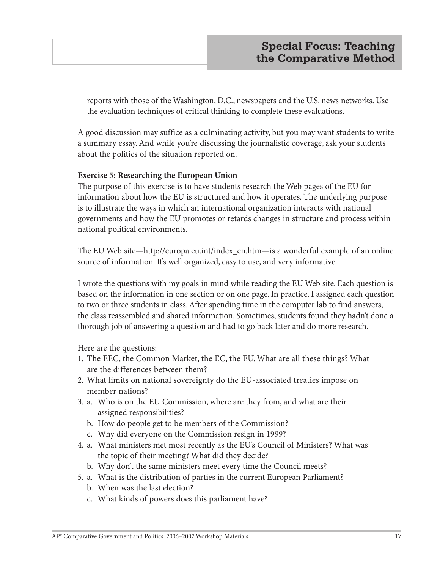reports with those of the Washington, D.C., newspapers and the U.S. news networks. Use the evaluation techniques of critical thinking to complete these evaluations.

A good discussion may suffice as a culminating activity, but you may want students to write a summary essay. And while you're discussing the journalistic coverage, ask your students about the politics of the situation reported on.

#### **Exercise 5: Researching the European Union**

The purpose of this exercise is to have students research the Web pages of the EU for information about how the EU is structured and how it operates. The underlying purpose is to illustrate the ways in which an international organization interacts with national governments and how the EU promotes or retards changes in structure and process within national political environments.

The EU Web site—http://europa.eu.int/index\_en.htm—is a wonderful example of an online source of information. It's well organized, easy to use, and very informative.

I wrote the questions with my goals in mind while reading the EU Web site. Each question is based on the information in one section or on one page. In practice, I assigned each question to two or three students in class. After spending time in the computer lab to find answers, the class reassembled and shared information. Sometimes, students found they hadn't done a thorough job of answering a question and had to go back later and do more research.

Here are the questions:

- 1. The EEC, the Common Market, the EC, the EU. What are all these things? What are the differences between them?
- 2. What limits on national sovereignty do the EU-associated treaties impose on member nations?
- 3. a. Who is on the EU Commission, where are they from, and what are their assigned responsibilities?
	- b. How do people get to be members of the Commission?
	- c. Why did everyone on the Commission resign in 1999?
- 4. a. What ministers met most recently as the EU's Council of Ministers? What was the topic of their meeting? What did they decide?
	- b. Why don't the same ministers meet every time the Council meets?
- 5. a. What is the distribution of parties in the current European Parliament?
	- b. When was the last election?
	- c. What kinds of powers does this parliament have?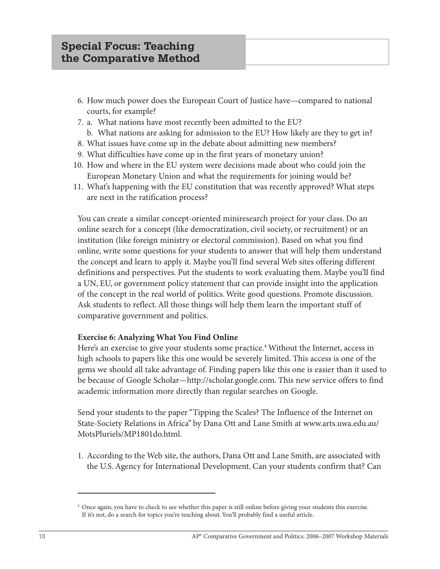- 6. How much power does the European Court of Justice have—compared to national courts, for example?
- 7. a. What nations have most recently been admitted to the EU?
	- b. What nations are asking for admission to the EU? How likely are they to get in?
- 8. What issues have come up in the debate about admitting new members?
- 9. What difficulties have come up in the first years of monetary union?
- 10. How and where in the EU system were decisions made about who could join the European Monetary Union and what the requirements for joining would be?
- 11. What's happening with the EU constitution that was recently approved? What steps are next in the ratification process?

You can create a similar concept-oriented miniresearch project for your class. Do an online search for a concept (like democratization, civil society, or recruitment) or an institution (like foreign ministry or electoral commission). Based on what you find online, write some questions for your students to answer that will help them understand the concept and learn to apply it. Maybe you'll find several Web sites offering different definitions and perspectives. Put the students to work evaluating them. Maybe you'll find a UN, EU, or government policy statement that can provide insight into the application of the concept in the real world of politics. Write good questions. Promote discussion. Ask students to reflect. All those things will help them learn the important stuff of comparative government and politics.

#### **Exercise 6: Analyzing What You Find Online**

Here's an exercise to give your students some practice.<sup>4</sup> Without the Internet, access in high schools to papers like this one would be severely limited. This access is one of the gems we should all take advantage of. Finding papers like this one is easier than it used to be because of Google Scholar—http://scholar.google.com. This new service offers to find academic information more directly than regular searches on Google.

Send your students to the paper "Tipping the Scales? The Influence of the Internet on State-Society Relations in Africa" by Dana Ott and Lane Smith at www.arts.uwa.edu.au/ MotsPluriels/MP1801do.html.

1. According to the Web site, the authors, Dana Ott and Lane Smith, are associated with the U.S. Agency for International Development. Can your students confirm that? Can

<sup>4</sup> Once again, you have to check to see whether this paper is still online before giving your students this exercise. If it's not, do a search for topics you're teaching about. You'll probably find a useful article.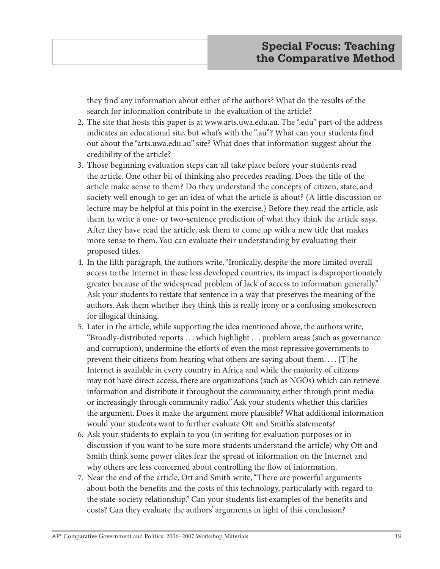they find any information about either of the authors? What do the results of the search for information contribute to the evaluation of the article?

- 2. The site that hosts this paper is at www.arts.uwa.edu.au. The ".edu" part of the address indicates an educational site, but what's with the ".au"? What can your students find out about the "arts.uwa.edu.au" site? What does that information suggest about the credibility of the article?
- 3. Those beginning evaluation steps can all take place before your students read the article. One other bit of thinking also precedes reading. Does the title of the article make sense to them? Do they understand the concepts of citizen, state, and society well enough to get an idea of what the article is about? (A little discussion or lecture may be helpful at this point in the exercise.) Before they read the article, ask them to write a one- or two-sentence prediction of what they think the article says. After they have read the article, ask them to come up with a new title that makes more sense to them. You can evaluate their understanding by evaluating their proposed titles.
- 4. In the fifth paragraph, the authors write, "Ironically, despite the more limited overall access to the Internet in these less developed countries, its impact is disproportionately greater because of the widespread problem of lack of access to information generally." Ask your students to restate that sentence in a way that preserves the meaning of the authors. Ask them whether they think this is really irony or a confusing smokescreen for illogical thinking.
- 5. Later in the article, while supporting the idea mentioned above, the authors write, "Broadly-distributed reports . . . which highlight . . . problem areas (such as governance and corruption), undermine the efforts of even the most repressive governments to prevent their citizens from hearing what others are saying about them. . . . [T]he Internet is available in every country in Africa and while the majority of citizens may not have direct access, there are organizations (such as NGOs) which can retrieve information and distribute it throughout the community, either through print media or increasingly through community radio." Ask your students whether this clarifies the argument. Does it make the argument more plausible? What additional information would your students want to further evaluate Ott and Smith's statements?
- 6. Ask your students to explain to you (in writing for evaluation purposes or in discussion if you want to be sure more students understand the article) why Ott and Smith think some power elites fear the spread of information on the Internet and why others are less concerned about controlling the flow of information.
- 7. Near the end of the article, Ott and Smith write, "There are powerful arguments about both the benefits and the costs of this technology, particularly with regard to the state-society relationship." Can your students list examples of the benefits and costs? Can they evaluate the authors' arguments in light of this conclusion?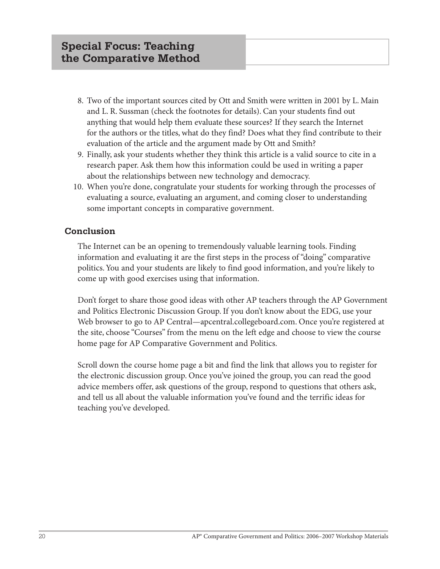- 8. Two of the important sources cited by Ott and Smith were written in 2001 by L. Main and L. R. Sussman (check the footnotes for details). Can your students find out anything that would help them evaluate these sources? If they search the Internet for the authors or the titles, what do they find? Does what they find contribute to their evaluation of the article and the argument made by Ott and Smith?
- 9. Finally, ask your students whether they think this article is a valid source to cite in a research paper. Ask them how this information could be used in writing a paper about the relationships between new technology and democracy.
- 10. When you're done, congratulate your students for working through the processes of evaluating a source, evaluating an argument, and coming closer to understanding some important concepts in comparative government.

#### **Conclusion**

The Internet can be an opening to tremendously valuable learning tools. Finding information and evaluating it are the first steps in the process of "doing" comparative politics. You and your students are likely to find good information, and you're likely to come up with good exercises using that information.

Don't forget to share those good ideas with other AP teachers through the AP Government and Politics Electronic Discussion Group. If you don't know about the EDG, use your Web browser to go to AP Central—apcentral.collegeboard.com. Once you're registered at the site, choose "Courses" from the menu on the left edge and choose to view the course home page for AP Comparative Government and Politics.

Scroll down the course home page a bit and find the link that allows you to register for the electronic discussion group. Once you've joined the group, you can read the good advice members offer, ask questions of the group, respond to questions that others ask, and tell us all about the valuable information you've found and the terrific ideas for teaching you've developed.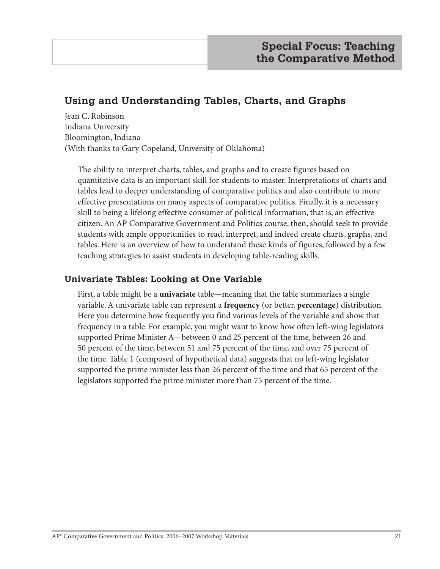# **Using and Understanding Tables, Charts, and Graphs**

Jean C. Robinson Indiana University Bloomington, Indiana (With thanks to Gary Copeland, University of Oklahoma)

The ability to interpret charts, tables, and graphs and to create figures based on quantitative data is an important skill for students to master. Interpretations of charts and tables lead to deeper understanding of comparative politics and also contribute to more effective presentations on many aspects of comparative politics. Finally, it is a necessary skill to being a lifelong effective consumer of political information, that is, an effective citizen. An AP Comparative Government and Politics course, then, should seek to provide students with ample opportunities to read, interpret, and indeed create charts, graphs, and tables. Here is an overview of how to understand these kinds of figures, followed by a few teaching strategies to assist students in developing table-reading skills.

#### **Univariate Tables: Looking at One Variable**

First, a table might be a **univariate** table—meaning that the table summarizes a single variable. A univariate table can represent a **frequency** (or better, **percentage**) distribution. Here you determine how frequently you find various levels of the variable and show that frequency in a table. For example, you might want to know how often left-wing legislators supported Prime Minister A—between 0 and 25 percent of the time, between 26 and 50 percent of the time, between 51 and 75 percent of the time, and over 75 percent of the time. Table 1 (composed of hypothetical data) suggests that no left-wing legislator supported the prime minister less than 26 percent of the time and that 65 percent of the legislators supported the prime minister more than 75 percent of the time.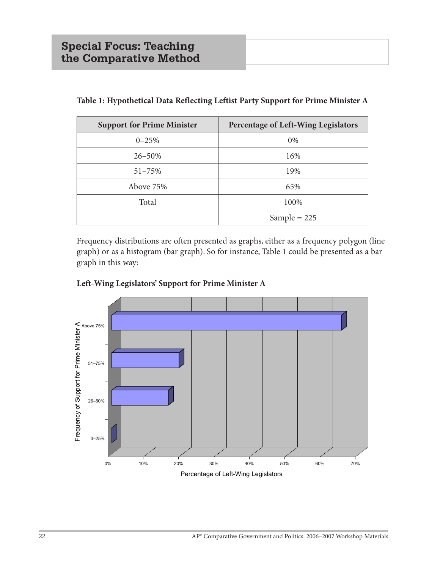| <b>Support for Prime Minister</b> | Percentage of Left-Wing Legislators |
|-----------------------------------|-------------------------------------|
| $0 - 25%$                         | 0%                                  |
| $26 - 50\%$                       | 16%                                 |
| $51 - 75%$                        | 19%                                 |
| Above 75%                         | 65%                                 |
| Total                             | 100%                                |
|                                   | Sample = $225$                      |

**Table 1: Hypothetical Data Reflecting Leftist Party Support for Prime Minister A**

Frequency distributions are often presented as graphs, either as a frequency polygon (line graph) or as a histogram (bar graph). So for instance, Table 1 could be presented as a bar graph in this way:



#### **Left-Wing Legislators' Support for Prime Minister A** Left-WIng Legislators Support for Prime Minister A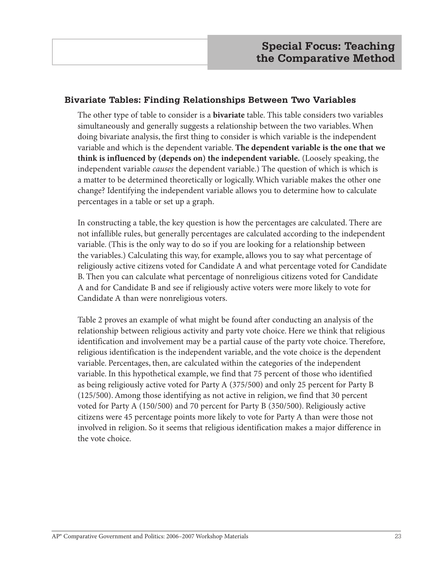#### **Bivariate Tables: Finding Relationships Between Two Variables**

The other type of table to consider is a **bivariate** table. This table considers two variables simultaneously and generally suggests a relationship between the two variables. When doing bivariate analysis, the first thing to consider is which variable is the independent variable and which is the dependent variable. **The dependent variable is the one that we think is influenced by (depends on) the independent variable.** (Loosely speaking, the independent variable *causes* the dependent variable.) The question of which is which is a matter to be determined theoretically or logically. Which variable makes the other one change? Identifying the independent variable allows you to determine how to calculate percentages in a table or set up a graph.

In constructing a table, the key question is how the percentages are calculated. There are not infallible rules, but generally percentages are calculated according to the independent variable. (This is the only way to do so if you are looking for a relationship between the variables.) Calculating this way, for example, allows you to say what percentage of religiously active citizens voted for Candidate A and what percentage voted for Candidate B. Then you can calculate what percentage of nonreligious citizens voted for Candidate A and for Candidate B and see if religiously active voters were more likely to vote for Candidate A than were nonreligious voters.

Table 2 proves an example of what might be found after conducting an analysis of the relationship between religious activity and party vote choice. Here we think that religious identification and involvement may be a partial cause of the party vote choice. Therefore, religious identification is the independent variable, and the vote choice is the dependent variable. Percentages, then, are calculated within the categories of the independent variable. In this hypothetical example, we find that 75 percent of those who identified as being religiously active voted for Party A (375/500) and only 25 percent for Party B (125/500). Among those identifying as not active in religion, we find that 30 percent voted for Party A (150/500) and 70 percent for Party B (350/500). Religiously active citizens were 45 percentage points more likely to vote for Party A than were those not involved in religion. So it seems that religious identification makes a major difference in the vote choice.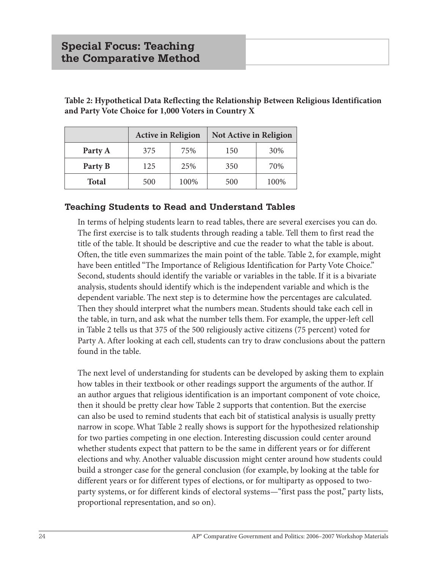|              | <b>Active in Religion</b> |      | Not Active in Religion |      |
|--------------|---------------------------|------|------------------------|------|
| Party A      | 375                       | 75%  | 150                    | 30%  |
| Party B      | 125                       | 25%  | 350                    | 70%  |
| <b>Total</b> | 500                       | 100% | 500                    | 100% |

**Table 2: Hypothetical Data Reflecting the Relationship Between Religious Identification and Party Vote Choice for 1,000 Voters in Country X**

#### **Teaching Students to Read and Understand Tables**

In terms of helping students learn to read tables, there are several exercises you can do. The first exercise is to talk students through reading a table. Tell them to first read the title of the table. It should be descriptive and cue the reader to what the table is about. Often, the title even summarizes the main point of the table. Table 2, for example, might have been entitled "The Importance of Religious Identification for Party Vote Choice." Second, students should identify the variable or variables in the table. If it is a bivariate analysis, students should identify which is the independent variable and which is the dependent variable. The next step is to determine how the percentages are calculated. Then they should interpret what the numbers mean. Students should take each cell in the table, in turn, and ask what the number tells them. For example, the upper-left cell in Table 2 tells us that 375 of the 500 religiously active citizens (75 percent) voted for Party A. After looking at each cell, students can try to draw conclusions about the pattern found in the table.

The next level of understanding for students can be developed by asking them to explain how tables in their textbook or other readings support the arguments of the author. If an author argues that religious identification is an important component of vote choice, then it should be pretty clear how Table 2 supports that contention. But the exercise can also be used to remind students that each bit of statistical analysis is usually pretty narrow in scope. What Table 2 really shows is support for the hypothesized relationship for two parties competing in one election. Interesting discussion could center around whether students expect that pattern to be the same in different years or for different elections and why. Another valuable discussion might center around how students could build a stronger case for the general conclusion (for example, by looking at the table for different years or for different types of elections, or for multiparty as opposed to twoparty systems, or for different kinds of electoral systems—"first pass the post," party lists, proportional representation, and so on).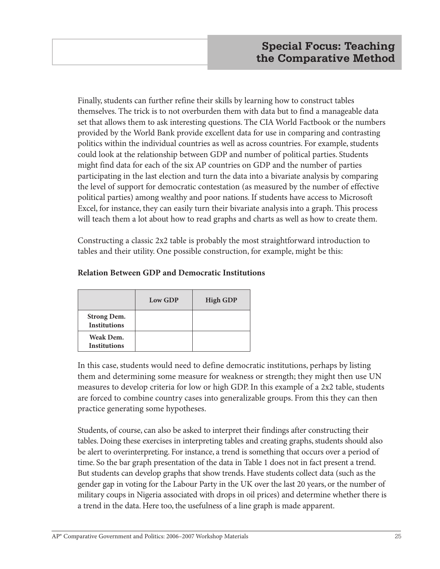Finally, students can further refine their skills by learning how to construct tables themselves. The trick is to not overburden them with data but to find a manageable data set that allows them to ask interesting questions. The CIA World Factbook or the numbers provided by the World Bank provide excellent data for use in comparing and contrasting politics within the individual countries as well as across countries. For example, students could look at the relationship between GDP and number of political parties. Students might find data for each of the six AP countries on GDP and the number of parties participating in the last election and turn the data into a bivariate analysis by comparing the level of support for democratic contestation (as measured by the number of effective political parties) among wealthy and poor nations. If students have access to Microsoft Excel, for instance, they can easily turn their bivariate analysis into a graph. This process will teach them a lot about how to read graphs and charts as well as how to create them.

Constructing a classic 2x2 table is probably the most straightforward introduction to tables and their utility. One possible construction, for example, might be this:

|                                           | Low GDP | <b>High GDP</b> |
|-------------------------------------------|---------|-----------------|
| <b>Strong Dem.</b><br><b>Institutions</b> |         |                 |
| Weak Dem.<br><b>Institutions</b>          |         |                 |

#### **Relation Between GDP and Democratic Institutions**

In this case, students would need to define democratic institutions, perhaps by listing them and determining some measure for weakness or strength; they might then use UN measures to develop criteria for low or high GDP. In this example of a 2x2 table, students are forced to combine country cases into generalizable groups. From this they can then practice generating some hypotheses.

Students, of course, can also be asked to interpret their findings after constructing their tables. Doing these exercises in interpreting tables and creating graphs, students should also be alert to overinterpreting. For instance, a trend is something that occurs over a period of time. So the bar graph presentation of the data in Table 1 does not in fact present a trend. But students can develop graphs that show trends. Have students collect data (such as the gender gap in voting for the Labour Party in the UK over the last 20 years, or the number of military coups in Nigeria associated with drops in oil prices) and determine whether there is a trend in the data. Here too, the usefulness of a line graph is made apparent.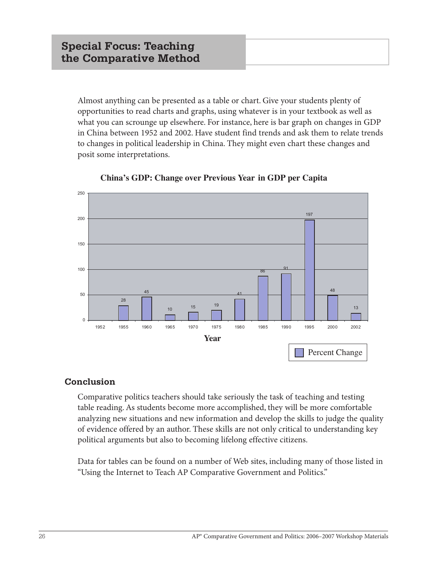Almost anything can be presented as a table or chart. Give your students plenty of opportunities to read charts and graphs, using whatever is in your textbook as well as what you can scrounge up elsewhere. For instance, here is bar graph on changes in GDP in China between 1952 and 2002. Have student find trends and ask them to relate trends to changes in political leadership in China. They might even chart these changes and posit some interpretations.





#### **Conclusion**

Comparative politics teachers should take seriously the task of teaching and testing table reading. As students become more accomplished, they will be more comfortable analyzing new situations and new information and develop the skills to judge the quality of evidence offered by an author. These skills are not only critical to understanding key political arguments but also to becoming lifelong effective citizens.

Data for tables can be found on a number of Web sites, including many of those listed in "Using the Internet to Teach AP Comparative Government and Politics."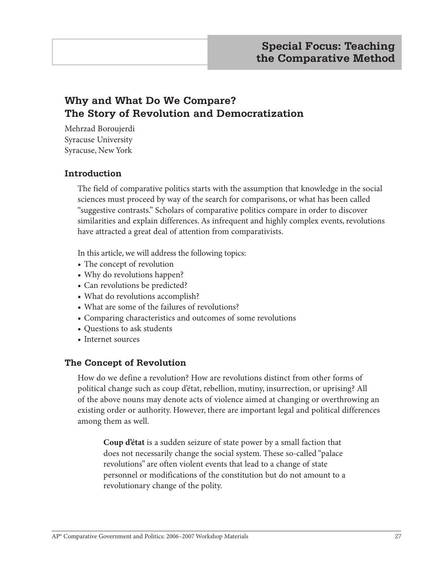# **Why and What Do We Compare? The Story of Revolution and Democratization**

Mehrzad Boroujerdi Syracuse University Syracuse, New York

#### **Introduction**

The field of comparative politics starts with the assumption that knowledge in the social sciences must proceed by way of the search for comparisons, or what has been called "suggestive contrasts." Scholars of comparative politics compare in order to discover similarities and explain differences. As infrequent and highly complex events, revolutions have attracted a great deal of attention from comparativists.

In this article, we will address the following topics:

- **•** The concept of revolution
- Why do revolutions happen?
- **•** Can revolutions be predicted?
- **•** What do revolutions accomplish?
- **•** What are some of the failures of revolutions?
- **•** Comparing characteristics and outcomes of some revolutions
- **•** Questions to ask students
- **•** Internet sources

#### **The Concept of Revolution**

How do we define a revolution? How are revolutions distinct from other forms of political change such as coup d'état, rebellion, mutiny, insurrection, or uprising? All of the above nouns may denote acts of violence aimed at changing or overthrowing an existing order or authority. However, there are important legal and political differences among them as well.

**Coup d'état** is a sudden seizure of state power by a small faction that does not necessarily change the social system. These so-called "palace revolutions" are often violent events that lead to a change of state personnel or modifications of the constitution but do not amount to a revolutionary change of the polity.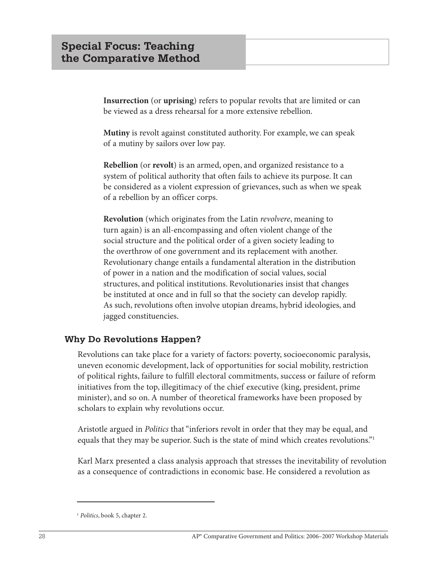**Insurrection** (or **uprising**) refers to popular revolts that are limited or can be viewed as a dress rehearsal for a more extensive rebellion.

**Mutiny** is revolt against constituted authority. For example, we can speak of a mutiny by sailors over low pay.

**Rebellion** (or **revolt**) is an armed, open, and organized resistance to a system of political authority that often fails to achieve its purpose. It can be considered as a violent expression of grievances, such as when we speak of a rebellion by an officer corps.

**Revolution** (which originates from the Latin *revolvere*, meaning to turn again) is an all-encompassing and often violent change of the social structure and the political order of a given society leading to the overthrow of one government and its replacement with another. Revolutionary change entails a fundamental alteration in the distribution of power in a nation and the modification of social values, social structures, and political institutions. Revolutionaries insist that changes be instituted at once and in full so that the society can develop rapidly. As such, revolutions often involve utopian dreams, hybrid ideologies, and jagged constituencies.

#### **Why Do Revolutions Happen?**

Revolutions can take place for a variety of factors: poverty, socioeconomic paralysis, uneven economic development, lack of opportunities for social mobility, restriction of political rights, failure to fulfill electoral commitments, success or failure of reform initiatives from the top, illegitimacy of the chief executive (king, president, prime minister), and so on. A number of theoretical frameworks have been proposed by scholars to explain why revolutions occur.

Aristotle argued in *Politics* that "inferiors revolt in order that they may be equal, and equals that they may be superior. Such is the state of mind which creates revolutions.<sup>"1</sup>

Karl Marx presented a class analysis approach that stresses the inevitability of revolution as a consequence of contradictions in economic base. He considered a revolution as

<sup>1</sup> *Politics*, book 5, chapter 2.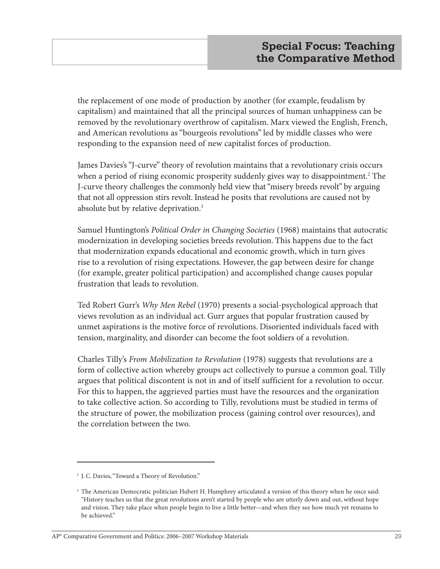the replacement of one mode of production by another (for example, feudalism by capitalism) and maintained that all the principal sources of human unhappiness can be removed by the revolutionary overthrow of capitalism. Marx viewed the English, French, and American revolutions as "bourgeois revolutions" led by middle classes who were responding to the expansion need of new capitalist forces of production.

James Davies's "J-curve" theory of revolution maintains that a revolutionary crisis occurs when a period of rising economic prosperity suddenly gives way to disappointment.<sup>2</sup> The J-curve theory challenges the commonly held view that "misery breeds revolt" by arguing that not all oppression stirs revolt. Instead he posits that revolutions are caused not by absolute but by relative deprivation.3

Samuel Huntington's *Political Order in Changing Societies* (1968) maintains that autocratic modernization in developing societies breeds revolution. This happens due to the fact that modernization expands educational and economic growth, which in turn gives rise to a revolution of rising expectations. However, the gap between desire for change (for example, greater political participation) and accomplished change causes popular frustration that leads to revolution.

Ted Robert Gurr's *Why Men Rebel* (1970) presents a social-psychological approach that views revolution as an individual act. Gurr argues that popular frustration caused by unmet aspirations is the motive force of revolutions. Disoriented individuals faced with tension, marginality, and disorder can become the foot soldiers of a revolution.

Charles Tilly's *From Mobilization to Revolution* (1978) suggests that revolutions are a form of collective action whereby groups act collectively to pursue a common goal. Tilly argues that political discontent is not in and of itself sufficient for a revolution to occur. For this to happen, the aggrieved parties must have the resources and the organization to take collective action. So according to Tilly, revolutions must be studied in terms of the structure of power, the mobilization process (gaining control over resources), and the correlation between the two.

<sup>2</sup> J. C. Davies, "Toward a Theory of Revolution."

<sup>&</sup>lt;sup>3</sup> The American Democratic politician Hubert H. Humphrey articulated a version of this theory when he once said: "History teaches us that the great revolutions aren't started by people who are utterly down and out, without hope and vision. They take place when people begin to live a little better—and when they see how much yet remains to be achieved."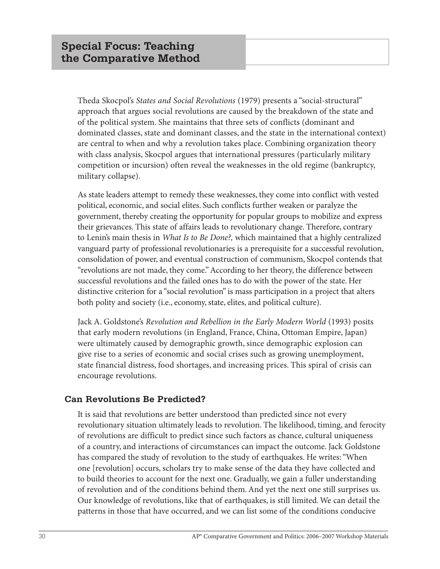Theda Skocpol's *States and Social Revolutions* (1979) presents a "social-structural" approach that argues social revolutions are caused by the breakdown of the state and of the political system. She maintains that three sets of conflicts (dominant and dominated classes, state and dominant classes, and the state in the international context) are central to when and why a revolution takes place. Combining organization theory with class analysis, Skocpol argues that international pressures (particularly military competition or incursion) often reveal the weaknesses in the old regime (bankruptcy, military collapse).

As state leaders attempt to remedy these weaknesses, they come into conflict with vested political, economic, and social elites. Such conflicts further weaken or paralyze the government, thereby creating the opportunity for popular groups to mobilize and express their grievances. This state of affairs leads to revolutionary change. Therefore, contrary to Lenin's main thesis in *What Is to Be Done?,* which maintained that a highly centralized vanguard party of professional revolutionaries is a prerequisite for a successful revolution, consolidation of power, and eventual construction of communism, Skocpol contends that "revolutions are not made, they come." According to her theory, the difference between successful revolutions and the failed ones has to do with the power of the state. Her distinctive criterion for a "social revolution" is mass participation in a project that alters both polity and society (i.e., economy, state, elites, and political culture).

Jack A. Goldstone's *Revolution and Rebellion in the Early Modern World* (1993) posits that early modern revolutions (in England, France, China, Ottoman Empire, Japan) were ultimately caused by demographic growth, since demographic explosion can give rise to a series of economic and social crises such as growing unemployment, state financial distress, food shortages, and increasing prices. This spiral of crisis can encourage revolutions.

#### **Can Revolutions Be Predicted?**

It is said that revolutions are better understood than predicted since not every revolutionary situation ultimately leads to revolution. The likelihood, timing, and ferocity of revolutions are difficult to predict since such factors as chance, cultural uniqueness of a country, and interactions of circumstances can impact the outcome. Jack Goldstone has compared the study of revolution to the study of earthquakes. He writes: "When one [revolution] occurs, scholars try to make sense of the data they have collected and to build theories to account for the next one. Gradually, we gain a fuller understanding of revolution and of the conditions behind them. And yet the next one still surprises us. Our knowledge of revolutions, like that of earthquakes, is still limited. We can detail the patterns in those that have occurred, and we can list some of the conditions conducive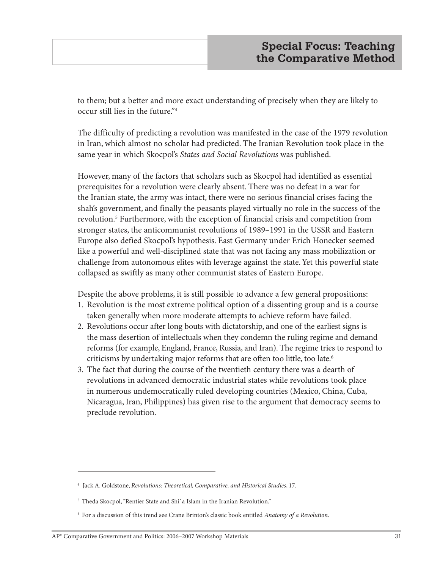to them; but a better and more exact understanding of precisely when they are likely to occur still lies in the future."4

The difficulty of predicting a revolution was manifested in the case of the 1979 revolution in Iran, which almost no scholar had predicted. The Iranian Revolution took place in the same year in which Skocpol's *States and Social Revolutions* was published.

However, many of the factors that scholars such as Skocpol had identified as essential prerequisites for a revolution were clearly absent. There was no defeat in a war for the Iranian state, the army was intact, there were no serious financial crises facing the shah's government, and finally the peasants played virtually no role in the success of the revolution.5 Furthermore, with the exception of financial crisis and competition from stronger states, the anticommunist revolutions of 1989–1991 in the USSR and Eastern Europe also defied Skocpol's hypothesis. East Germany under Erich Honecker seemed like a powerful and well-disciplined state that was not facing any mass mobilization or challenge from autonomous elites with leverage against the state. Yet this powerful state collapsed as swiftly as many other communist states of Eastern Europe.

Despite the above problems, it is still possible to advance a few general propositions:

- 1. Revolution is the most extreme political option of a dissenting group and is a course taken generally when more moderate attempts to achieve reform have failed.
- 2. Revolutions occur after long bouts with dictatorship, and one of the earliest signs is the mass desertion of intellectuals when they condemn the ruling regime and demand reforms (for example, England, France, Russia, and Iran). The regime tries to respond to criticisms by undertaking major reforms that are often too little, too late.<sup>6</sup>
- 3. The fact that during the course of the twentieth century there was a dearth of revolutions in advanced democratic industrial states while revolutions took place in numerous undemocratically ruled developing countries (Mexico, China, Cuba, Nicaragua, Iran, Philippines) has given rise to the argument that democracy seems to preclude revolution.

<sup>4</sup> Jack A. Goldstone, *Revolutions: Theoretical, Comparative, and Historical Studies*, 17.

<sup>&</sup>lt;sup>5</sup> Theda Skocpol, "Rentier State and Shi`a Islam in the Iranian Revolution."

<sup>6</sup> For a discussion of this trend see Crane Brinton's classic book entitled *Anatomy of a Revolution*.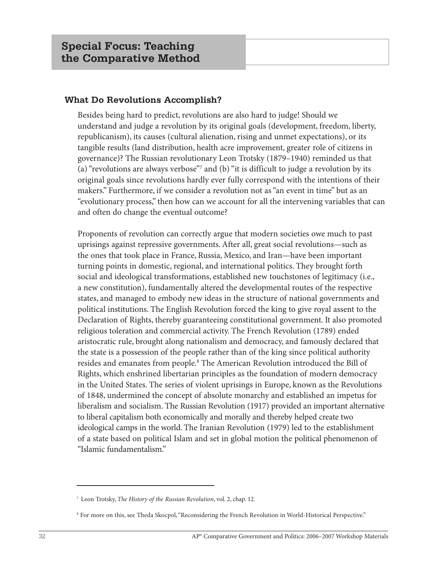#### **What Do Revolutions Accomplish?**

Besides being hard to predict, revolutions are also hard to judge! Should we understand and judge a revolution by its original goals (development, freedom, liberty, republicanism), its causes (cultural alienation, rising and unmet expectations), or its tangible results (land distribution, health acre improvement, greater role of citizens in governance)? The Russian revolutionary Leon Trotsky (1879–1940) reminded us that (a) "revolutions are always verbose"7 and (b) "it is difficult to judge a revolution by its original goals since revolutions hardly ever fully correspond with the intentions of their makers." Furthermore, if we consider a revolution not as "an event in time" but as an "evolutionary process," then how can we account for all the intervening variables that can and often do change the eventual outcome?

Proponents of revolution can correctly argue that modern societies owe much to past uprisings against repressive governments. After all, great social revolutions—such as the ones that took place in France, Russia, Mexico, and Iran—have been important turning points in domestic, regional, and international politics. They brought forth social and ideological transformations, established new touchstones of legitimacy (i.e., a new constitution), fundamentally altered the developmental routes of the respective states, and managed to embody new ideas in the structure of national governments and political institutions. The English Revolution forced the king to give royal assent to the Declaration of Rights, thereby guaranteeing constitutional government. It also promoted religious toleration and commercial activity. The French Revolution (1789) ended aristocratic rule, brought along nationalism and democracy, and famously declared that the state is a possession of the people rather than of the king since political authority resides and emanates from people.<sup>8</sup> The American Revolution introduced the Bill of Rights, which enshrined libertarian principles as the foundation of modern democracy in the United States. The series of violent uprisings in Europe, known as the Revolutions of 1848, undermined the concept of absolute monarchy and established an impetus for liberalism and socialism. The Russian Revolution (1917) provided an important alternative to liberal capitalism both economically and morally and thereby helped create two ideological camps in the world. The Iranian Revolution (1979) led to the establishment of a state based on political Islam and set in global motion the political phenomenon of "Islamic fundamentalism."

<sup>7</sup> Leon Trotsky, *The History of the Russian Revolution*, vol. 2, chap. 12.

<sup>8</sup> For more on this, see Theda Skocpol, "Reconsidering the French Revolution in World-Historical Perspective."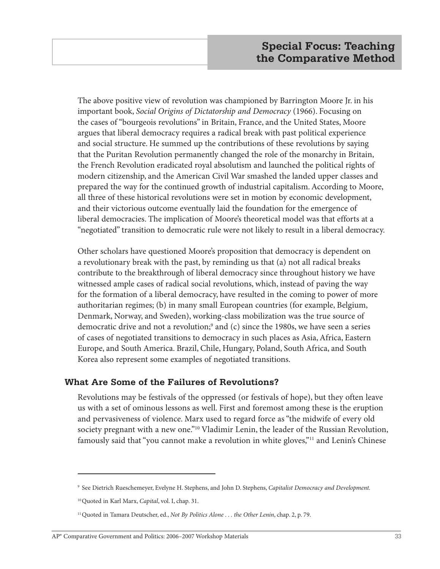The above positive view of revolution was championed by Barrington Moore Jr. in his important book, *Social Origins of Dictatorship and Democracy* (1966). Focusing on the cases of "bourgeois revolutions" in Britain, France, and the United States, Moore argues that liberal democracy requires a radical break with past political experience and social structure. He summed up the contributions of these revolutions by saying that the Puritan Revolution permanently changed the role of the monarchy in Britain, the French Revolution eradicated royal absolutism and launched the political rights of modern citizenship, and the American Civil War smashed the landed upper classes and prepared the way for the continued growth of industrial capitalism. According to Moore, all three of these historical revolutions were set in motion by economic development, and their victorious outcome eventually laid the foundation for the emergence of liberal democracies. The implication of Moore's theoretical model was that efforts at a "negotiated" transition to democratic rule were not likely to result in a liberal democracy.

Other scholars have questioned Moore's proposition that democracy is dependent on a revolutionary break with the past, by reminding us that (a) not all radical breaks contribute to the breakthrough of liberal democracy since throughout history we have witnessed ample cases of radical social revolutions, which, instead of paving the way for the formation of a liberal democracy, have resulted in the coming to power of more authoritarian regimes; (b) in many small European countries (for example, Belgium, Denmark, Norway, and Sweden), working-class mobilization was the true source of democratic drive and not a revolution;<sup>9</sup> and (c) since the 1980s, we have seen a series of cases of negotiated transitions to democracy in such places as Asia, Africa, Eastern Europe, and South America. Brazil, Chile, Hungary, Poland, South Africa, and South Korea also represent some examples of negotiated transitions.

#### **What Are Some of the Failures of Revolutions?**

Revolutions may be festivals of the oppressed (or festivals of hope), but they often leave us with a set of ominous lessons as well. First and foremost among these is the eruption and pervasiveness of violence. Marx used to regard force as "the midwife of every old society pregnant with a new one."<sup>10</sup> Vladimir Lenin, the leader of the Russian Revolution, famously said that "you cannot make a revolution in white gloves,"<sup>11</sup> and Lenin's Chinese

<sup>9</sup> See Dietrich Rueschemeyer, Evelyne H. Stephens, and John D. Stephens, *Capitalist Democracy and Development.*

<sup>10</sup>Quoted in Karl Marx, *Capital*, vol. I, chap. 31.

<sup>11</sup>Quoted in Tamara Deutscher, ed., *Not By Politics Alone . . . the Other Lenin*, chap. 2, p. 79.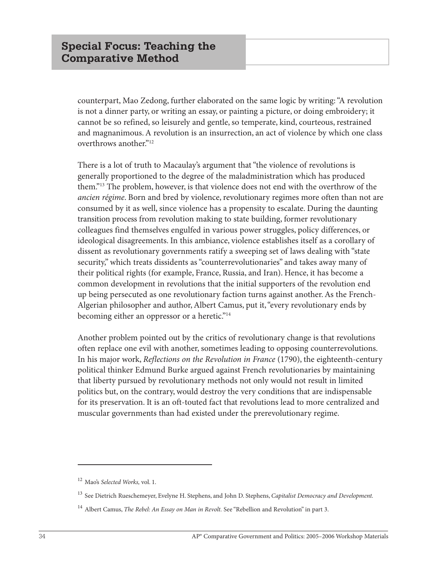counterpart, Mao Zedong, further elaborated on the same logic by writing: "A revolution is not a dinner party, or writing an essay, or painting a picture, or doing embroidery; it cannot be so refined, so leisurely and gentle, so temperate, kind, courteous, restrained and magnanimous. A revolution is an insurrection, an act of violence by which one class overthrows another."12

There is a lot of truth to Macaulay's argument that "the violence of revolutions is generally proportioned to the degree of the maladministration which has produced them."13 The problem, however, is that violence does not end with the overthrow of the *ancien régime*. Born and bred by violence, revolutionary regimes more often than not are consumed by it as well, since violence has a propensity to escalate. During the daunting transition process from revolution making to state building, former revolutionary colleagues find themselves engulfed in various power struggles, policy differences, or ideological disagreements. In this ambiance, violence establishes itself as a corollary of dissent as revolutionary governments ratify a sweeping set of laws dealing with "state security," which treats dissidents as "counterrevolutionaries" and takes away many of their political rights (for example, France, Russia, and Iran). Hence, it has become a common development in revolutions that the initial supporters of the revolution end up being persecuted as one revolutionary faction turns against another. As the French-Algerian philosopher and author, Albert Camus, put it, "every revolutionary ends by becoming either an oppressor or a heretic."<sup>14</sup>

Another problem pointed out by the critics of revolutionary change is that revolutions often replace one evil with another, sometimes leading to opposing counterrevolutions. In his major work, *Reflections on the Revolution in France* (1790), the eighteenth-century political thinker Edmund Burke argued against French revolutionaries by maintaining that liberty pursued by revolutionary methods not only would not result in limited politics but, on the contrary, would destroy the very conditions that are indispensable for its preservation. It is an oft-touted fact that revolutions lead to more centralized and muscular governments than had existed under the prerevolutionary regime.

<sup>12</sup> Mao's *Selected Works,* vol. 1.

<sup>13</sup> See Dietrich Rueschemeyer, Evelyne H. Stephens, and John D. Stephens, *Capitalist Democracy and Development.*

<sup>&</sup>lt;sup>14</sup> Albert Camus, *The Rebel: An Essay on Man in Revolt*. See "Rebellion and Revolution" in part 3.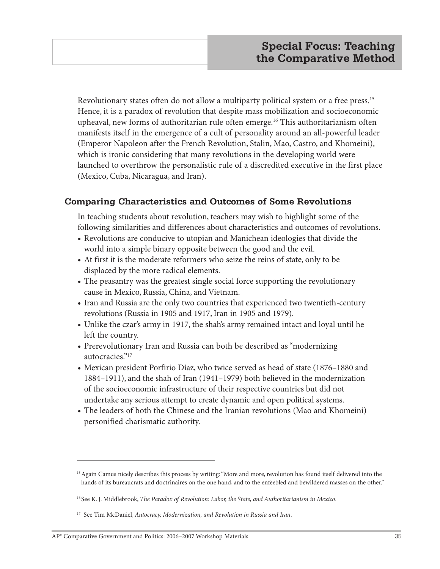Revolutionary states often do not allow a multiparty political system or a free press.<sup>15</sup> Hence, it is a paradox of revolution that despite mass mobilization and socioeconomic upheaval, new forms of authoritarian rule often emerge.16 This authoritarianism often manifests itself in the emergence of a cult of personality around an all-powerful leader (Emperor Napoleon after the French Revolution, Stalin, Mao, Castro, and Khomeini), which is ironic considering that many revolutions in the developing world were launched to overthrow the personalistic rule of a discredited executive in the first place (Mexico, Cuba, Nicaragua, and Iran).

## **Comparing Characteristics and Outcomes of Some Revolutions**

In teaching students about revolution, teachers may wish to highlight some of the following similarities and differences about characteristics and outcomes of revolutions.

- **•** Revolutions are conducive to utopian and Manichean ideologies that divide the world into a simple binary opposite between the good and the evil.
- **•** At first it is the moderate reformers who seize the reins of state, only to be displaced by the more radical elements.
- **•** The peasantry was the greatest single social force supporting the revolutionary cause in Mexico, Russia, China, and Vietnam.
- **•** Iran and Russia are the only two countries that experienced two twentieth-century revolutions (Russia in 1905 and 1917, Iran in 1905 and 1979).
- **•** Unlike the czar's army in 1917, the shah's army remained intact and loyal until he left the country.
- **•** Prerevolutionary Iran and Russia can both be described as "modernizing autocracies."17
- **•** Mexican president Porfirio Díaz, who twice served as head of state (1876–1880 and 1884–1911), and the shah of Iran (1941–1979) both believed in the modernization of the socioeconomic infrastructure of their respective countries but did not undertake any serious attempt to create dynamic and open political systems.
- **•** The leaders of both the Chinese and the Iranian revolutions (Mao and Khomeini) personified charismatic authority.

<sup>&</sup>lt;sup>15</sup> Again Camus nicely describes this process by writing: "More and more, revolution has found itself delivered into the hands of its bureaucrats and doctrinaires on the one hand, and to the enfeebled and bewildered masses on the other."

<sup>16</sup> See K. J. Middlebrook, *The Paradox of Revolution: Labor, the State, and Authoritarianism in Mexico*.

<sup>17</sup> See Tim McDaniel, *Autocracy, Modernization, and Revolution in Russia and Iran*.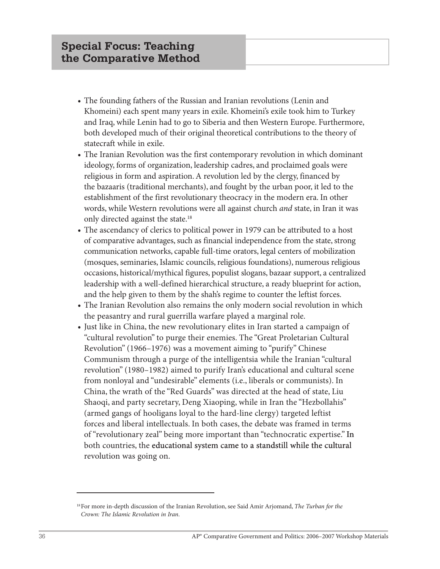- **•** The founding fathers of the Russian and Iranian revolutions (Lenin and Khomeini) each spent many years in exile. Khomeini's exile took him to Turkey and Iraq, while Lenin had to go to Siberia and then Western Europe. Furthermore, both developed much of their original theoretical contributions to the theory of statecraft while in exile.
- **•** The Iranian Revolution was the first contemporary revolution in which dominant ideology, forms of organization, leadership cadres, and proclaimed goals were religious in form and aspiration. A revolution led by the clergy, financed by the bazaaris (traditional merchants), and fought by the urban poor, it led to the establishment of the first revolutionary theocracy in the modern era. In other words, while Western revolutions were all against church *and* state, in Iran it was only directed against the state.<sup>18</sup>
- **•** The ascendancy of clerics to political power in 1979 can be attributed to a host of comparative advantages, such as financial independence from the state, strong communication networks, capable full-time orators, legal centers of mobilization (mosques, seminaries, Islamic councils, religious foundations), numerous religious occasions, historical/mythical figures, populist slogans, bazaar support, a centralized leadership with a well-defined hierarchical structure, a ready blueprint for action, and the help given to them by the shah's regime to counter the leftist forces.
- **•** The Iranian Revolution also remains the only modern social revolution in which the peasantry and rural guerrilla warfare played a marginal role.
- **•** Just like in China, the new revolutionary elites in Iran started a campaign of "cultural revolution" to purge their enemies. The "Great Proletarian Cultural Revolution" (1966–1976) was a movement aiming to "purify" Chinese Communism through a purge of the intelligentsia while the Iranian "cultural revolution" (1980–1982) aimed to purify Iran's educational and cultural scene from nonloyal and "undesirable" elements (i.e., liberals or communists). In China, the wrath of the "Red Guards" was directed at the head of state, Liu Shaoqi, and party secretary, Deng Xiaoping, while in Iran the "Hezbollahis" (armed gangs of hooligans loyal to the hard-line clergy) targeted leftist forces and liberal intellectuals. In both cases, the debate was framed in terms of "revolutionary zeal" being more important than "technocratic expertise." In both countries, the educational system came to a standstill while the cultural revolution was going on.

<sup>18</sup>For more in-depth discussion of the Iranian Revolution, see Said Amir Arjomand, *The Turban for the Crown: The Islamic Revolution in Iran*.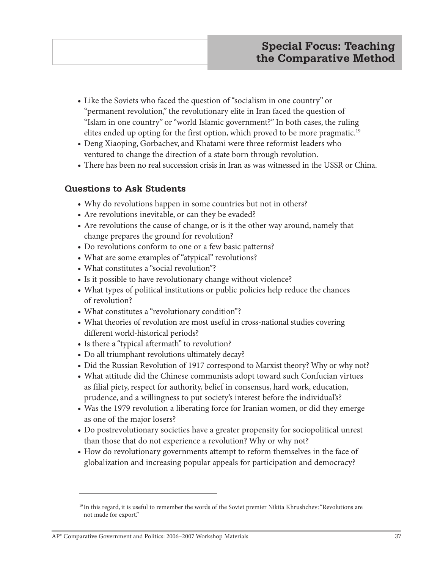- **•** Like the Soviets who faced the question of "socialism in one country" or "permanent revolution," the revolutionary elite in Iran faced the question of "Islam in one country" or "world Islamic government?" In both cases, the ruling elites ended up opting for the first option, which proved to be more pragmatic.<sup>19</sup>
- **•** Deng Xiaoping, Gorbachev, and Khatami were three reformist leaders who ventured to change the direction of a state born through revolution.
- **•** There has been no real succession crisis in Iran as was witnessed in the USSR or China.

## **Questions to Ask Students**

- **•** Why do revolutions happen in some countries but not in others?
- **•** Are revolutions inevitable, or can they be evaded?
- **•** Are revolutions the cause of change, or is it the other way around, namely that change prepares the ground for revolution?
- **•** Do revolutions conform to one or a few basic patterns?
- **•** What are some examples of "atypical" revolutions?
- **•** What constitutes a "social revolution"?
- **•** Is it possible to have revolutionary change without violence?
- **•** What types of political institutions or public policies help reduce the chances of revolution?
- **•** What constitutes a "revolutionary condition"?
- What theories of revolution are most useful in cross-national studies covering different world-historical periods?
- **•** Is there a "typical aftermath" to revolution?
- **•** Do all triumphant revolutions ultimately decay?
- **•** Did the Russian Revolution of 1917 correspond to Marxist theory? Why or why not?
- **•** What attitude did the Chinese communists adopt toward such Confucian virtues as filial piety, respect for authority, belief in consensus, hard work, education, prudence, and a willingness to put society's interest before the individual's?
- **•** Was the 1979 revolution a liberating force for Iranian women, or did they emerge as one of the major losers?
- **•** Do postrevolutionary societies have a greater propensity for sociopolitical unrest than those that do not experience a revolution? Why or why not?
- **•** How do revolutionary governments attempt to reform themselves in the face of globalization and increasing popular appeals for participation and democracy?

<sup>19</sup> In this regard, it is useful to remember the words of the Soviet premier Nikita Khrushchev: "Revolutions are not made for export."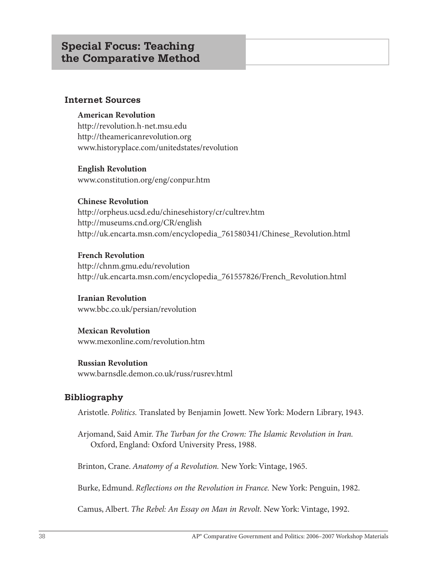### **Internet Sources**

#### **American Revolution**

http://revolution.h-net.msu.edu http://theamericanrevolution.org www.historyplace.com/unitedstates/revolution

**English Revolution** www.constitution.org/eng/conpur.htm

#### **Chinese Revolution**

http://orpheus.ucsd.edu/chinesehistory/cr/cultrev.htm http://museums.cnd.org/CR/english http://uk.encarta.msn.com/encyclopedia\_761580341/Chinese\_Revolution.html

#### **French Revolution**

http://chnm.gmu.edu/revolution http://uk.encarta.msn.com/encyclopedia\_761557826/French\_Revolution.html

**Iranian Revolution** www.bbc.co.uk/persian/revolution

### **Mexican Revolution**

www.mexonline.com/revolution.htm

#### **Russian Revolution**

www.barnsdle.demon.co.uk/russ/rusrev.html

### **Bibliography**

Aristotle. *Politics.* Translated by Benjamin Jowett. New York: Modern Library, 1943.

Arjomand, Said Amir. *The Turban for the Crown: The Islamic Revolution in Iran.* Oxford, England: Oxford University Press, 1988.

Brinton, Crane. *Anatomy of a Revolution.* New York: Vintage, 1965.

Burke, Edmund. *Reflections on the Revolution in France.* New York: Penguin, 1982.

Camus, Albert. *The Rebel: An Essay on Man in Revolt.* New York: Vintage, 1992.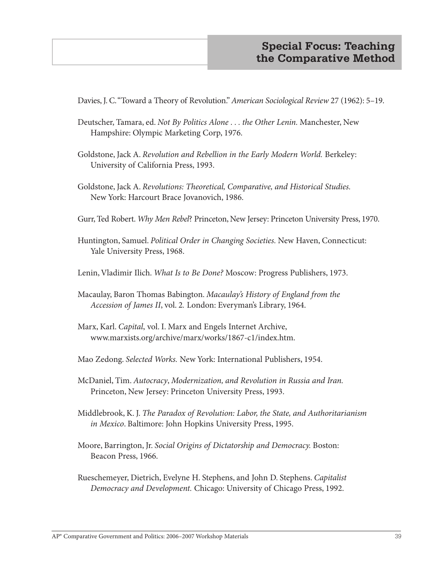Davies, J. C. "Toward a Theory of Revolution." *American Sociological Review* 27 (1962): 5–19.

- Deutscher, Tamara, ed. *Not By Politics Alone . . . the Other Lenin.* Manchester, New Hampshire: Olympic Marketing Corp, 1976.
- Goldstone, Jack A. *Revolution and Rebellion in the Early Modern World.* Berkeley: University of California Press, 1993.
- Goldstone, Jack A. *Revolutions: Theoretical, Comparative, and Historical Studies.* New York: Harcourt Brace Jovanovich, 1986.
- Gurr, Ted Robert. *Why Men Rebel*? Princeton, New Jersey: Princeton University Press, 1970.
- Huntington, Samuel. *Political Order in Changing Societies.* New Haven, Connecticut: Yale University Press, 1968.
- Lenin, Vladimir Ilich. *What Is to Be Done?* Moscow: Progress Publishers, 1973.
- Macaulay, Baron Thomas Babington. *Macaulay's History of England from the Accession of James II*, vol. 2*.* London: Everyman's Library, 1964.
- Marx, Karl. *Capital*, vol. I. Marx and Engels Internet Archive, www.marxists.org/archive/marx/works/1867-c1/index.htm.
- Mao Zedong. *Selected Works.* New York: International Publishers, 1954.
- McDaniel, Tim. *Autocracy*, *Modernization, and Revolution in Russia and Iran.* Princeton, New Jersey: Princeton University Press, 1993.
- Middlebrook, K. J. *The Paradox of Revolution: Labor, the State, and Authoritarianism in Mexico*. Baltimore: John Hopkins University Press, 1995.
- Moore, Barrington, Jr. *Social Origins of Dictatorship and Democracy.* Boston: Beacon Press, 1966.
- Rueschemeyer, Dietrich, Evelyne H. Stephens, and John D. Stephens. *Capitalist Democracy and Development.* Chicago: University of Chicago Press, 1992.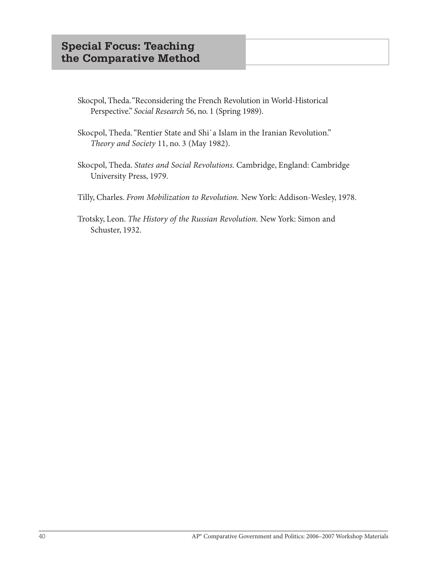- Skocpol, Theda. "Reconsidering the French Revolution in World-Historical Perspective." *Social Research* 56, no. 1 (Spring 1989).
- Skocpol, Theda. "Rentier State and Shi`a Islam in the Iranian Revolution." *Theory and Society* 11, no. 3 (May 1982).
- Skocpol, Theda. *States and Social Revolutions.* Cambridge, England: Cambridge University Press, 1979.
- Tilly, Charles. *From Mobilization to Revolution.* New York: Addison-Wesley, 1978.
- Trotsky, Leon. *The History of the Russian Revolution.* New York: Simon and Schuster, 1932.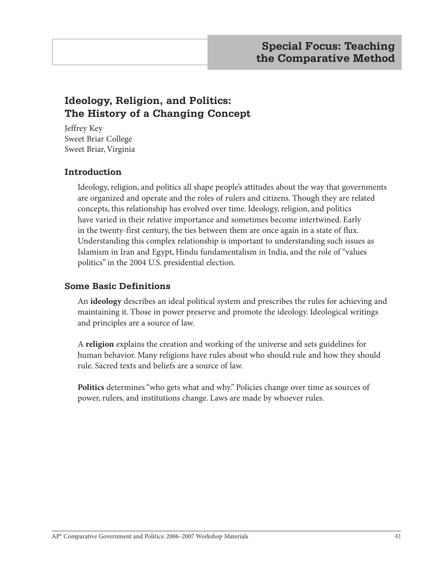# **Ideology, Religion, and Politics: The History of a Changing Concept**

Jeffrey Key Sweet Briar College Sweet Briar, Virginia

## **Introduction**

Ideology, religion, and politics all shape people's attitudes about the way that governments are organized and operate and the roles of rulers and citizens. Though they are related concepts, this relationship has evolved over time. Ideology, religion, and politics have varied in their relative importance and sometimes become intertwined. Early in the twenty-first century, the ties between them are once again in a state of flux. Understanding this complex relationship is important to understanding such issues as Islamism in Iran and Egypt, Hindu fundamentalism in India, and the role of "values politics" in the 2004 U.S. presidential election.

## **Some Basic Definitions**

An **ideology** describes an ideal political system and prescribes the rules for achieving and maintaining it. Those in power preserve and promote the ideology. Ideological writings and principles are a source of law.

A **religion** explains the creation and working of the universe and sets guidelines for human behavior. Many religions have rules about who should rule and how they should rule. Sacred texts and beliefs are a source of law.

**Politics** determines "who gets what and why." Policies change over time as sources of power, rulers, and institutions change. Laws are made by whoever rules.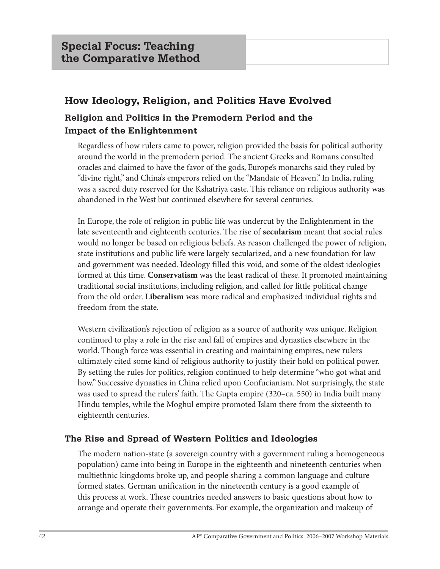# **How Ideology, Religion, and Politics Have Evolved**

# **Religion and Politics in the Premodern Period and the Impact of the Enlightenment**

Regardless of how rulers came to power, religion provided the basis for political authority around the world in the premodern period. The ancient Greeks and Romans consulted oracles and claimed to have the favor of the gods, Europe's monarchs said they ruled by "divine right," and China's emperors relied on the "Mandate of Heaven." In India, ruling was a sacred duty reserved for the Kshatriya caste. This reliance on religious authority was abandoned in the West but continued elsewhere for several centuries.

In Europe, the role of religion in public life was undercut by the Enlightenment in the late seventeenth and eighteenth centuries. The rise of **secularism** meant that social rules would no longer be based on religious beliefs. As reason challenged the power of religion, state institutions and public life were largely secularized, and a new foundation for law and government was needed. Ideology filled this void, and some of the oldest ideologies formed at this time. **Conservatism** was the least radical of these. It promoted maintaining traditional social institutions, including religion, and called for little political change from the old order. **Liberalism** was more radical and emphasized individual rights and freedom from the state.

Western civilization's rejection of religion as a source of authority was unique. Religion continued to play a role in the rise and fall of empires and dynasties elsewhere in the world. Though force was essential in creating and maintaining empires, new rulers ultimately cited some kind of religious authority to justify their hold on political power. By setting the rules for politics, religion continued to help determine "who got what and how." Successive dynasties in China relied upon Confucianism. Not surprisingly, the state was used to spread the rulers' faith. The Gupta empire (320–ca. 550) in India built many Hindu temples, while the Moghul empire promoted Islam there from the sixteenth to eighteenth centuries.

# **The Rise and Spread of Western Politics and Ideologies**

The modern nation-state (a sovereign country with a government ruling a homogeneous population) came into being in Europe in the eighteenth and nineteenth centuries when multiethnic kingdoms broke up, and people sharing a common language and culture formed states. German unification in the nineteenth century is a good example of this process at work. These countries needed answers to basic questions about how to arrange and operate their governments. For example, the organization and makeup of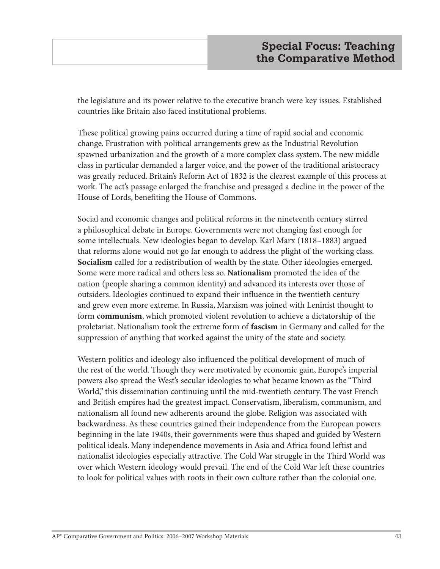the legislature and its power relative to the executive branch were key issues. Established countries like Britain also faced institutional problems.

These political growing pains occurred during a time of rapid social and economic change. Frustration with political arrangements grew as the Industrial Revolution spawned urbanization and the growth of a more complex class system. The new middle class in particular demanded a larger voice, and the power of the traditional aristocracy was greatly reduced. Britain's Reform Act of 1832 is the clearest example of this process at work. The act's passage enlarged the franchise and presaged a decline in the power of the House of Lords, benefiting the House of Commons.

Social and economic changes and political reforms in the nineteenth century stirred a philosophical debate in Europe. Governments were not changing fast enough for some intellectuals. New ideologies began to develop. Karl Marx (1818–1883) argued that reforms alone would not go far enough to address the plight of the working class. **Socialism** called for a redistribution of wealth by the state. Other ideologies emerged. Some were more radical and others less so. **Nationalism** promoted the idea of the nation (people sharing a common identity) and advanced its interests over those of outsiders. Ideologies continued to expand their influence in the twentieth century and grew even more extreme. In Russia, Marxism was joined with Leninist thought to form **communism**, which promoted violent revolution to achieve a dictatorship of the proletariat. Nationalism took the extreme form of **fascism** in Germany and called for the suppression of anything that worked against the unity of the state and society.

Western politics and ideology also influenced the political development of much of the rest of the world. Though they were motivated by economic gain, Europe's imperial powers also spread the West's secular ideologies to what became known as the "Third World," this dissemination continuing until the mid-twentieth century. The vast French and British empires had the greatest impact. Conservatism, liberalism, communism, and nationalism all found new adherents around the globe. Religion was associated with backwardness. As these countries gained their independence from the European powers beginning in the late 1940s, their governments were thus shaped and guided by Western political ideals. Many independence movements in Asia and Africa found leftist and nationalist ideologies especially attractive. The Cold War struggle in the Third World was over which Western ideology would prevail. The end of the Cold War left these countries to look for political values with roots in their own culture rather than the colonial one.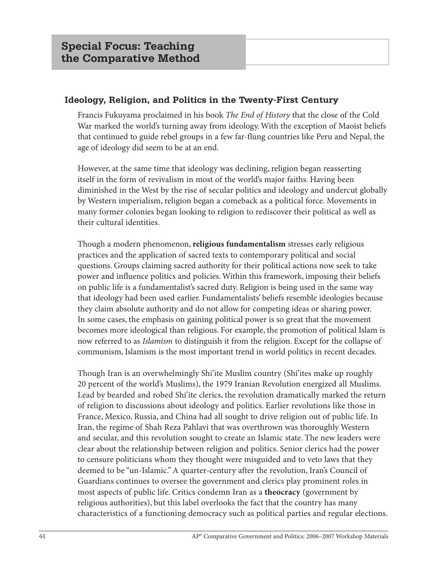## **Ideology, Religion, and Politics in the Twenty-First Century**

Francis Fukuyama proclaimed in his book *The End of History* that the close of the Cold War marked the world's turning away from ideology. With the exception of Maoist beliefs that continued to guide rebel groups in a few far-flung countries like Peru and Nepal, the age of ideology did seem to be at an end.

However, at the same time that ideology was declining, religion began reasserting itself in the form of revivalism in most of the world's major faiths. Having been diminished in the West by the rise of secular politics and ideology and undercut globally by Western imperialism, religion began a comeback as a political force. Movements in many former colonies began looking to religion to rediscover their political as well as their cultural identities.

Though a modern phenomenon, **religious fundamentalism** stresses early religious practices and the application of sacred texts to contemporary political and social questions. Groups claiming sacred authority for their political actions now seek to take power and influence politics and policies. Within this framework, imposing their beliefs on public life is a fundamentalist's sacred duty. Religion is being used in the same way that ideology had been used earlier. Fundamentalists' beliefs resemble ideologies because they claim absolute authority and do not allow for competing ideas or sharing power. In some cases, the emphasis on gaining political power is so great that the movement becomes more ideological than religious. For example, the promotion of political Islam is now referred to as *Islamism* to distinguish it from the religion. Except for the collapse of communism, Islamism is the most important trend in world politics in recent decades.

Though Iran is an overwhelmingly Shi'ite Muslim country (Shi'ites make up roughly 20 percent of the world's Muslims), the 1979 Iranian Revolution energized all Muslims. Lead by bearded and robed Shi'ite clerics, the revolution dramatically marked the return of religion to discussions about ideology and politics. Earlier revolutions like those in France, Mexico, Russia, and China had all sought to drive religion out of public life. In Iran, the regime of Shah Reza Pahlavi that was overthrown was thoroughly Western and secular, and this revolution sought to create an Islamic state. The new leaders were clear about the relationship between religion and politics. Senior clerics had the power to censure politicians whom they thought were misguided and to veto laws that they deemed to be "un-Islamic." A quarter-century after the revolution, Iran's Council of Guardians continues to oversee the government and clerics play prominent roles in most aspects of public life. Critics condemn Iran as a **theocracy** (government by religious authorities), but this label overlooks the fact that the country has many characteristics of a functioning democracy such as political parties and regular elections.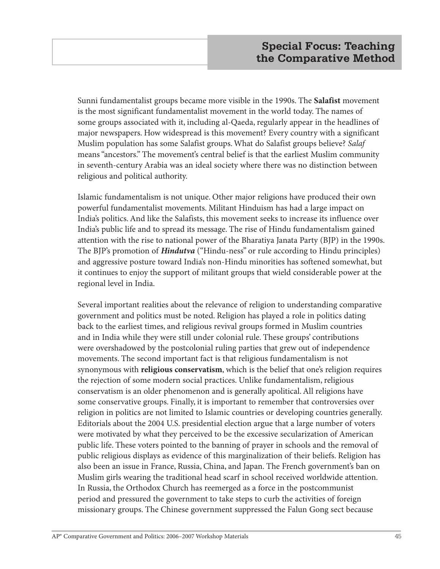Sunni fundamentalist groups became more visible in the 1990s. The **Salafist** movement is the most significant fundamentalist movement in the world today. The names of some groups associated with it, including al-Qaeda, regularly appear in the headlines of major newspapers. How widespread is this movement? Every country with a significant Muslim population has some Salafist groups. What do Salafist groups believe? *Salaf* means "ancestors." The movement's central belief is that the earliest Muslim community in seventh-century Arabia was an ideal society where there was no distinction between religious and political authority.

Islamic fundamentalism is not unique. Other major religions have produced their own powerful fundamentalist movements. Militant Hinduism has had a large impact on India's politics. And like the Salafists, this movement seeks to increase its influence over India's public life and to spread its message. The rise of Hindu fundamentalism gained attention with the rise to national power of the Bharatiya Janata Party (BJP) in the 1990s. The BJP's promotion of *Hindutva* ("Hindu-ness" or rule according to Hindu principles) and aggressive posture toward India's non-Hindu minorities has softened somewhat, but it continues to enjoy the support of militant groups that wield considerable power at the regional level in India.

Several important realities about the relevance of religion to understanding comparative government and politics must be noted. Religion has played a role in politics dating back to the earliest times, and religious revival groups formed in Muslim countries and in India while they were still under colonial rule. These groups' contributions were overshadowed by the postcolonial ruling parties that grew out of independence movements. The second important fact is that religious fundamentalism is not synonymous with **religious conservatism**, which is the belief that one's religion requires the rejection of some modern social practices. Unlike fundamentalism, religious conservatism is an older phenomenon and is generally apolitical. All religions have some conservative groups. Finally, it is important to remember that controversies over religion in politics are not limited to Islamic countries or developing countries generally. Editorials about the 2004 U.S. presidential election argue that a large number of voters were motivated by what they perceived to be the excessive secularization of American public life. These voters pointed to the banning of prayer in schools and the removal of public religious displays as evidence of this marginalization of their beliefs. Religion has also been an issue in France, Russia, China, and Japan. The French government's ban on Muslim girls wearing the traditional head scarf in school received worldwide attention. In Russia, the Orthodox Church has reemerged as a force in the postcommunist period and pressured the government to take steps to curb the activities of foreign missionary groups. The Chinese government suppressed the Falun Gong sect because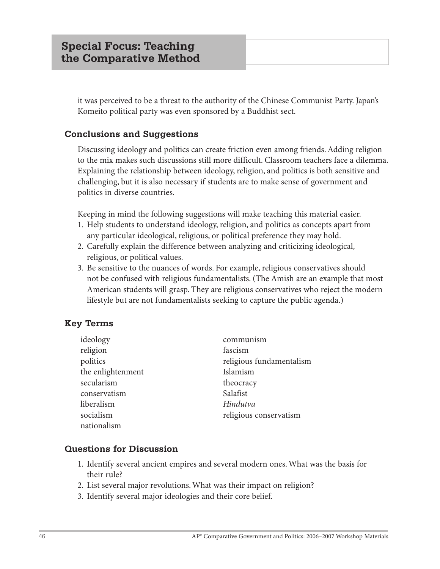it was perceived to be a threat to the authority of the Chinese Communist Party. Japan's Komeito political party was even sponsored by a Buddhist sect.

## **Conclusions and Suggestions**

Discussing ideology and politics can create friction even among friends. Adding religion to the mix makes such discussions still more difficult. Classroom teachers face a dilemma. Explaining the relationship between ideology, religion, and politics is both sensitive and challenging, but it is also necessary if students are to make sense of government and politics in diverse countries.

Keeping in mind the following suggestions will make teaching this material easier.

- 1. Help students to understand ideology, religion, and politics as concepts apart from any particular ideological, religious, or political preference they may hold.
- 2. Carefully explain the difference between analyzing and criticizing ideological, religious, or political values.
- 3. Be sensitive to the nuances of words. For example, religious conservatives should not be confused with religious fundamentalists. (The Amish are an example that most American students will grasp. They are religious conservatives who reject the modern lifestyle but are not fundamentalists seeking to capture the public agenda.)

# **Key Terms**

| ideology          | communism                |
|-------------------|--------------------------|
| religion          | fascism                  |
| politics          | religious fundamentalism |
| the enlightenment | Islamism                 |
| secularism        | theocracy                |
| conservatism      | Salafist                 |
| liberalism        | Hindutva                 |
| socialism         | religious conservatism   |
| nationalism       |                          |

## **Questions for Discussion**

- 1. Identify several ancient empires and several modern ones. What was the basis for their rule?
- 2. List several major revolutions. What was their impact on religion?
- 3. Identify several major ideologies and their core belief.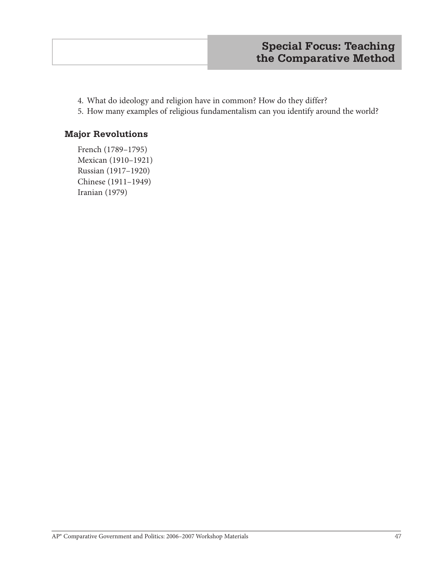- 4. What do ideology and religion have in common? How do they differ?
- 5. How many examples of religious fundamentalism can you identify around the world?

### **Major Revolutions**

French (1789–1795) Mexican (1910–1921) Russian (1917–1920) Chinese (1911–1949) Iranian (1979)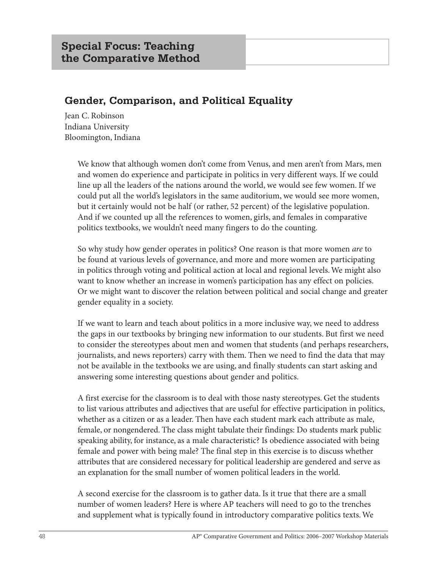# **Gender, Comparison, and Political Equality**

Jean C. Robinson Indiana University Bloomington, Indiana

> We know that although women don't come from Venus, and men aren't from Mars, men and women do experience and participate in politics in very different ways. If we could line up all the leaders of the nations around the world, we would see few women. If we could put all the world's legislators in the same auditorium, we would see more women, but it certainly would not be half (or rather, 52 percent) of the legislative population. And if we counted up all the references to women, girls, and females in comparative politics textbooks, we wouldn't need many fingers to do the counting.

So why study how gender operates in politics? One reason is that more women *are* to be found at various levels of governance, and more and more women are participating in politics through voting and political action at local and regional levels. We might also want to know whether an increase in women's participation has any effect on policies. Or we might want to discover the relation between political and social change and greater gender equality in a society.

If we want to learn and teach about politics in a more inclusive way, we need to address the gaps in our textbooks by bringing new information to our students. But first we need to consider the stereotypes about men and women that students (and perhaps researchers, journalists, and news reporters) carry with them. Then we need to find the data that may not be available in the textbooks we are using, and finally students can start asking and answering some interesting questions about gender and politics.

A first exercise for the classroom is to deal with those nasty stereotypes. Get the students to list various attributes and adjectives that are useful for effective participation in politics, whether as a citizen or as a leader. Then have each student mark each attribute as male, female, or nongendered. The class might tabulate their findings: Do students mark public speaking ability, for instance, as a male characteristic? Is obedience associated with being female and power with being male? The final step in this exercise is to discuss whether attributes that are considered necessary for political leadership are gendered and serve as an explanation for the small number of women political leaders in the world.

A second exercise for the classroom is to gather data. Is it true that there are a small number of women leaders? Here is where AP teachers will need to go to the trenches and supplement what is typically found in introductory comparative politics texts. We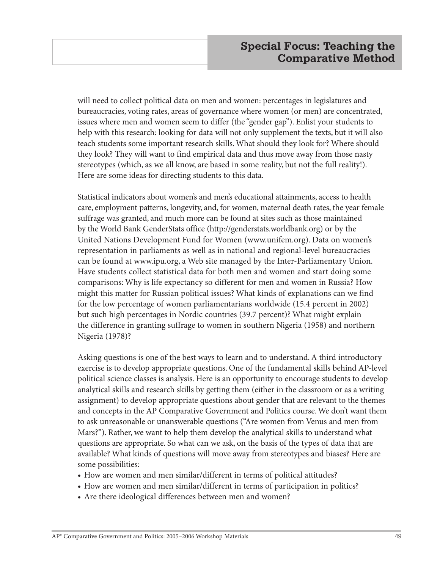will need to collect political data on men and women: percentages in legislatures and bureaucracies, voting rates, areas of governance where women (or men) are concentrated, issues where men and women seem to differ (the "gender gap"). Enlist your students to help with this research: looking for data will not only supplement the texts, but it will also teach students some important research skills. What should they look for? Where should they look? They will want to find empirical data and thus move away from those nasty stereotypes (which, as we all know, are based in some reality, but not the full reality!). Here are some ideas for directing students to this data.

Statistical indicators about women's and men's educational attainments, access to health care, employment patterns, longevity, and, for women, maternal death rates, the year female suffrage was granted, and much more can be found at sites such as those maintained by the World Bank GenderStats office (http://genderstats.worldbank.org) or by the United Nations Development Fund for Women (www.unifem.org). Data on women's representation in parliaments as well as in national and regional-level bureaucracies can be found at www.ipu.org, a Web site managed by the Inter-Parliamentary Union. Have students collect statistical data for both men and women and start doing some comparisons: Why is life expectancy so different for men and women in Russia? How might this matter for Russian political issues? What kinds of explanations can we find for the low percentage of women parliamentarians worldwide (15.4 percent in 2002) but such high percentages in Nordic countries (39.7 percent)? What might explain the difference in granting suffrage to women in southern Nigeria (1958) and northern Nigeria (1978)?

Asking questions is one of the best ways to learn and to understand. A third introductory exercise is to develop appropriate questions. One of the fundamental skills behind AP-level political science classes is analysis. Here is an opportunity to encourage students to develop analytical skills and research skills by getting them (either in the classroom or as a writing assignment) to develop appropriate questions about gender that are relevant to the themes and concepts in the AP Comparative Government and Politics course. We don't want them to ask unreasonable or unanswerable questions ("Are women from Venus and men from Mars?"). Rather, we want to help them develop the analytical skills to understand what questions are appropriate. So what can we ask, on the basis of the types of data that are available? What kinds of questions will move away from stereotypes and biases? Here are some possibilities:

- How are women and men similar/different in terms of political attitudes?
- How are women and men similar/different in terms of participation in politics?
- Are there ideological differences between men and women?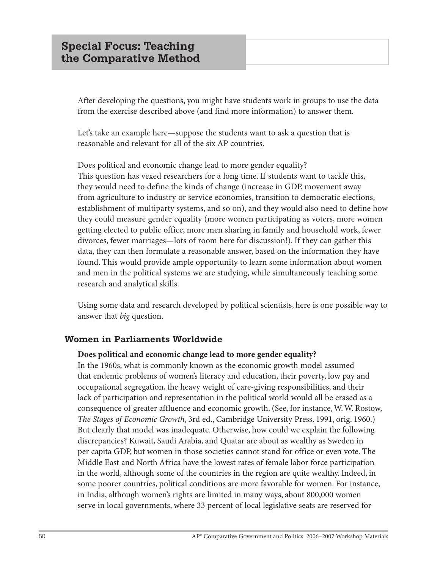After developing the questions, you might have students work in groups to use the data from the exercise described above (and find more information) to answer them.

Let's take an example here—suppose the students want to ask a question that is reasonable and relevant for all of the six AP countries.

Does political and economic change lead to more gender equality? This question has vexed researchers for a long time. If students want to tackle this, they would need to define the kinds of change (increase in GDP, movement away from agriculture to industry or service economies, transition to democratic elections, establishment of multiparty systems, and so on), and they would also need to define how they could measure gender equality (more women participating as voters, more women getting elected to public office, more men sharing in family and household work, fewer divorces, fewer marriages—lots of room here for discussion!). If they can gather this data, they can then formulate a reasonable answer, based on the information they have found. This would provide ample opportunity to learn some information about women and men in the political systems we are studying, while simultaneously teaching some research and analytical skills.

Using some data and research developed by political scientists, here is one possible way to answer that *big* question.

## **Women in Parliaments Worldwide**

#### **Does political and economic change lead to more gender equality?**

In the 1960s, what is commonly known as the economic growth model assumed that endemic problems of women's literacy and education, their poverty, low pay and occupational segregation, the heavy weight of care-giving responsibilities, and their lack of participation and representation in the political world would all be erased as a consequence of greater affluence and economic growth. (See, for instance, W. W. Rostow, *The Stages of Economic Growth*, 3rd ed., Cambridge University Press, 1991, orig. 1960.) But clearly that model was inadequate. Otherwise, how could we explain the following discrepancies? Kuwait, Saudi Arabia, and Quatar are about as wealthy as Sweden in per capita GDP, but women in those societies cannot stand for office or even vote. The Middle East and North Africa have the lowest rates of female labor force participation in the world, although some of the countries in the region are quite wealthy. Indeed, in some poorer countries, political conditions are more favorable for women. For instance, in India, although women's rights are limited in many ways, about 800,000 women serve in local governments, where 33 percent of local legislative seats are reserved for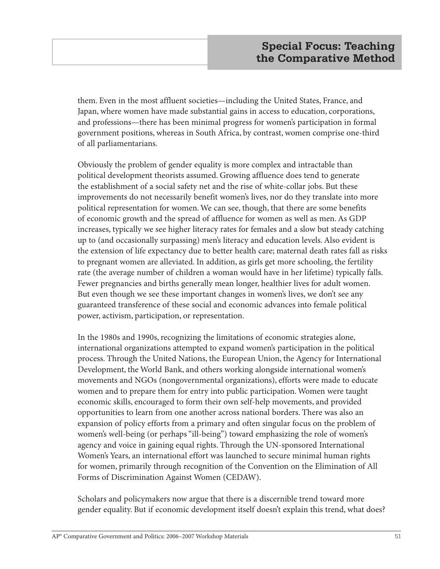them. Even in the most affluent societies—including the United States, France, and Japan, where women have made substantial gains in access to education, corporations, and professions—there has been minimal progress for women's participation in formal government positions, whereas in South Africa, by contrast, women comprise one-third of all parliamentarians.

Obviously the problem of gender equality is more complex and intractable than political development theorists assumed. Growing affluence does tend to generate the establishment of a social safety net and the rise of white-collar jobs. But these improvements do not necessarily benefit women's lives, nor do they translate into more political representation for women. We can see, though, that there are some benefits of economic growth and the spread of affluence for women as well as men. As GDP increases, typically we see higher literacy rates for females and a slow but steady catching up to (and occasionally surpassing) men's literacy and education levels. Also evident is the extension of life expectancy due to better health care; maternal death rates fall as risks to pregnant women are alleviated. In addition, as girls get more schooling, the fertility rate (the average number of children a woman would have in her lifetime) typically falls. Fewer pregnancies and births generally mean longer, healthier lives for adult women. But even though we see these important changes in women's lives, we don't see any guaranteed transference of these social and economic advances into female political power, activism, participation, or representation.

In the 1980s and 1990s, recognizing the limitations of economic strategies alone, international organizations attempted to expand women's participation in the political process. Through the United Nations, the European Union, the Agency for International Development, the World Bank, and others working alongside international women's movements and NGOs (nongovernmental organizations), efforts were made to educate women and to prepare them for entry into public participation. Women were taught economic skills, encouraged to form their own self-help movements, and provided opportunities to learn from one another across national borders. There was also an expansion of policy efforts from a primary and often singular focus on the problem of women's well-being (or perhaps "ill-being") toward emphasizing the role of women's agency and voice in gaining equal rights. Through the UN-sponsored International Women's Years, an international effort was launched to secure minimal human rights for women, primarily through recognition of the Convention on the Elimination of All Forms of Discrimination Against Women (CEDAW).

Scholars and policymakers now argue that there is a discernible trend toward more gender equality. But if economic development itself doesn't explain this trend, what does?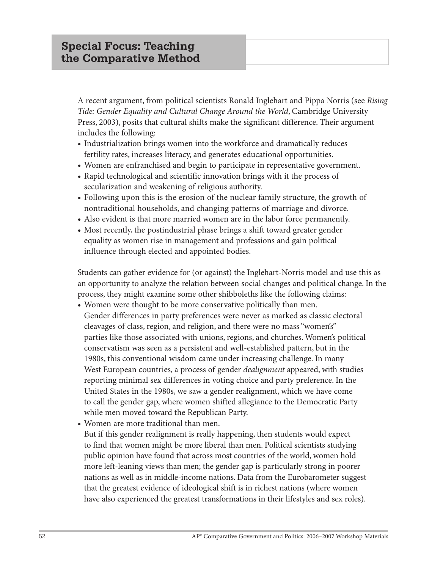A recent argument, from political scientists Ronald Inglehart and Pippa Norris (see *Rising Tide: Gender Equality and Cultural Change Around the World*, Cambridge University Press, 2003), posits that cultural shifts make the significant difference. Their argument includes the following:

- **•** Industrialization brings women into the workforce and dramatically reduces fertility rates, increases literacy, and generates educational opportunities.
- **•** Women are enfranchised and begin to participate in representative government.
- **•** Rapid technological and scientific innovation brings with it the process of secularization and weakening of religious authority.
- **•** Following upon this is the erosion of the nuclear family structure, the growth of nontraditional households, and changing patterns of marriage and divorce.
- **•** Also evident is that more married women are in the labor force permanently.
- **•** Most recently, the postindustrial phase brings a shift toward greater gender equality as women rise in management and professions and gain political influence through elected and appointed bodies.

Students can gather evidence for (or against) the Inglehart-Norris model and use this as an opportunity to analyze the relation between social changes and political change. In the process, they might examine some other shibboleths like the following claims:

- **•** Women were thought to be more conservative politically than men. Gender differences in party preferences were never as marked as classic electoral cleavages of class, region, and religion, and there were no mass "women's" parties like those associated with unions, regions, and churches. Women's political conservatism was seen as a persistent and well-established pattern, but in the 1980s, this conventional wisdom came under increasing challenge. In many West European countries, a process of gender *dealignment* appeared, with studies reporting minimal sex differences in voting choice and party preference. In the United States in the 1980s, we saw a gender realignment, which we have come to call the gender gap, where women shifted allegiance to the Democratic Party while men moved toward the Republican Party.
- **•** Women are more traditional than men.

But if this gender realignment is really happening, then students would expect to find that women might be more liberal than men. Political scientists studying public opinion have found that across most countries of the world, women hold more left-leaning views than men; the gender gap is particularly strong in poorer nations as well as in middle-income nations. Data from the Eurobarometer suggest that the greatest evidence of ideological shift is in richest nations (where women have also experienced the greatest transformations in their lifestyles and sex roles).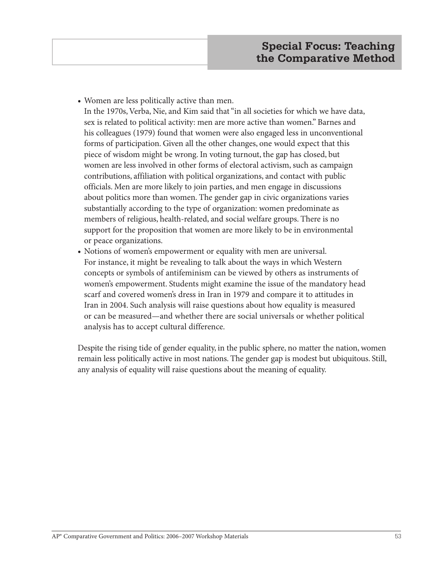**•** Women are less politically active than men.

In the 1970s, Verba, Nie, and Kim said that "in all societies for which we have data, sex is related to political activity: men are more active than women." Barnes and his colleagues (1979) found that women were also engaged less in unconventional forms of participation. Given all the other changes, one would expect that this piece of wisdom might be wrong. In voting turnout, the gap has closed, but women are less involved in other forms of electoral activism, such as campaign contributions, affiliation with political organizations, and contact with public officials. Men are more likely to join parties, and men engage in discussions about politics more than women. The gender gap in civic organizations varies substantially according to the type of organization: women predominate as members of religious, health-related, and social welfare groups. There is no support for the proposition that women are more likely to be in environmental or peace organizations.

**•** Notions of women's empowerment or equality with men are universal. For instance, it might be revealing to talk about the ways in which Western concepts or symbols of antifeminism can be viewed by others as instruments of women's empowerment. Students might examine the issue of the mandatory head scarf and covered women's dress in Iran in 1979 and compare it to attitudes in Iran in 2004. Such analysis will raise questions about how equality is measured or can be measured—and whether there are social universals or whether political analysis has to accept cultural difference.

Despite the rising tide of gender equality, in the public sphere, no matter the nation, women remain less politically active in most nations. The gender gap is modest but ubiquitous. Still, any analysis of equality will raise questions about the meaning of equality.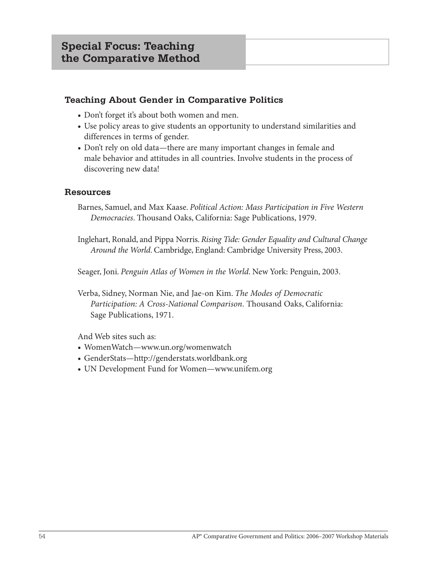## **Teaching About Gender in Comparative Politics**

- **•** Don't forget it's about both women and men.
- **•** Use policy areas to give students an opportunity to understand similarities and differences in terms of gender.
- **•** Don't rely on old data—there are many important changes in female and male behavior and attitudes in all countries. Involve students in the process of discovering new data!

### **Resources**

Barnes, Samuel, and Max Kaase. *Political Action: Mass Participation in Five Western Democracies*. Thousand Oaks, California: Sage Publications, 1979.

Inglehart, Ronald, and Pippa Norris. *Rising Tide: Gender Equality and Cultural Change Around the World*. Cambridge, England: Cambridge University Press, 2003.

Seager, Joni. *Penguin Atlas of Women in the World*. New York: Penguin, 2003.

Verba, Sidney, Norman Nie, and Jae-on Kim. *The Modes of Democratic Participation: A Cross-National Comparison*. Thousand Oaks, California: Sage Publications, 1971.

And Web sites such as:

- **•** WomenWatch—www.un.org/womenwatch
- **•** GenderStats—http://genderstats.worldbank.org
- **•** UN Development Fund for Women—www.unifem.org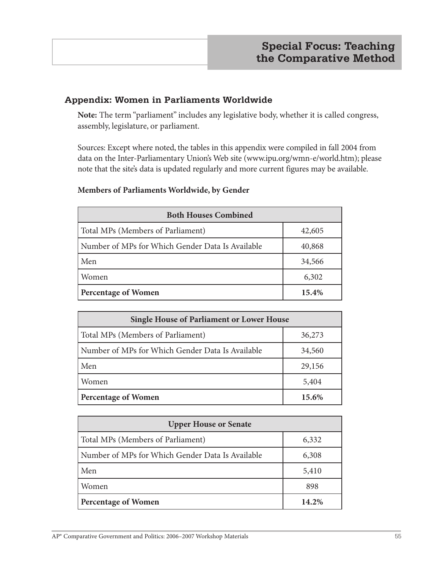## **Appendix: Women in Parliaments Worldwide**

**Note:** The term "parliament" includes any legislative body, whether it is called congress, assembly, legislature, or parliament.

Sources: Except where noted, the tables in this appendix were compiled in fall 2004 from data on the Inter-Parliamentary Union's Web site (www.ipu.org/wmn-e/world.htm); please note that the site's data is updated regularly and more current figures may be available.

### **Members of Parliaments Worldwide, by Gender**

| <b>Both Houses Combined</b>                      |        |  |  |  |  |  |  |
|--------------------------------------------------|--------|--|--|--|--|--|--|
| Total MPs (Members of Parliament)                | 42,605 |  |  |  |  |  |  |
| Number of MPs for Which Gender Data Is Available | 40,868 |  |  |  |  |  |  |
| Men                                              | 34,566 |  |  |  |  |  |  |
| Women                                            | 6,302  |  |  |  |  |  |  |
| <b>Percentage of Women</b>                       | 15.4%  |  |  |  |  |  |  |

| <b>Single House of Parliament or Lower House</b> |        |  |  |  |  |  |
|--------------------------------------------------|--------|--|--|--|--|--|
| Total MPs (Members of Parliament)                | 36,273 |  |  |  |  |  |
| Number of MPs for Which Gender Data Is Available | 34,560 |  |  |  |  |  |
| Men                                              | 29,156 |  |  |  |  |  |
| Women                                            | 5,404  |  |  |  |  |  |
| <b>Percentage of Women</b>                       | 15.6%  |  |  |  |  |  |

| <b>Upper House or Senate</b>                     |       |  |  |  |  |  |  |
|--------------------------------------------------|-------|--|--|--|--|--|--|
| Total MPs (Members of Parliament)                | 6,332 |  |  |  |  |  |  |
| Number of MPs for Which Gender Data Is Available | 6,308 |  |  |  |  |  |  |
| Men                                              | 5,410 |  |  |  |  |  |  |
| Women                                            | 898   |  |  |  |  |  |  |
| <b>Percentage of Women</b>                       | 14.2% |  |  |  |  |  |  |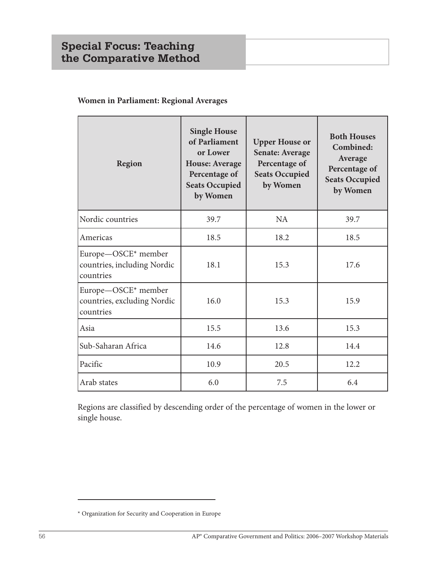# **Special Focus: Teaching the Comparative Method**

## **Women in Parliament: Regional Averages**

| Region                                                          | <b>Single House</b><br>of Parliament<br>or Lower<br><b>House: Average</b><br>Percentage of<br><b>Seats Occupied</b><br>by Women | <b>Upper House or</b><br><b>Senate: Average</b><br>Percentage of<br><b>Seats Occupied</b><br>by Women | <b>Both Houses</b><br>Combined:<br>Average<br>Percentage of<br><b>Seats Occupied</b><br>by Women |  |  |
|-----------------------------------------------------------------|---------------------------------------------------------------------------------------------------------------------------------|-------------------------------------------------------------------------------------------------------|--------------------------------------------------------------------------------------------------|--|--|
| Nordic countries                                                | 39.7                                                                                                                            | <b>NA</b>                                                                                             | 39.7                                                                                             |  |  |
| Americas                                                        | 18.5                                                                                                                            | 18.2                                                                                                  | 18.5                                                                                             |  |  |
| Europe-OSCE* member<br>countries, including Nordic<br>countries | 18.1                                                                                                                            | 15.3                                                                                                  | 17.6                                                                                             |  |  |
| Europe-OSCE* member<br>countries, excluding Nordic<br>countries | 16.0                                                                                                                            | 15.3                                                                                                  | 15.9                                                                                             |  |  |
| Asia                                                            | 15.5                                                                                                                            | 13.6                                                                                                  | 15.3                                                                                             |  |  |
| Sub-Saharan Africa                                              | 14.6                                                                                                                            | 12.8                                                                                                  | 14.4                                                                                             |  |  |
| Pacific                                                         | 10.9                                                                                                                            | 20.5                                                                                                  | 12.2                                                                                             |  |  |
| Arab states                                                     | 6.0                                                                                                                             | 7.5                                                                                                   | 6.4                                                                                              |  |  |

Regions are classified by descending order of the percentage of women in the lower or single house.

<sup>\*</sup> Organization for Security and Cooperation in Europe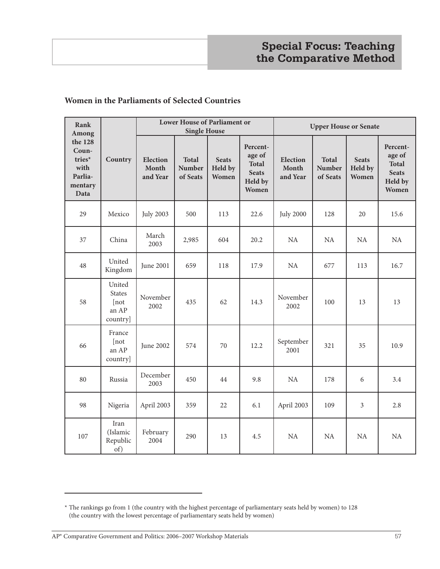#### **Women in the Parliaments of Selected Countries**

| Rank<br>Among                                                    |                                                       |                                      | Lower House of Parliament or<br><b>Single House</b> |                                  |                                                                        | <b>Upper House or Senate</b>         |                                    |                                  |                                                                        |
|------------------------------------------------------------------|-------------------------------------------------------|--------------------------------------|-----------------------------------------------------|----------------------------------|------------------------------------------------------------------------|--------------------------------------|------------------------------------|----------------------------------|------------------------------------------------------------------------|
| the 128<br>Coun-<br>tries*<br>with<br>Parlia-<br>mentary<br>Data | Country                                               | <b>Election</b><br>Month<br>and Year | <b>Total</b><br><b>Number</b><br>of Seats           | <b>Seats</b><br>Held by<br>Women | Percent-<br>age of<br><b>Total</b><br><b>Seats</b><br>Held by<br>Women | <b>Election</b><br>Month<br>and Year | <b>Total</b><br>Number<br>of Seats | <b>Seats</b><br>Held by<br>Women | Percent-<br>age of<br><b>Total</b><br><b>Seats</b><br>Held by<br>Women |
| 29                                                               | Mexico                                                | <b>July 2003</b>                     | 500                                                 | 113                              | 22.6                                                                   | <b>July 2000</b>                     | 128                                | 20                               | 15.6                                                                   |
| 37                                                               | China                                                 | March<br>2003                        | 2,985                                               | 604                              | 20.2                                                                   | <b>NA</b>                            | NA                                 | NA                               | NA                                                                     |
| 48                                                               | United<br>Kingdom                                     | June 2001                            | 659                                                 | 118                              | 17.9                                                                   | $\rm NA$                             | 677                                | 113                              | 16.7                                                                   |
| 58                                                               | United<br><b>States</b><br>[not]<br>an AP<br>country] | November<br>2002                     | 435                                                 | 62                               | 14.3                                                                   | November<br>2002                     | 100                                | 13                               | 13                                                                     |
| 66                                                               | France<br>[not]<br>an AP<br>country]                  | June 2002                            | 574                                                 | 70                               | 12.2                                                                   | September<br>2001                    | 321                                | 35                               | 10.9                                                                   |
| 80                                                               | Russia                                                | December<br>2003                     | 450                                                 | 44                               | 9.8                                                                    | NA                                   | 178                                | 6                                | 3.4                                                                    |
| 98                                                               | Nigeria                                               | April 2003                           | 359                                                 | 22                               | 6.1                                                                    | April 2003                           | 109                                | $\mathfrak{Z}$                   | 2.8                                                                    |
| 107                                                              | Iran<br>(Islamic<br>Republic<br>of)                   | February<br>2004                     | 290                                                 | 13                               | 4.5                                                                    | NA                                   | <b>NA</b>                          | NA                               | NA                                                                     |

<sup>\*</sup> The rankings go from 1 (the country with the highest percentage of parliamentary seats held by women) to 128 (the country with the lowest percentage of parliamentary seats held by women)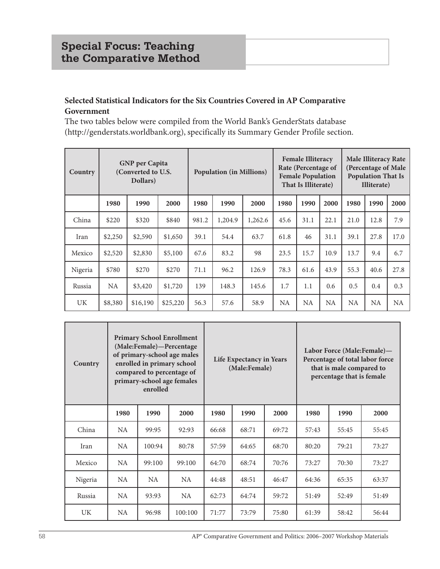## **Selected Statistical Indicators for the Six Countries Covered in AP Comparative Government**

The two tables below were compiled from the World Bank's GenderStats database (http://genderstats.worldbank.org), specifically its Summary Gender Profile section.

| Country | <b>GNP</b> per Capita<br>(Converted to U.S.<br>Dollars) |          |          | <b>Population (in Millions)</b> |         |         | <b>Female Illiteracy</b><br>Rate (Percentage of<br><b>Female Population</b><br>That Is Illiterate) |      |           | <b>Male Illiteracy Rate</b><br>(Percentage of Male<br><b>Population That Is</b><br>Illiterate) |           |      |
|---------|---------------------------------------------------------|----------|----------|---------------------------------|---------|---------|----------------------------------------------------------------------------------------------------|------|-----------|------------------------------------------------------------------------------------------------|-----------|------|
|         | 1980                                                    | 1990     | 2000     | 1980                            | 1990    | 2000    | 1980                                                                                               | 1990 | 2000      | 1980                                                                                           | 1990      | 2000 |
| China   | \$220                                                   | \$320    | \$840    | 981.2                           | 1,204.9 | 1,262.6 | 45.6                                                                                               | 31.1 | 22.1      | 21.0                                                                                           | 12.8      | 7.9  |
| Iran    | \$2,250                                                 | \$2,590  | \$1,650  | 39.1                            | 54.4    | 63.7    | 61.8                                                                                               | 46   | 31.1      | 39.1                                                                                           | 27.8      | 17.0 |
| Mexico  | \$2,520                                                 | \$2,830  | \$5,100  | 67.6                            | 83.2    | 98      | 23.5                                                                                               | 15.7 | 10.9      | 13.7                                                                                           | 9.4       | 6.7  |
| Nigeria | \$780                                                   | \$270    | \$270    | 71.1                            | 96.2    | 126.9   | 78.3                                                                                               | 61.6 | 43.9      | 55.3                                                                                           | 40.6      | 27.8 |
| Russia  | NA.                                                     | \$3,420  | \$1,720  | 139                             | 148.3   | 145.6   | 1.7                                                                                                | 1.1  | 0.6       | 0.5                                                                                            | 0.4       | 0.3  |
| UK      | \$8,380                                                 | \$16,190 | \$25,220 | 56.3                            | 57.6    | 58.9    | NA.                                                                                                | NA   | <b>NA</b> | <b>NA</b>                                                                                      | <b>NA</b> | NA   |

| Country   | <b>Primary School Enrollment</b><br>(Male:Female)-Percentage<br>of primary-school age males<br>enrolled in primary school<br>compared to percentage of<br>primary-school age females<br>enrolled |        |         | Life Expectancy in Years<br>(Male:Female) |       |       |       |       | Labor Force (Male:Female)-<br>that is male compared to<br>percentage that is female | Percentage of total labor force |
|-----------|--------------------------------------------------------------------------------------------------------------------------------------------------------------------------------------------------|--------|---------|-------------------------------------------|-------|-------|-------|-------|-------------------------------------------------------------------------------------|---------------------------------|
|           | 1980                                                                                                                                                                                             | 1990   | 2000    | 1980                                      | 1990  | 2000  | 1980  | 1990  | 2000                                                                                |                                 |
| China     | <b>NA</b>                                                                                                                                                                                        | 99:95  | 92:93   | 66:68                                     | 68:71 | 69:72 | 57:43 | 55:45 | 55:45                                                                               |                                 |
| Iran      | NA                                                                                                                                                                                               | 100:94 | 80:78   | 57:59                                     | 64:65 | 68:70 | 80:20 | 79:21 | 73:27                                                                               |                                 |
| Mexico    | NA                                                                                                                                                                                               | 99:100 | 99:100  | 64:70                                     | 68:74 | 70:76 | 73:27 | 70:30 | 73:27                                                                               |                                 |
| Nigeria   | NA.                                                                                                                                                                                              | NA.    | NA.     | 44:48                                     | 48:51 | 46:47 | 64:36 | 65:35 | 63:37                                                                               |                                 |
| Russia    | NA.                                                                                                                                                                                              | 93:93  | NA.     | 62:73                                     | 64:74 | 59:72 | 51:49 | 52:49 | 51:49                                                                               |                                 |
| <b>UK</b> | NA                                                                                                                                                                                               | 96:98  | 100:100 | 71:77                                     | 73:79 | 75:80 | 61:39 | 58:42 | 56:44                                                                               |                                 |

58 AP® Comparative Government and Politics: 2006–2007 Workshop Materials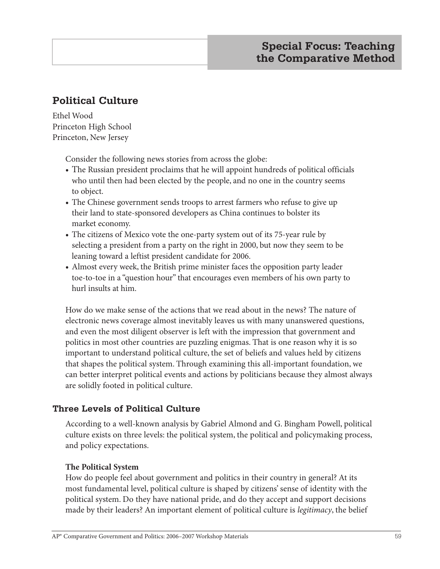# **Political Culture**

Ethel Wood Princeton High School Princeton, New Jersey

Consider the following news stories from across the globe:

- **•** The Russian president proclaims that he will appoint hundreds of political officials who until then had been elected by the people, and no one in the country seems to object.
- **•** The Chinese government sends troops to arrest farmers who refuse to give up their land to state-sponsored developers as China continues to bolster its market economy.
- **•** The citizens of Mexico vote the one-party system out of its 75-year rule by selecting a president from a party on the right in 2000, but now they seem to be leaning toward a leftist president candidate for 2006.
- **•** Almost every week, the British prime minister faces the opposition party leader toe-to-toe in a "question hour" that encourages even members of his own party to hurl insults at him.

How do we make sense of the actions that we read about in the news? The nature of electronic news coverage almost inevitably leaves us with many unanswered questions, and even the most diligent observer is left with the impression that government and politics in most other countries are puzzling enigmas. That is one reason why it is so important to understand political culture, the set of beliefs and values held by citizens that shapes the political system. Through examining this all-important foundation, we can better interpret political events and actions by politicians because they almost always are solidly footed in political culture.

# **Three Levels of Political Culture**

According to a well-known analysis by Gabriel Almond and G. Bingham Powell, political culture exists on three levels: the political system, the political and policymaking process, and policy expectations.

### **The Political System**

How do people feel about government and politics in their country in general? At its most fundamental level, political culture is shaped by citizens' sense of identity with the political system. Do they have national pride, and do they accept and support decisions made by their leaders? An important element of political culture is *legitimacy*, the belief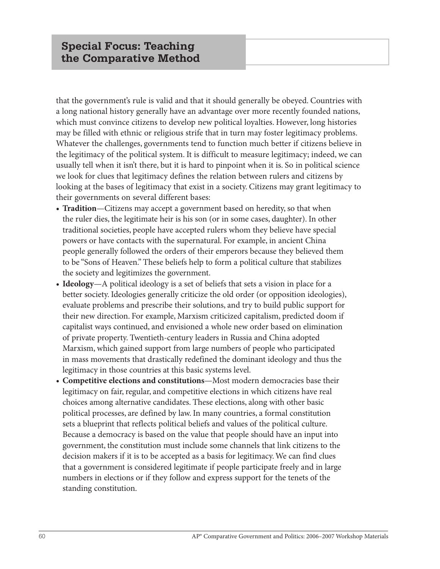that the government's rule is valid and that it should generally be obeyed. Countries with a long national history generally have an advantage over more recently founded nations, which must convince citizens to develop new political loyalties. However, long histories may be filled with ethnic or religious strife that in turn may foster legitimacy problems. Whatever the challenges, governments tend to function much better if citizens believe in the legitimacy of the political system. It is difficult to measure legitimacy; indeed, we can usually tell when it isn't there, but it is hard to pinpoint when it is. So in political science we look for clues that legitimacy defines the relation between rulers and citizens by looking at the bases of legitimacy that exist in a society. Citizens may grant legitimacy to their governments on several different bases:

- **• Tradition**—Citizens may accept a government based on heredity, so that when the ruler dies, the legitimate heir is his son (or in some cases, daughter). In other traditional societies, people have accepted rulers whom they believe have special powers or have contacts with the supernatural. For example, in ancient China people generally followed the orders of their emperors because they believed them to be "Sons of Heaven." These beliefs help to form a political culture that stabilizes the society and legitimizes the government.
- **• Ideology**—A political ideology is a set of beliefs that sets a vision in place for a better society. Ideologies generally criticize the old order (or opposition ideologies), evaluate problems and prescribe their solutions, and try to build public support for their new direction. For example, Marxism criticized capitalism, predicted doom if capitalist ways continued, and envisioned a whole new order based on elimination of private property. Twentieth-century leaders in Russia and China adopted Marxism, which gained support from large numbers of people who participated in mass movements that drastically redefined the dominant ideology and thus the legitimacy in those countries at this basic systems level.
- **• Competitive elections and constitutions**—Most modern democracies base their legitimacy on fair, regular, and competitive elections in which citizens have real choices among alternative candidates. These elections, along with other basic political processes, are defined by law. In many countries, a formal constitution sets a blueprint that reflects political beliefs and values of the political culture. Because a democracy is based on the value that people should have an input into government, the constitution must include some channels that link citizens to the decision makers if it is to be accepted as a basis for legitimacy. We can find clues that a government is considered legitimate if people participate freely and in large numbers in elections or if they follow and express support for the tenets of the standing constitution.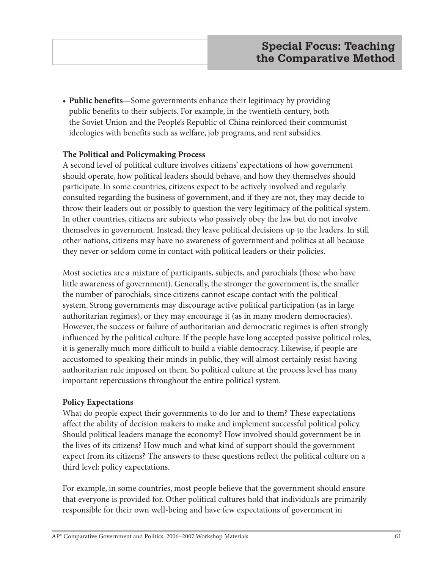**• Public benefits**—Some governments enhance their legitimacy by providing public benefits to their subjects. For example, in the twentieth century, both the Soviet Union and the People's Republic of China reinforced their communist ideologies with benefits such as welfare, job programs, and rent subsidies.

#### **The Political and Policymaking Process**

A second level of political culture involves citizens' expectations of how government should operate, how political leaders should behave, and how they themselves should participate. In some countries, citizens expect to be actively involved and regularly consulted regarding the business of government, and if they are not, they may decide to throw their leaders out or possibly to question the very legitimacy of the political system. In other countries, citizens are subjects who passively obey the law but do not involve themselves in government. Instead, they leave political decisions up to the leaders. In still other nations, citizens may have no awareness of government and politics at all because they never or seldom come in contact with political leaders or their policies.

Most societies are a mixture of participants, subjects, and parochials (those who have little awareness of government). Generally, the stronger the government is, the smaller the number of parochials, since citizens cannot escape contact with the political system. Strong governments may discourage active political participation (as in large authoritarian regimes), or they may encourage it (as in many modern democracies). However, the success or failure of authoritarian and democratic regimes is often strongly influenced by the political culture. If the people have long accepted passive political roles, it is generally much more difficult to build a viable democracy. Likewise, if people are accustomed to speaking their minds in public, they will almost certainly resist having authoritarian rule imposed on them. So political culture at the process level has many important repercussions throughout the entire political system.

#### **Policy Expectations**

What do people expect their governments to do for and to them? These expectations affect the ability of decision makers to make and implement successful political policy. Should political leaders manage the economy? How involved should government be in the lives of its citizens? How much and what kind of support should the government expect from its citizens? The answers to these questions reflect the political culture on a third level: policy expectations.

For example, in some countries, most people believe that the government should ensure that everyone is provided for. Other political cultures hold that individuals are primarily responsible for their own well-being and have few expectations of government in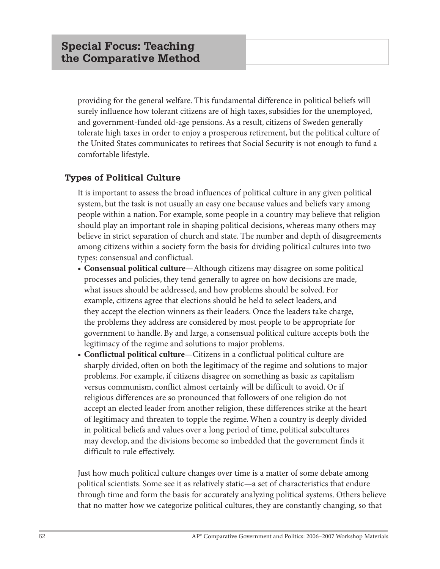providing for the general welfare. This fundamental difference in political beliefs will surely influence how tolerant citizens are of high taxes, subsidies for the unemployed, and government-funded old-age pensions. As a result, citizens of Sweden generally tolerate high taxes in order to enjoy a prosperous retirement, but the political culture of the United States communicates to retirees that Social Security is not enough to fund a comfortable lifestyle.

## **Types of Political Culture**

It is important to assess the broad influences of political culture in any given political system, but the task is not usually an easy one because values and beliefs vary among people within a nation. For example, some people in a country may believe that religion should play an important role in shaping political decisions, whereas many others may believe in strict separation of church and state. The number and depth of disagreements among citizens within a society form the basis for dividing political cultures into two types: consensual and conflictual.

- **• Consensual political culture**—Although citizens may disagree on some political processes and policies, they tend generally to agree on how decisions are made, what issues should be addressed, and how problems should be solved. For example, citizens agree that elections should be held to select leaders, and they accept the election winners as their leaders. Once the leaders take charge, the problems they address are considered by most people to be appropriate for government to handle. By and large, a consensual political culture accepts both the legitimacy of the regime and solutions to major problems.
- **• Conflictual political culture**—Citizens in a conflictual political culture are sharply divided, often on both the legitimacy of the regime and solutions to major problems. For example, if citizens disagree on something as basic as capitalism versus communism, conflict almost certainly will be difficult to avoid. Or if religious differences are so pronounced that followers of one religion do not accept an elected leader from another religion, these differences strike at the heart of legitimacy and threaten to topple the regime. When a country is deeply divided in political beliefs and values over a long period of time, political subcultures may develop, and the divisions become so imbedded that the government finds it difficult to rule effectively.

Just how much political culture changes over time is a matter of some debate among political scientists. Some see it as relatively static—a set of characteristics that endure through time and form the basis for accurately analyzing political systems. Others believe that no matter how we categorize political cultures, they are constantly changing, so that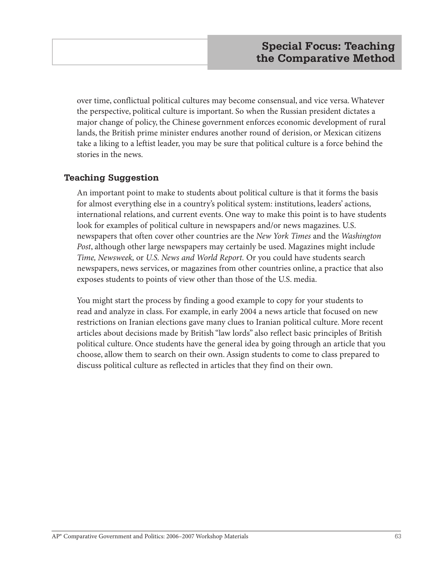over time, conflictual political cultures may become consensual, and vice versa. Whatever the perspective, political culture is important. So when the Russian president dictates a major change of policy, the Chinese government enforces economic development of rural lands, the British prime minister endures another round of derision, or Mexican citizens take a liking to a leftist leader, you may be sure that political culture is a force behind the stories in the news.

## **Teaching Suggestion**

An important point to make to students about political culture is that it forms the basis for almost everything else in a country's political system: institutions, leaders' actions, international relations, and current events. One way to make this point is to have students look for examples of political culture in newspapers and/or news magazines. U.S. newspapers that often cover other countries are the *New York Times* and the *Washington Post*, although other large newspapers may certainly be used. Magazines might include *Time, Newsweek,* or *U.S. News and World Report.* Or you could have students search newspapers, news services, or magazines from other countries online, a practice that also exposes students to points of view other than those of the U.S. media.

You might start the process by finding a good example to copy for your students to read and analyze in class. For example, in early 2004 a news article that focused on new restrictions on Iranian elections gave many clues to Iranian political culture. More recent articles about decisions made by British "law lords" also reflect basic principles of British political culture. Once students have the general idea by going through an article that you choose, allow them to search on their own. Assign students to come to class prepared to discuss political culture as reflected in articles that they find on their own.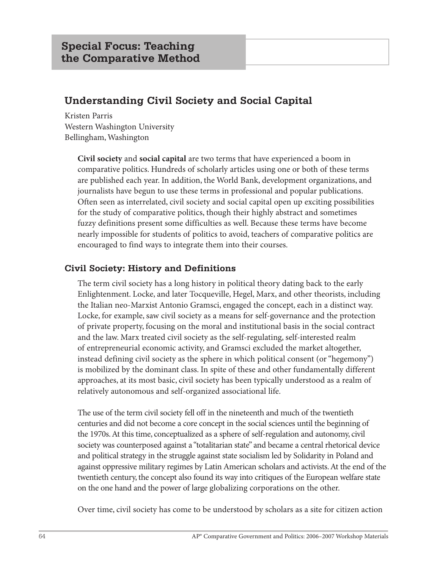# **Understanding Civil Society and Social Capital**

Kristen Parris Western Washington University Bellingham, Washington

> **Civil society** and **social capital** are two terms that have experienced a boom in comparative politics. Hundreds of scholarly articles using one or both of these terms are published each year. In addition, the World Bank, development organizations, and journalists have begun to use these terms in professional and popular publications. Often seen as interrelated, civil society and social capital open up exciting possibilities for the study of comparative politics, though their highly abstract and sometimes fuzzy definitions present some difficulties as well. Because these terms have become nearly impossible for students of politics to avoid, teachers of comparative politics are encouraged to find ways to integrate them into their courses.

# **Civil Society: History and Definitions**

The term civil society has a long history in political theory dating back to the early Enlightenment. Locke, and later Tocqueville, Hegel, Marx, and other theorists, including the Italian neo-Marxist Antonio Gramsci, engaged the concept, each in a distinct way. Locke, for example, saw civil society as a means for self-governance and the protection of private property, focusing on the moral and institutional basis in the social contract and the law. Marx treated civil society as the self-regulating, self-interested realm of entrepreneurial economic activity, and Gramsci excluded the market altogether, instead defining civil society as the sphere in which political consent (or "hegemony") is mobilized by the dominant class. In spite of these and other fundamentally different approaches, at its most basic, civil society has been typically understood as a realm of relatively autonomous and self-organized associational life.

The use of the term civil society fell off in the nineteenth and much of the twentieth centuries and did not become a core concept in the social sciences until the beginning of the 1970s. At this time, conceptualized as a sphere of self-regulation and autonomy, civil society was counterposed against a "totalitarian state" and became a central rhetorical device and political strategy in the struggle against state socialism led by Solidarity in Poland and against oppressive military regimes by Latin American scholars and activists. At the end of the twentieth century, the concept also found its way into critiques of the European welfare state on the one hand and the power of large globalizing corporations on the other.

Over time, civil society has come to be understood by scholars as a site for citizen action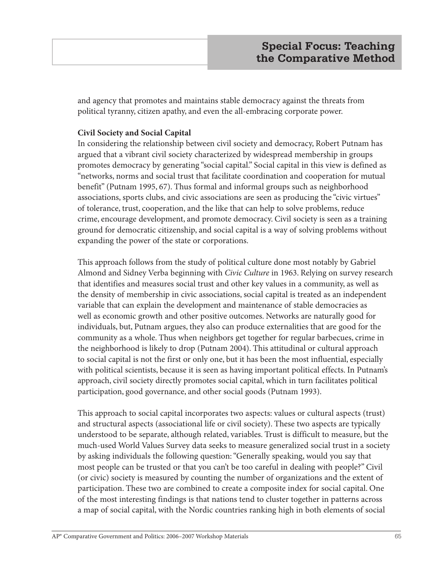and agency that promotes and maintains stable democracy against the threats from political tyranny, citizen apathy, and even the all-embracing corporate power.

## **Civil Society and Social Capital**

In considering the relationship between civil society and democracy, Robert Putnam has argued that a vibrant civil society characterized by widespread membership in groups promotes democracy by generating "social capital." Social capital in this view is defined as "networks, norms and social trust that facilitate coordination and cooperation for mutual benefit" (Putnam 1995, 67). Thus formal and informal groups such as neighborhood associations, sports clubs, and civic associations are seen as producing the "civic virtues" of tolerance, trust, cooperation, and the like that can help to solve problems, reduce crime, encourage development, and promote democracy. Civil society is seen as a training ground for democratic citizenship, and social capital is a way of solving problems without expanding the power of the state or corporations.

This approach follows from the study of political culture done most notably by Gabriel Almond and Sidney Verba beginning with *Civic Culture* in 1963. Relying on survey research that identifies and measures social trust and other key values in a community, as well as the density of membership in civic associations, social capital is treated as an independent variable that can explain the development and maintenance of stable democracies as well as economic growth and other positive outcomes. Networks are naturally good for individuals, but, Putnam argues, they also can produce externalities that are good for the community as a whole. Thus when neighbors get together for regular barbecues, crime in the neighborhood is likely to drop (Putnam 2004). This attitudinal or cultural approach to social capital is not the first or only one, but it has been the most influential, especially with political scientists, because it is seen as having important political effects. In Putnam's approach, civil society directly promotes social capital, which in turn facilitates political participation, good governance, and other social goods (Putnam 1993).

This approach to social capital incorporates two aspects: values or cultural aspects (trust) and structural aspects (associational life or civil society). These two aspects are typically understood to be separate, although related, variables. Trust is difficult to measure, but the much-used World Values Survey data seeks to measure generalized social trust in a society by asking individuals the following question: "Generally speaking, would you say that most people can be trusted or that you can't be too careful in dealing with people?" Civil (or civic) society is measured by counting the number of organizations and the extent of participation. These two are combined to create a composite index for social capital. One of the most interesting findings is that nations tend to cluster together in patterns across a map of social capital, with the Nordic countries ranking high in both elements of social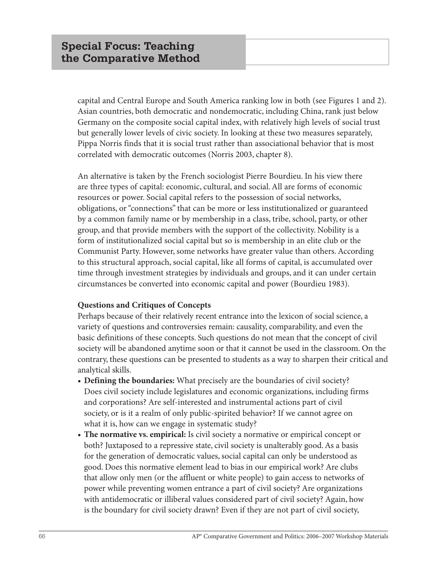capital and Central Europe and South America ranking low in both (see Figures 1 and 2). Asian countries, both democratic and nondemocratic, including China, rank just below Germany on the composite social capital index, with relatively high levels of social trust but generally lower levels of civic society. In looking at these two measures separately, Pippa Norris finds that it is social trust rather than associational behavior that is most correlated with democratic outcomes (Norris 2003, chapter 8).

An alternative is taken by the French sociologist Pierre Bourdieu. In his view there are three types of capital: economic, cultural, and social. All are forms of economic resources or power. Social capital refers to the possession of social networks, obligations, or "connections" that can be more or less institutionalized or guaranteed by a common family name or by membership in a class, tribe, school, party, or other group, and that provide members with the support of the collectivity. Nobility is a form of institutionalized social capital but so is membership in an elite club or the Communist Party. However, some networks have greater value than others. According to this structural approach, social capital, like all forms of capital, is accumulated over time through investment strategies by individuals and groups, and it can under certain circumstances be converted into economic capital and power (Bourdieu 1983).

#### **Questions and Critiques of Concepts**

Perhaps because of their relatively recent entrance into the lexicon of social science, a variety of questions and controversies remain: causality, comparability, and even the basic definitions of these concepts. Such questions do not mean that the concept of civil society will be abandoned anytime soon or that it cannot be used in the classroom. On the contrary, these questions can be presented to students as a way to sharpen their critical and analytical skills.

- **• Defining the boundaries:** What precisely are the boundaries of civil society? Does civil society include legislatures and economic organizations, including firms and corporations? Are self-interested and instrumental actions part of civil society, or is it a realm of only public-spirited behavior? If we cannot agree on what it is, how can we engage in systematic study?
- **• The normative vs. empirical:** Is civil society a normative or empirical concept or both? Juxtaposed to a repressive state, civil society is unalterably good. As a basis for the generation of democratic values, social capital can only be understood as good. Does this normative element lead to bias in our empirical work? Are clubs that allow only men (or the affluent or white people) to gain access to networks of power while preventing women entrance a part of civil society? Are organizations with antidemocratic or illiberal values considered part of civil society? Again, how is the boundary for civil society drawn? Even if they are not part of civil society,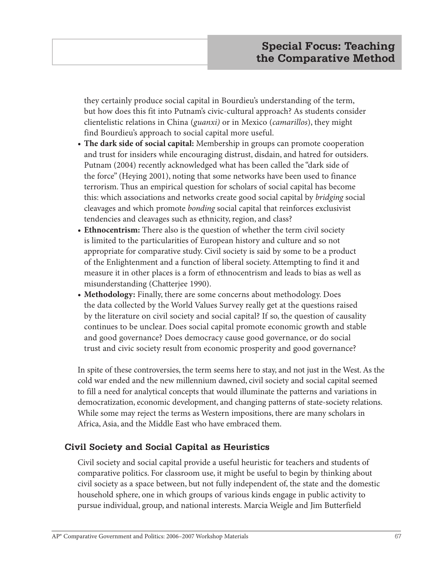they certainly produce social capital in Bourdieu's understanding of the term, but how does this fit into Putnam's civic-cultural approach? As students consider clientelistic relations in China (*guanxi)* or in Mexico (*camarillos*), they might find Bourdieu's approach to social capital more useful.

- **• The dark side of social capital:** Membership in groups can promote cooperation and trust for insiders while encouraging distrust, disdain, and hatred for outsiders. Putnam (2004) recently acknowledged what has been called the "dark side of the force" (Heying 2001), noting that some networks have been used to finance terrorism. Thus an empirical question for scholars of social capital has become this: which associations and networks create good social capital by *bridging* social cleavages and which promote *bonding* social capital that reinforces exclusivist tendencies and cleavages such as ethnicity, region, and class?
- **• Ethnocentrism:** There also is the question of whether the term civil society is limited to the particularities of European history and culture and so not appropriate for comparative study. Civil society is said by some to be a product of the Enlightenment and a function of liberal society. Attempting to find it and measure it in other places is a form of ethnocentrism and leads to bias as well as misunderstanding (Chatterjee 1990).
- **• Methodology:** Finally, there are some concerns about methodology. Does the data collected by the World Values Survey really get at the questions raised by the literature on civil society and social capital? If so, the question of causality continues to be unclear. Does social capital promote economic growth and stable and good governance? Does democracy cause good governance, or do social trust and civic society result from economic prosperity and good governance?

In spite of these controversies, the term seems here to stay, and not just in the West. As the cold war ended and the new millennium dawned, civil society and social capital seemed to fill a need for analytical concepts that would illuminate the patterns and variations in democratization, economic development, and changing patterns of state-society relations. While some may reject the terms as Western impositions, there are many scholars in Africa, Asia, and the Middle East who have embraced them.

## **Civil Society and Social Capital as Heuristics**

Civil society and social capital provide a useful heuristic for teachers and students of comparative politics. For classroom use, it might be useful to begin by thinking about civil society as a space between, but not fully independent of, the state and the domestic household sphere, one in which groups of various kinds engage in public activity to pursue individual, group, and national interests. Marcia Weigle and Jim Butterfield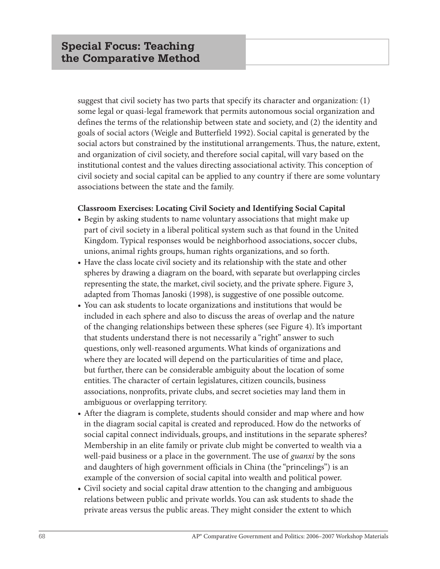suggest that civil society has two parts that specify its character and organization: (1) some legal or quasi-legal framework that permits autonomous social organization and defines the terms of the relationship between state and society, and (2) the identity and goals of social actors (Weigle and Butterfield 1992). Social capital is generated by the social actors but constrained by the institutional arrangements. Thus, the nature, extent, and organization of civil society, and therefore social capital, will vary based on the institutional contest and the values directing associational activity. This conception of civil society and social capital can be applied to any country if there are some voluntary associations between the state and the family.

#### **Classroom Exercises: Locating Civil Society and Identifying Social Capital**

- **•** Begin by asking students to name voluntary associations that might make up part of civil society in a liberal political system such as that found in the United Kingdom. Typical responses would be neighborhood associations, soccer clubs, unions, animal rights groups, human rights organizations, and so forth.
- **•** Have the class locate civil society and its relationship with the state and other spheres by drawing a diagram on the board, with separate but overlapping circles representing the state, the market, civil society, and the private sphere. Figure 3, adapted from Thomas Janoski (1998), is suggestive of one possible outcome.
- **•** You can ask students to locate organizations and institutions that would be included in each sphere and also to discuss the areas of overlap and the nature of the changing relationships between these spheres (see Figure 4). It's important that students understand there is not necessarily a "right" answer to such questions, only well-reasoned arguments. What kinds of organizations and where they are located will depend on the particularities of time and place, but further, there can be considerable ambiguity about the location of some entities. The character of certain legislatures, citizen councils, business associations, nonprofits, private clubs, and secret societies may land them in ambiguous or overlapping territory.
- **•** After the diagram is complete, students should consider and map where and how in the diagram social capital is created and reproduced. How do the networks of social capital connect individuals, groups, and institutions in the separate spheres? Membership in an elite family or private club might be converted to wealth via a well-paid business or a place in the government. The use of *guanxi* by the sons and daughters of high government officials in China (the "princelings") is an example of the conversion of social capital into wealth and political power.
- **•** Civil society and social capital draw attention to the changing and ambiguous relations between public and private worlds. You can ask students to shade the private areas versus the public areas. They might consider the extent to which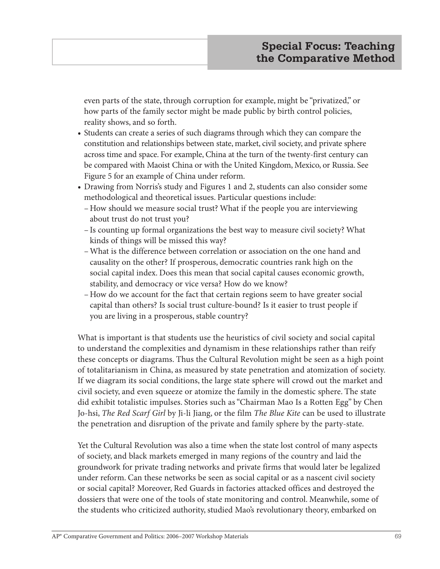even parts of the state, through corruption for example, might be "privatized," or how parts of the family sector might be made public by birth control policies, reality shows, and so forth.

- **•** Students can create a series of such diagrams through which they can compare the constitution and relationships between state, market, civil society, and private sphere across time and space. For example, China at the turn of the twenty-first century can be compared with Maoist China or with the United Kingdom, Mexico, or Russia. See Figure 5 for an example of China under reform.
- **•** Drawing from Norris's study and Figures 1 and 2, students can also consider some methodological and theoretical issues. Particular questions include:
	- –How should we measure social trust? What if the people you are interviewing about trust do not trust you?
	- Is counting up formal organizations the best way to measure civil society? What kinds of things will be missed this way?
	- –What is the difference between correlation or association on the one hand and causality on the other? If prosperous, democratic countries rank high on the social capital index. Does this mean that social capital causes economic growth, stability, and democracy or vice versa? How do we know?
	- –How do we account for the fact that certain regions seem to have greater social capital than others? Is social trust culture-bound? Is it easier to trust people if you are living in a prosperous, stable country?

What is important is that students use the heuristics of civil society and social capital to understand the complexities and dynamism in these relationships rather than reify these concepts or diagrams. Thus the Cultural Revolution might be seen as a high point of totalitarianism in China, as measured by state penetration and atomization of society. If we diagram its social conditions, the large state sphere will crowd out the market and civil society, and even squeeze or atomize the family in the domestic sphere. The state did exhibit totalistic impulses. Stories such as "Chairman Mao Is a Rotten Egg" by Chen Jo-hsi, *The Red Scarf Girl* by Ji-li Jiang, or the film *The Blue Kite* can be used to illustrate the penetration and disruption of the private and family sphere by the party-state.

Yet the Cultural Revolution was also a time when the state lost control of many aspects of society, and black markets emerged in many regions of the country and laid the groundwork for private trading networks and private firms that would later be legalized under reform. Can these networks be seen as social capital or as a nascent civil society or social capital? Moreover, Red Guards in factories attacked offices and destroyed the dossiers that were one of the tools of state monitoring and control. Meanwhile, some of the students who criticized authority, studied Mao's revolutionary theory, embarked on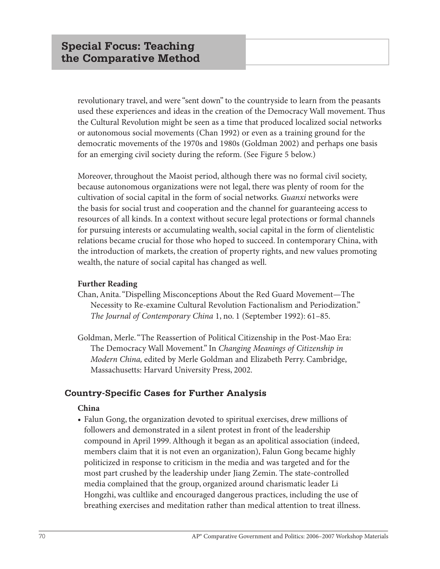revolutionary travel, and were "sent down" to the countryside to learn from the peasants used these experiences and ideas in the creation of the Democracy Wall movement. Thus the Cultural Revolution might be seen as a time that produced localized social networks or autonomous social movements (Chan 1992) or even as a training ground for the democratic movements of the 1970s and 1980s (Goldman 2002) and perhaps one basis for an emerging civil society during the reform. (See Figure 5 below.)

Moreover, throughout the Maoist period, although there was no formal civil society, because autonomous organizations were not legal, there was plenty of room for the cultivation of social capital in the form of social networks*. Guanxi* networks were the basis for social trust and cooperation and the channel for guaranteeing access to resources of all kinds. In a context without secure legal protections or formal channels for pursuing interests or accumulating wealth, social capital in the form of clientelistic relations became crucial for those who hoped to succeed. In contemporary China, with the introduction of markets, the creation of property rights, and new values promoting wealth, the nature of social capital has changed as well.

### **Further Reading**

- Chan, Anita. "Dispelling Misconceptions About the Red Guard Movement—The Necessity to Re-examine Cultural Revolution Factionalism and Periodization." *The Journal of Contemporary China* 1, no. 1 (September 1992): 61–85.
- Goldman, Merle. "The Reassertion of Political Citizenship in the Post-Mao Era: The Democracy Wall Movement." In *Changing Meanings of Citizenship in Modern China,* edited by Merle Goldman and Elizabeth Perry. Cambridge, Massachusetts: Harvard University Press, 2002.

### **Country-Specific Cases for Further Analysis**

### **China**

**•** Falun Gong, the organization devoted to spiritual exercises, drew millions of followers and demonstrated in a silent protest in front of the leadership compound in April 1999. Although it began as an apolitical association (indeed, members claim that it is not even an organization), Falun Gong became highly politicized in response to criticism in the media and was targeted and for the most part crushed by the leadership under Jiang Zemin. The state-controlled media complained that the group, organized around charismatic leader Li Hongzhi, was cultlike and encouraged dangerous practices, including the use of breathing exercises and meditation rather than medical attention to treat illness.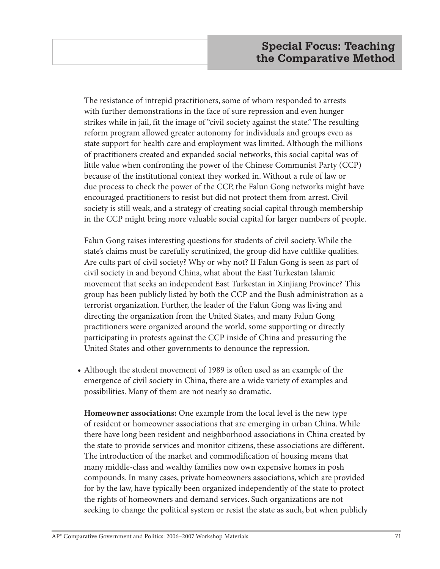The resistance of intrepid practitioners, some of whom responded to arrests with further demonstrations in the face of sure repression and even hunger strikes while in jail, fit the image of "civil society against the state." The resulting reform program allowed greater autonomy for individuals and groups even as state support for health care and employment was limited. Although the millions of practitioners created and expanded social networks, this social capital was of little value when confronting the power of the Chinese Communist Party (CCP) because of the institutional context they worked in. Without a rule of law or due process to check the power of the CCP, the Falun Gong networks might have encouraged practitioners to resist but did not protect them from arrest. Civil society is still weak, and a strategy of creating social capital through membership in the CCP might bring more valuable social capital for larger numbers of people.

Falun Gong raises interesting questions for students of civil society. While the state's claims must be carefully scrutinized, the group did have cultlike qualities. Are cults part of civil society? Why or why not? If Falun Gong is seen as part of civil society in and beyond China, what about the East Turkestan Islamic movement that seeks an independent East Turkestan in Xinjiang Province? This group has been publicly listed by both the CCP and the Bush administration as a terrorist organization. Further, the leader of the Falun Gong was living and directing the organization from the United States, and many Falun Gong practitioners were organized around the world, some supporting or directly participating in protests against the CCP inside of China and pressuring the United States and other governments to denounce the repression.

**•** Although the student movement of 1989 is often used as an example of the emergence of civil society in China, there are a wide variety of examples and possibilities. Many of them are not nearly so dramatic.

**Homeowner associations:** One example from the local level is the new type of resident or homeowner associations that are emerging in urban China. While there have long been resident and neighborhood associations in China created by the state to provide services and monitor citizens, these associations are different. The introduction of the market and commodification of housing means that many middle-class and wealthy families now own expensive homes in posh compounds. In many cases, private homeowners associations, which are provided for by the law, have typically been organized independently of the state to protect the rights of homeowners and demand services. Such organizations are not seeking to change the political system or resist the state as such, but when publicly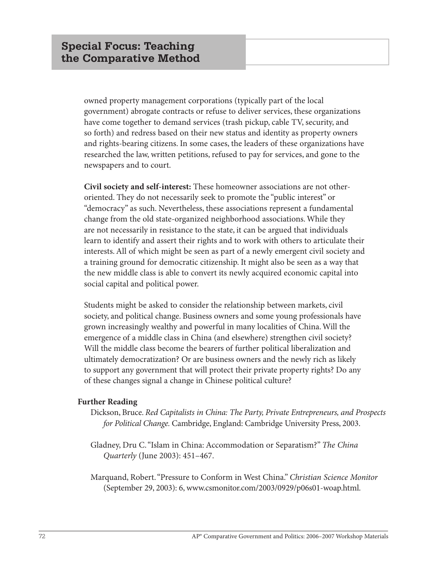owned property management corporations (typically part of the local government) abrogate contracts or refuse to deliver services, these organizations have come together to demand services (trash pickup, cable TV, security, and so forth) and redress based on their new status and identity as property owners and rights-bearing citizens. In some cases, the leaders of these organizations have researched the law, written petitions, refused to pay for services, and gone to the newspapers and to court.

**Civil society and self-interest:** These homeowner associations are not otheroriented. They do not necessarily seek to promote the "public interest" or "democracy" as such. Nevertheless, these associations represent a fundamental change from the old state-organized neighborhood associations. While they are not necessarily in resistance to the state, it can be argued that individuals learn to identify and assert their rights and to work with others to articulate their interests. All of which might be seen as part of a newly emergent civil society and a training ground for democratic citizenship. It might also be seen as a way that the new middle class is able to convert its newly acquired economic capital into social capital and political power.

Students might be asked to consider the relationship between markets, civil society, and political change. Business owners and some young professionals have grown increasingly wealthy and powerful in many localities of China. Will the emergence of a middle class in China (and elsewhere) strengthen civil society? Will the middle class become the bearers of further political liberalization and ultimately democratization? Or are business owners and the newly rich as likely to support any government that will protect their private property rights? Do any of these changes signal a change in Chinese political culture?

### **Further Reading**

- Dickson, Bruce. *Red Capitalists in China: The Party, Private Entrepreneurs, and Prospects for Political Change.* Cambridge, England: Cambridge University Press, 2003.
- Gladney, Dru C. "Islam in China: Accommodation or Separatism?" *The China Quarterly* (June 2003): 451–467.
- Marquand, Robert. "Pressure to Conform in West China." *Christian Science Monitor* (September 29, 2003): 6, www.csmonitor.com/2003/0929/p06s01-woap.html.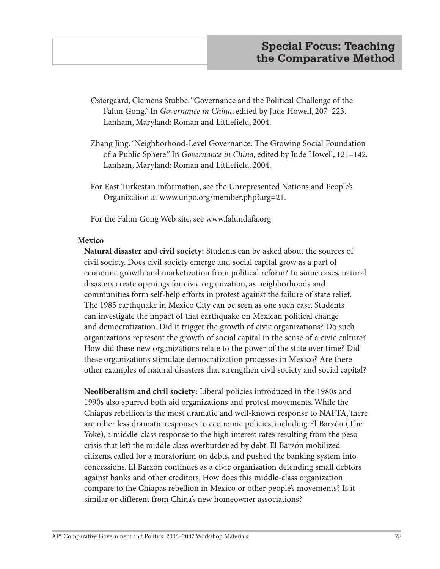- Østergaard, Clemens Stubbe. "Governance and the Political Challenge of the Falun Gong." In *Governance in China*, edited by Jude Howell, 207–223. Lanham, Maryland: Roman and Littlefield, 2004.
- Zhang Jing. "Neighborhood-Level Governance: The Growing Social Foundation of a Public Sphere." In *Governance in China*, edited by Jude Howell, 121–142. Lanham, Maryland: Roman and Littlefield, 2004.
- For East Turkestan information, see the Unrepresented Nations and People's Organization at www.unpo.org/member.php?arg=21.

For the Falun Gong Web site, see www.falundafa.org.

### **Mexico**

**Natural disaster and civil society:** Students can be asked about the sources of civil society. Does civil society emerge and social capital grow as a part of economic growth and marketization from political reform? In some cases, natural disasters create openings for civic organization, as neighborhoods and communities form self-help efforts in protest against the failure of state relief. The 1985 earthquake in Mexico City can be seen as one such case. Students can investigate the impact of that earthquake on Mexican political change and democratization. Did it trigger the growth of civic organizations? Do such organizations represent the growth of social capital in the sense of a civic culture? How did these new organizations relate to the power of the state over time? Did these organizations stimulate democratization processes in Mexico? Are there other examples of natural disasters that strengthen civil society and social capital?

**Neoliberalism and civil society:** Liberal policies introduced in the 1980s and 1990s also spurred both aid organizations and protest movements. While the Chiapas rebellion is the most dramatic and well-known response to NAFTA, there are other less dramatic responses to economic policies, including El Barzón (The Yoke), a middle-class response to the high interest rates resulting from the peso crisis that left the middle class overburdened by debt. El Barzón mobilized citizens, called for a moratorium on debts, and pushed the banking system into concessions. El Barzón continues as a civic organization defending small debtors against banks and other creditors. How does this middle-class organization compare to the Chiapas rebellion in Mexico or other people's movements? Is it similar or different from China's new homeowner associations?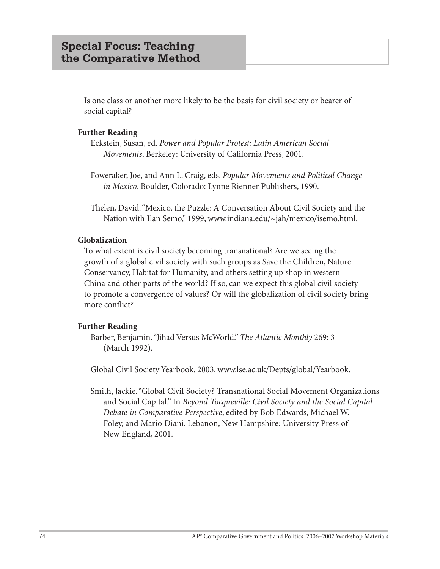Is one class or another more likely to be the basis for civil society or bearer of social capital?

### **Further Reading**

Eckstein, Susan, ed. *Power and Popular Protest: Latin American Social Movements***.** Berkeley: University of California Press, 2001.

Foweraker, Joe, and Ann L. Craig, eds. *Popular Movements and Political Change in Mexico*. Boulder, Colorado: Lynne Rienner Publishers, 1990.

Thelen, David. "Mexico, the Puzzle: A Conversation About Civil Society and the Nation with Ilan Semo," 1999, www.indiana.edu/~jah/mexico/isemo.html.

### **Globalization**

To what extent is civil society becoming transnational? Are we seeing the growth of a global civil society with such groups as Save the Children, Nature Conservancy, Habitat for Humanity, and others setting up shop in western China and other parts of the world? If so, can we expect this global civil society to promote a convergence of values? Or will the globalization of civil society bring more conflict?

### **Further Reading**

Barber, Benjamin. "Jihad Versus McWorld." *The Atlantic Monthly* 269: 3 (March 1992).

Global Civil Society Yearbook, 2003, www.lse.ac.uk/Depts/global/Yearbook.

Smith, Jackie. "Global Civil Society? Transnational Social Movement Organizations and Social Capital." In *Beyond Tocqueville: Civil Society and the Social Capital Debate in Comparative Perspective*, edited by Bob Edwards, Michael W. Foley, and Mario Diani. Lebanon, New Hampshire: University Press of New England, 2001.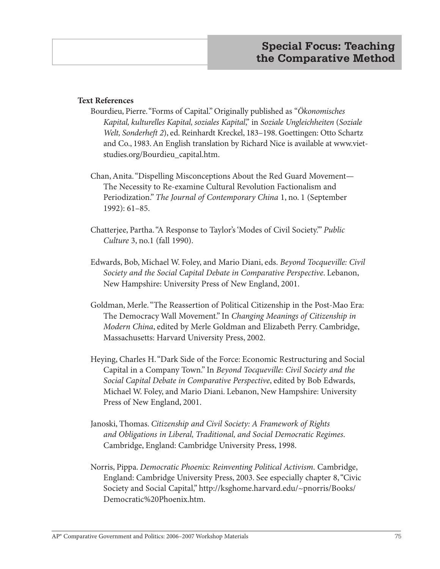### **Text References**

- Bourdieu, Pierre. "Forms of Capital." Originally published as "*Ökonomisches Kapital, kulturelles Kapital, soziales Kapital*," in *Soziale Ungleichheiten* (*Soziale Welt, Sonderheft 2*), ed. Reinhardt Kreckel, 183–198. Goettingen: Otto Schartz and Co., 1983. An English translation by Richard Nice is available at www.vietstudies.org/Bourdieu\_capital.htm.
- Chan, Anita. "Dispelling Misconceptions About the Red Guard Movement— The Necessity to Re-examine Cultural Revolution Factionalism and Periodization." *The Journal of Contemporary China* 1, no. 1 (September 1992): 61–85.
- Chatterjee, Partha. "A Response to Taylor's 'Modes of Civil Society.'" *Public Culture* 3, no.1 (fall 1990).
- Edwards, Bob, Michael W. Foley, and Mario Diani, eds. *Beyond Tocqueville: Civil Society and the Social Capital Debate in Comparative Perspective*. Lebanon, New Hampshire: University Press of New England, 2001.
- Goldman, Merle. "The Reassertion of Political Citizenship in the Post-Mao Era: The Democracy Wall Movement." In *Changing Meanings of Citizenship in Modern China*, edited by Merle Goldman and Elizabeth Perry. Cambridge, Massachusetts: Harvard University Press, 2002.
- Heying, Charles H. "Dark Side of the Force: Economic Restructuring and Social Capital in a Company Town." In *Beyond Tocqueville: Civil Society and the Social Capital Debate in Comparative Perspective*, edited by Bob Edwards, Michael W. Foley, and Mario Diani. Lebanon, New Hampshire: University Press of New England, 2001.
- Janoski, Thomas. *Citizenship and Civil Society: A Framework of Rights and Obligations in Liberal, Traditional, and Social Democratic Regimes*. Cambridge, England: Cambridge University Press, 1998.
- Norris, Pippa. *Democratic Phoenix: Reinventing Political Activism*. Cambridge, England: Cambridge University Press, 2003. See especially chapter 8, "Civic Society and Social Capital," http://ksghome.harvard.edu/~pnorris/Books/ Democratic%20Phoenix.htm.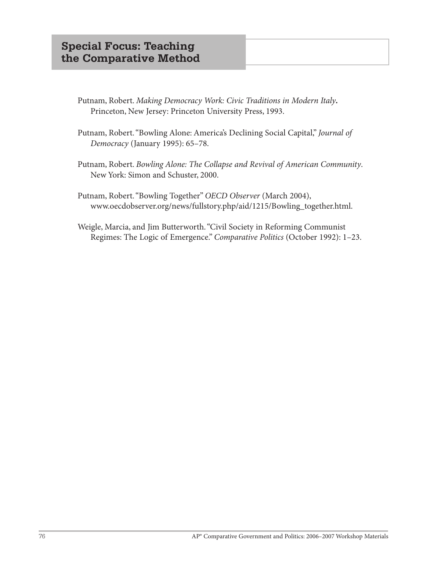- Putnam, Robert. *Making Democracy Work: Civic Traditions in Modern Italy***.**  Princeton, New Jersey: Princeton University Press, 1993.
- Putnam, Robert. "Bowling Alone: America's Declining Social Capital," *Journal of Democracy* (January 1995): 65–78.
- Putnam, Robert. *Bowling Alone: The Collapse and Revival of American Community*. New York: Simon and Schuster, 2000.
- Putnam, Robert. "Bowling Together" *OECD Observer* (March 2004), www.oecdobserver.org/news/fullstory.php/aid/1215/Bowling\_together.html.
- Weigle, Marcia, and Jim Butterworth. "Civil Society in Reforming Communist Regimes: The Logic of Emergence." *Comparative Politics* (October 1992): 1–23.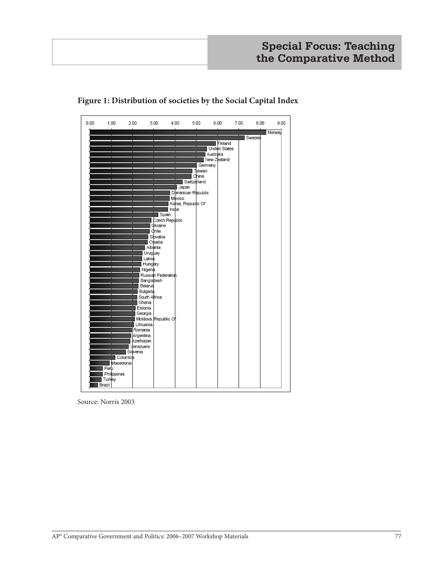

### **Figure 1: Distribution of societies by the Social Capital Index**

Source: Norris 2003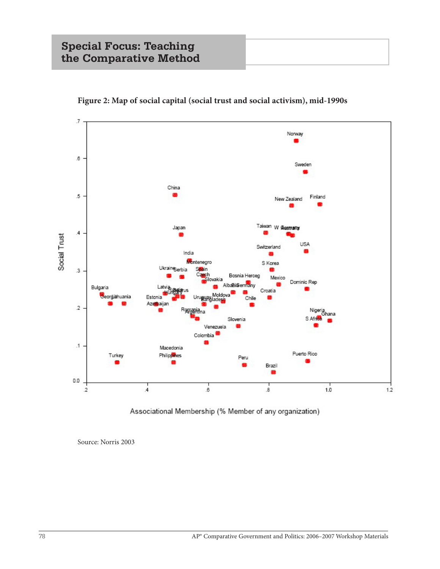

**Figure 2: Map of social capital (social trust and social activism), mid-1990s**

Associational Membership (% Member of any organization)

Source: Norris 2003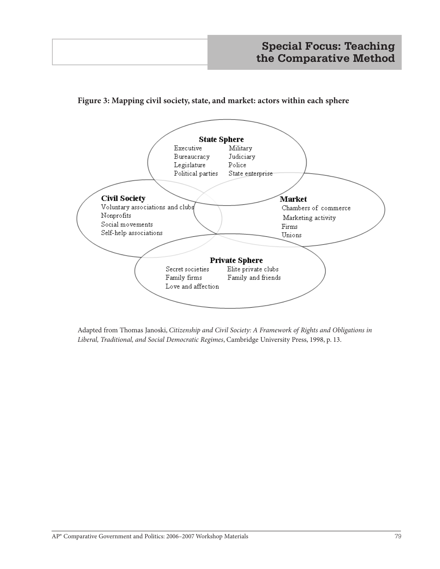### **Figure 3: Mapping civil society, state, and market: actors within each sphere**



Adapted from Thomas Janoski, *Citizenship and Civil Society: A Framework of Rights and Obligations in Liberal, Traditional, and Social Democratic Regimes*, Cambridge University Press, 1998, p. 13.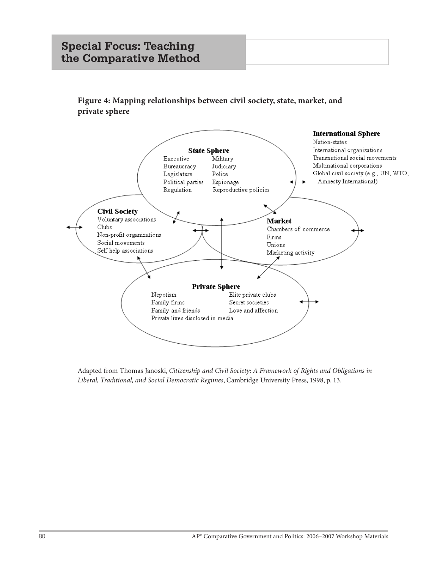# **Special Focus: Teaching the Comparative Method**

**Figure 4: Mapping relationships between civil society, state, market, and private sphere**



Adapted from Thomas Janoski, *Citizenship and Civil Society: A Framework of Rights and Obligations in Liberal, Traditional, and Social Democratic Regimes*, Cambridge University Press, 1998, p. 13.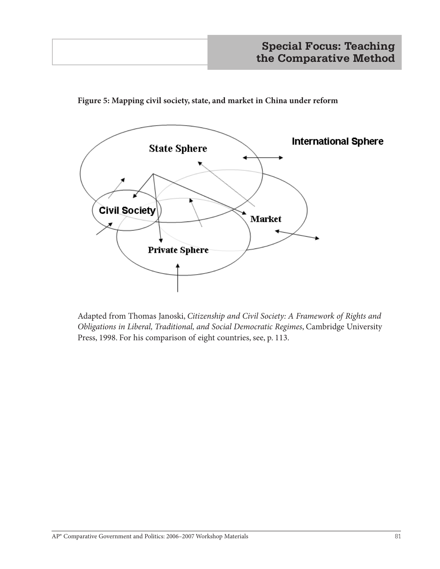

**Figure 5: Mapping civil society, state, and market in China under reform**

Adapted from Thomas Janoski, *Citizenship and Civil Society: A Framework of Rights and Obligations in Liberal, Traditional, and Social Democratic Regimes*, Cambridge University Press, 1998. For his comparison of eight countries, see, p. 113.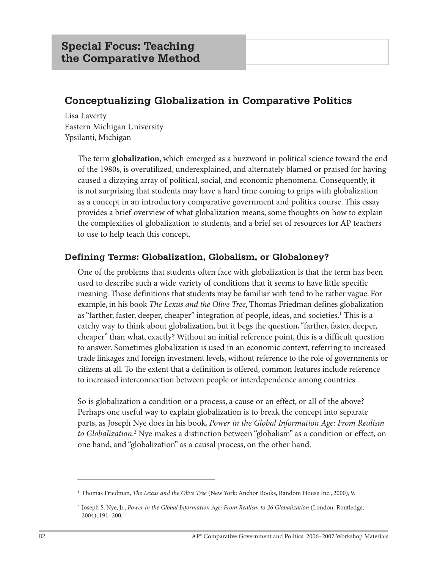# **Conceptualizing Globalization in Comparative Politics**

Lisa Laverty Eastern Michigan University Ypsilanti, Michigan

> The term **globalization**, which emerged as a buzzword in political science toward the end of the 1980s, is overutilized, underexplained, and alternately blamed or praised for having caused a dizzying array of political, social, and economic phenomena. Consequently, it is not surprising that students may have a hard time coming to grips with globalization as a concept in an introductory comparative government and politics course. This essay provides a brief overview of what globalization means, some thoughts on how to explain the complexities of globalization to students, and a brief set of resources for AP teachers to use to help teach this concept.

## **Defining Terms: Globalization, Globalism, or Globaloney?**

One of the problems that students often face with globalization is that the term has been used to describe such a wide variety of conditions that it seems to have little specific meaning. Those definitions that students may be familiar with tend to be rather vague. For example, in his book *The Lexus and the Olive Tree*, Thomas Friedman defines globalization as "farther, faster, deeper, cheaper" integration of people, ideas, and societies.<sup>1</sup> This is a catchy way to think about globalization, but it begs the question, "farther, faster, deeper, cheaper" than what, exactly? Without an initial reference point, this is a difficult question to answer. Sometimes globalization is used in an economic context, referring to increased trade linkages and foreign investment levels, without reference to the role of governments or citizens at all. To the extent that a definition is offered, common features include reference to increased interconnection between people or interdependence among countries.

So is globalization a condition or a process, a cause or an effect, or all of the above? Perhaps one useful way to explain globalization is to break the concept into separate parts, as Joseph Nye does in his book, *Power in the Global Information Age: From Realism to Globalization*. 2 Nye makes a distinction between "globalism" as a condition or effect, on one hand, and "globalization" as a causal process, on the other hand.

<sup>1</sup> Thomas Friedman, *The Lexus and the Olive Tree* (New York: Anchor Books, Random House Inc., 2000), 9.

<sup>2</sup> Joseph S. Nye, Jr., *Power in the Global Information Age: From Realism to 26 Globalization* (London: Routledge, 2004), 191–200.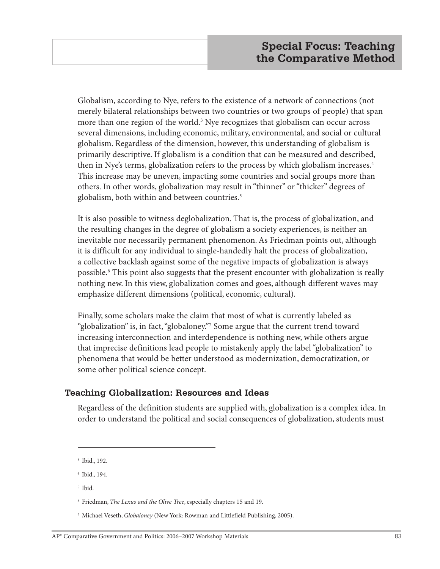Globalism, according to Nye, refers to the existence of a network of connections (not merely bilateral relationships between two countries or two groups of people) that span more than one region of the world.<sup>3</sup> Nye recognizes that globalism can occur across several dimensions, including economic, military, environmental, and social or cultural globalism. Regardless of the dimension, however, this understanding of globalism is primarily descriptive. If globalism is a condition that can be measured and described, then in Nye's terms, globalization refers to the process by which globalism increases.<sup>4</sup> This increase may be uneven, impacting some countries and social groups more than others. In other words, globalization may result in "thinner" or "thicker" degrees of globalism, both within and between countries.<sup>5</sup>

It is also possible to witness deglobalization. That is, the process of globalization, and the resulting changes in the degree of globalism a society experiences, is neither an inevitable nor necessarily permanent phenomenon. As Friedman points out, although it is difficult for any individual to single-handedly halt the process of globalization, a collective backlash against some of the negative impacts of globalization is always possible.6 This point also suggests that the present encounter with globalization is really nothing new. In this view, globalization comes and goes, although different waves may emphasize different dimensions (political, economic, cultural).

Finally, some scholars make the claim that most of what is currently labeled as "globalization" is, in fact, "globaloney."7 Some argue that the current trend toward increasing interconnection and interdependence is nothing new, while others argue that imprecise definitions lead people to mistakenly apply the label "globalization" to phenomena that would be better understood as modernization, democratization, or some other political science concept.

### **Teaching Globalization: Resources and Ideas**

Regardless of the definition students are supplied with, globalization is a complex idea. In order to understand the political and social consequences of globalization, students must

- <sup>4</sup> Ibid., 194.
- <sup>5</sup> Ibid.

<sup>3</sup> Ibid., 192.

<sup>6</sup> Friedman, *The Lexus and the Olive Tree*, especially chapters 15 and 19.

<sup>7</sup> Michael Veseth, *Globaloney* (New York: Rowman and Littlefield Publishing, 2005).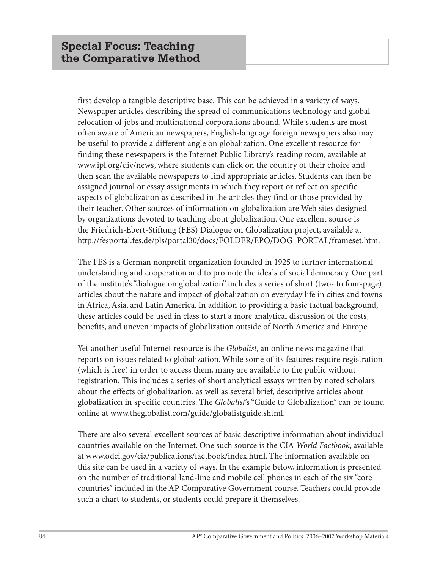first develop a tangible descriptive base. This can be achieved in a variety of ways. Newspaper articles describing the spread of communications technology and global relocation of jobs and multinational corporations abound. While students are most often aware of American newspapers, English-language foreign newspapers also may be useful to provide a different angle on globalization. One excellent resource for finding these newspapers is the Internet Public Library's reading room, available at www.ipl.org/div/news, where students can click on the country of their choice and then scan the available newspapers to find appropriate articles. Students can then be assigned journal or essay assignments in which they report or reflect on specific aspects of globalization as described in the articles they find or those provided by their teacher. Other sources of information on globalization are Web sites designed by organizations devoted to teaching about globalization. One excellent source is the Friedrich-Ebert-Stiftung (FES) Dialogue on Globalization project, available at http://fesportal.fes.de/pls/portal30/docs/FOLDER/EPO/DOG\_PORTAL/frameset.htm.

The FES is a German nonprofit organization founded in 1925 to further international understanding and cooperation and to promote the ideals of social democracy. One part of the institute's "dialogue on globalization" includes a series of short (two- to four-page) articles about the nature and impact of globalization on everyday life in cities and towns in Africa, Asia, and Latin America. In addition to providing a basic factual background, these articles could be used in class to start a more analytical discussion of the costs, benefits, and uneven impacts of globalization outside of North America and Europe.

Yet another useful Internet resource is the *Globalist*, an online news magazine that reports on issues related to globalization. While some of its features require registration (which is free) in order to access them, many are available to the public without registration. This includes a series of short analytical essays written by noted scholars about the effects of globalization, as well as several brief, descriptive articles about globalization in specific countries. The *Globalist*'s "Guide to Globalization" can be found online at www.theglobalist.com/guide/globalistguide.shtml.

There are also several excellent sources of basic descriptive information about individual countries available on the Internet. One such source is the CIA *World Factbook*, available at www.odci.gov/cia/publications/factbook/index.html. The information available on this site can be used in a variety of ways. In the example below, information is presented on the number of traditional land-line and mobile cell phones in each of the six "core countries" included in the AP Comparative Government course. Teachers could provide such a chart to students, or students could prepare it themselves.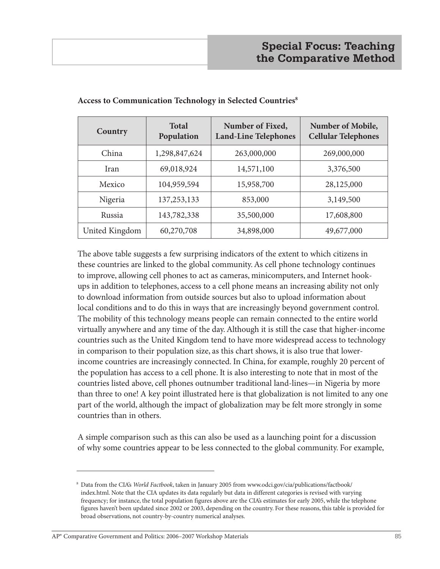| Country        | <b>Total</b><br>Population | Number of Fixed,<br><b>Land-Line Telephones</b> | Number of Mobile,<br><b>Cellular Telephones</b> |
|----------------|----------------------------|-------------------------------------------------|-------------------------------------------------|
| China          | 1,298,847,624              | 263,000,000                                     | 269,000,000                                     |
| Iran           | 69,018,924                 | 14,571,100                                      | 3,376,500                                       |
| Mexico         | 104,959,594                | 15,958,700                                      | 28,125,000                                      |
| Nigeria        | 137, 253, 133              | 853,000                                         | 3,149,500                                       |
| Russia         | 143,782,338                | 35,500,000                                      | 17,608,800                                      |
| United Kingdom | 60,270,708                 | 34,898,000                                      | 49,677,000                                      |

#### **Access to Communication Technology in Selected Countries8**

The above table suggests a few surprising indicators of the extent to which citizens in these countries are linked to the global community. As cell phone technology continues to improve, allowing cell phones to act as cameras, minicomputers, and Internet hookups in addition to telephones, access to a cell phone means an increasing ability not only to download information from outside sources but also to upload information about local conditions and to do this in ways that are increasingly beyond government control. The mobility of this technology means people can remain connected to the entire world virtually anywhere and any time of the day. Although it is still the case that higher-income countries such as the United Kingdom tend to have more widespread access to technology in comparison to their population size, as this chart shows, it is also true that lowerincome countries are increasingly connected. In China, for example, roughly 20 percent of the population has access to a cell phone. It is also interesting to note that in most of the countries listed above, cell phones outnumber traditional land-lines—in Nigeria by more than three to one! A key point illustrated here is that globalization is not limited to any one part of the world, although the impact of globalization may be felt more strongly in some countries than in others.

A simple comparison such as this can also be used as a launching point for a discussion of why some countries appear to be less connected to the global community. For example,

<sup>8</sup> Data from the CIA's *World Factbook*, taken in January 2005 from www.odci.gov/cia/publications/factbook/ index.html. Note that the CIA updates its data regularly but data in different categories is revised with varying frequency; for instance, the total population figures above are the CIA's estimates for early 2005, while the telephone figures haven't been updated since 2002 or 2003, depending on the country. For these reasons, this table is provided for broad observations, not country-by-country numerical analyses.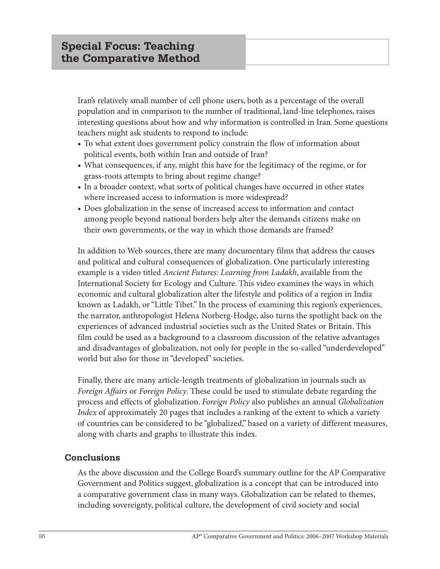Iran's relatively small number of cell phone users, both as a percentage of the overall population and in comparison to the number of traditional, land-line telephones, raises interesting questions about how and why information is controlled in Iran. Some questions teachers might ask students to respond to include:

- **•** To what extent does government policy constrain the flow of information about political events, both within Iran and outside of Iran?
- **•** What consequences, if any, might this have for the legitimacy of the regime, or for grass-roots attempts to bring about regime change?
- **•** In a broader context, what sorts of political changes have occurred in other states where increased access to information is more widespread?
- **•** Does globalization in the sense of increased access to information and contact among people beyond national borders help alter the demands citizens make on their own governments, or the way in which those demands are framed?

In addition to Web sources, there are many documentary films that address the causes and political and cultural consequences of globalization. One particularly interesting example is a video titled *Ancient Futures: Learning from Ladakh*, available from the International Society for Ecology and Culture. This video examines the ways in which economic and cultural globalization alter the lifestyle and politics of a region in India known as Ladakh, or "Little Tibet." In the process of examining this region's experiences, the narrator, anthropologist Helena Norberg-Hodge, also turns the spotlight back on the experiences of advanced industrial societies such as the United States or Britain. This film could be used as a background to a classroom discussion of the relative advantages and disadvantages of globalization, not only for people in the so-called "underdeveloped" world but also for those in "developed" societies.

Finally, there are many article-length treatments of globalization in journals such as *Foreign Affairs* or *Foreign Policy*. These could be used to stimulate debate regarding the process and effects of globalization. *Foreign Policy* also publishes an annual *Globalization Index* of approximately 20 pages that includes a ranking of the extent to which a variety of countries can be considered to be "globalized," based on a variety of different measures, along with charts and graphs to illustrate this index.

## **Conclusions**

As the above discussion and the College Board's summary outline for the AP Comparative Government and Politics suggest, globalization is a concept that can be introduced into a comparative government class in many ways. Globalization can be related to themes, including sovereignty, political culture, the development of civil society and social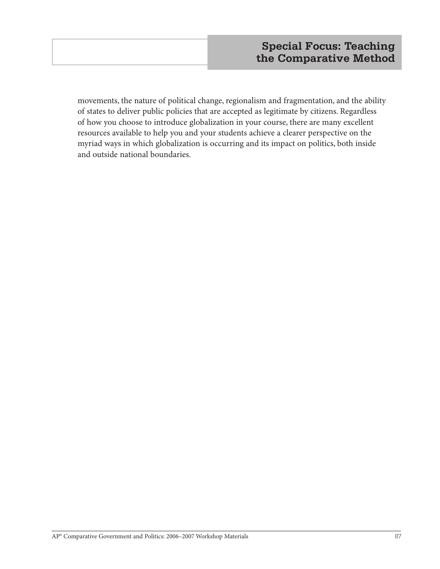movements, the nature of political change, regionalism and fragmentation, and the ability of states to deliver public policies that are accepted as legitimate by citizens. Regardless of how you choose to introduce globalization in your course, there are many excellent resources available to help you and your students achieve a clearer perspective on the myriad ways in which globalization is occurring and its impact on politics, both inside and outside national boundaries.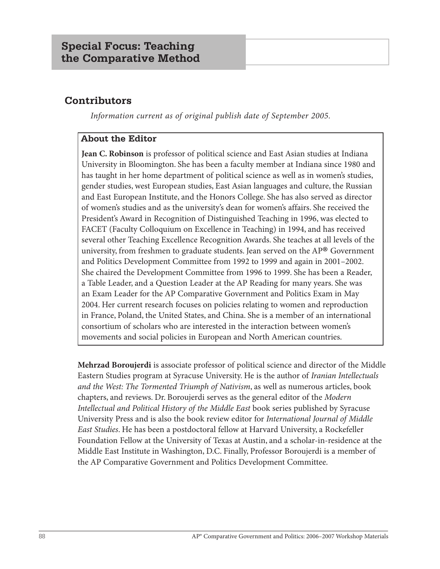# **Contributors**

*Information current as of original publish date of September 2005.*

## **About the Editor**

**Jean C. Robinson** is professor of political science and East Asian studies at Indiana University in Bloomington. She has been a faculty member at Indiana since 1980 and has taught in her home department of political science as well as in women's studies, gender studies, west European studies, East Asian languages and culture, the Russian and East European Institute, and the Honors College. She has also served as director of women's studies and as the university's dean for women's affairs. She received the President's Award in Recognition of Distinguished Teaching in 1996, was elected to FACET (Faculty Colloquium on Excellence in Teaching) in 1994, and has received several other Teaching Excellence Recognition Awards. She teaches at all levels of the university, from freshmen to graduate students. Jean served on the AP® Government and Politics Development Committee from 1992 to 1999 and again in 2001–2002. She chaired the Development Committee from 1996 to 1999. She has been a Reader, a Table Leader, and a Question Leader at the AP Reading for many years. She was an Exam Leader for the AP Comparative Government and Politics Exam in May 2004. Her current research focuses on policies relating to women and reproduction in France, Poland, the United States, and China. She is a member of an international consortium of scholars who are interested in the interaction between women's movements and social policies in European and North American countries.

**Mehrzad Boroujerdi** is associate professor of political science and director of the Middle Eastern Studies program at Syracuse University. He is the author of *Iranian Intellectuals and the West: The Tormented Triumph of Nativism*, as well as numerous articles, book chapters, and reviews. Dr. Boroujerdi serves as the general editor of the *Modern Intellectual and Political History of the Middle East* book series published by Syracuse University Press and is also the book review editor for *International Journal of Middle East Studies*. He has been a postdoctoral fellow at Harvard University, a Rockefeller Foundation Fellow at the University of Texas at Austin, and a scholar-in-residence at the Middle East Institute in Washington, D.C. Finally, Professor Boroujerdi is a member of the AP Comparative Government and Politics Development Committee.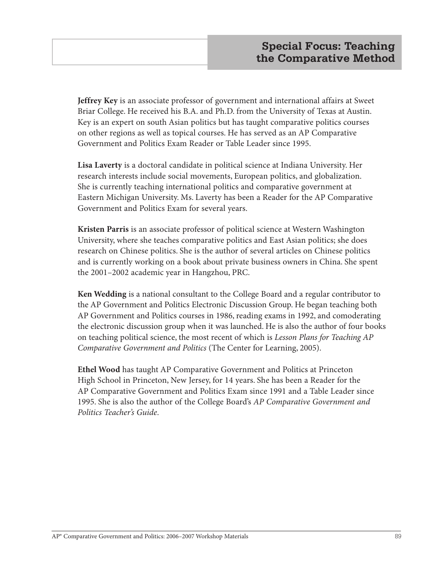**Jeffrey Key** is an associate professor of government and international affairs at Sweet Briar College. He received his B.A. and Ph.D. from the University of Texas at Austin. Key is an expert on south Asian politics but has taught comparative politics courses on other regions as well as topical courses. He has served as an AP Comparative Government and Politics Exam Reader or Table Leader since 1995.

**Lisa Laverty** is a doctoral candidate in political science at Indiana University. Her research interests include social movements, European politics, and globalization. She is currently teaching international politics and comparative government at Eastern Michigan University. Ms. Laverty has been a Reader for the AP Comparative Government and Politics Exam for several years.

**Kristen Parris** is an associate professor of political science at Western Washington University, where she teaches comparative politics and East Asian politics; she does research on Chinese politics. She is the author of several articles on Chinese politics and is currently working on a book about private business owners in China. She spent the 2001–2002 academic year in Hangzhou, PRC.

**Ken Wedding** is a national consultant to the College Board and a regular contributor to the AP Government and Politics Electronic Discussion Group. He began teaching both AP Government and Politics courses in 1986, reading exams in 1992, and comoderating the electronic discussion group when it was launched. He is also the author of four books on teaching political science, the most recent of which is *Lesson Plans for Teaching AP Comparative Government and Politics* (The Center for Learning, 2005).

**Ethel Wood** has taught AP Comparative Government and Politics at Princeton High School in Princeton, New Jersey, for 14 years. She has been a Reader for the AP Comparative Government and Politics Exam since 1991 and a Table Leader since 1995. She is also the author of the College Board's *AP Comparative Government and Politics Teacher's Guide*.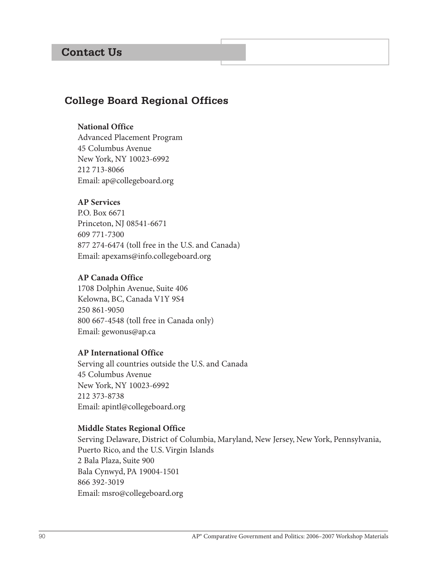# **Contact Us**

## **College Board Regional Offices**

### **National Office**

Advanced Placement Program 45 Columbus Avenue New York, NY 10023-6992 212 713-8066 Email: ap@collegeboard.org

### **AP Services**

P.O. Box 6671 Princeton, NJ 08541-6671 609 771-7300 877 274-6474 (toll free in the U.S. and Canada) Email: apexams@info.collegeboard.org

#### **AP Canada Office**

1708 Dolphin Avenue, Suite 406 Kelowna, BC, Canada V1Y 9S4 250 861-9050 800 667-4548 (toll free in Canada only) Email: gewonus@ap.ca

#### **AP International Office**

Serving all countries outside the U.S. and Canada 45 Columbus Avenue New York, NY 10023-6992 212 373-8738 Email: apintl@collegeboard.org

#### **Middle States Regional Office**

Serving Delaware, District of Columbia, Maryland, New Jersey, New York, Pennsylvania, Puerto Rico, and the U.S. Virgin Islands 2 Bala Plaza, Suite 900 Bala Cynwyd, PA 19004-1501 866 392-3019 Email: msro@collegeboard.org